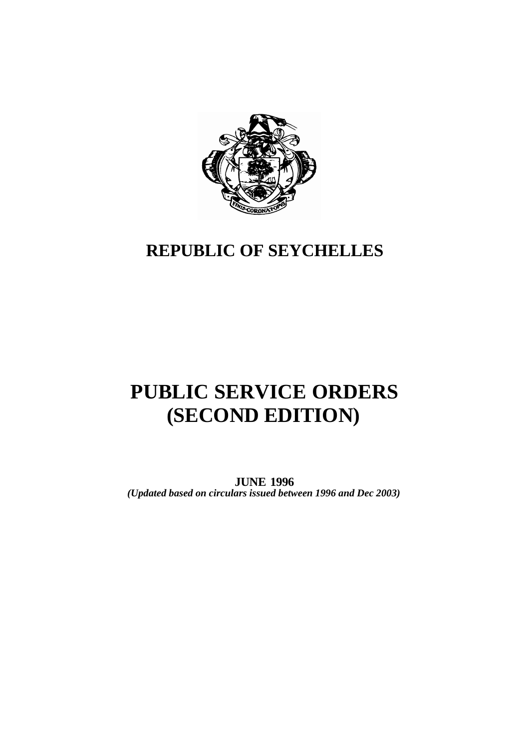

## **REPUBLIC OF SEYCHELLES**

# **PUBLIC SERVICE ORDERS (SECOND EDITION)**

**JUNE 1996** *(Updated based on circulars issued between 1996 and Dec 2003)*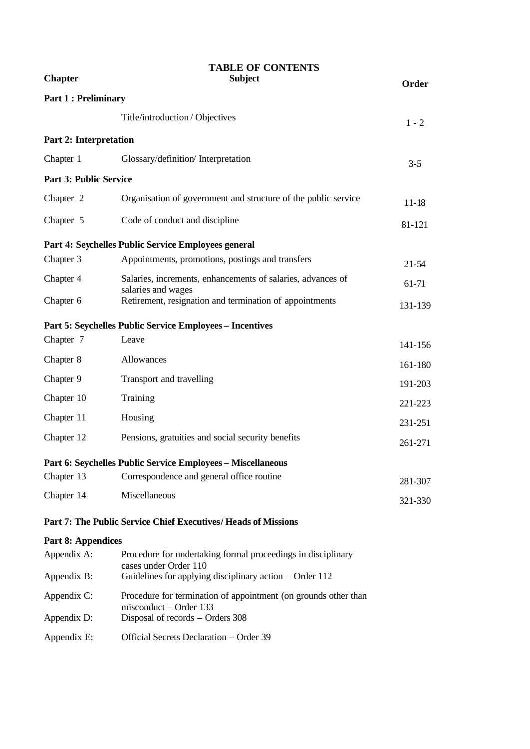| <b>Chapter</b>                | <b>TABLE OF CONTENTS</b><br><b>Subject</b>                                        |           |  |  |  |
|-------------------------------|-----------------------------------------------------------------------------------|-----------|--|--|--|
| <b>Part 1: Preliminary</b>    |                                                                                   | Order     |  |  |  |
|                               | Title/introduction/Objectives                                                     | $1 - 2$   |  |  |  |
| Part 2: Interpretation        |                                                                                   |           |  |  |  |
| Chapter 1                     | Glossary/definition/ Interpretation                                               | $3 - 5$   |  |  |  |
| <b>Part 3: Public Service</b> |                                                                                   |           |  |  |  |
| Chapter 2                     | Organisation of government and structure of the public service                    | $11 - 18$ |  |  |  |
| Chapter 5                     | Code of conduct and discipline                                                    | 81-121    |  |  |  |
|                               | Part 4: Seychelles Public Service Employees general                               |           |  |  |  |
| Chapter 3                     | Appointments, promotions, postings and transfers                                  | $21 - 54$ |  |  |  |
| Chapter 4                     | Salaries, increments, enhancements of salaries, advances of<br>salaries and wages | 61-71     |  |  |  |
| Chapter 6                     | Retirement, resignation and termination of appointments                           | 131-139   |  |  |  |
|                               | Part 5: Seychelles Public Service Employees - Incentives                          |           |  |  |  |
| Chapter 7                     | Leave                                                                             | 141-156   |  |  |  |
| Chapter 8                     | Allowances                                                                        | 161-180   |  |  |  |
| Chapter 9                     | Transport and travelling                                                          | 191-203   |  |  |  |
| Chapter 10                    | Training                                                                          | 221-223   |  |  |  |
| Chapter 11                    | Housing                                                                           | 231-251   |  |  |  |
| Chapter 12                    | Pensions, gratuities and social security benefits                                 | 261-271   |  |  |  |
|                               | Part 6: Seychelles Public Service Employees - Miscellaneous                       |           |  |  |  |
| Chapter 13                    | Correspondence and general office routine                                         | 281-307   |  |  |  |
| Chapter 14                    | Miscellaneous                                                                     | 321-330   |  |  |  |
|                               | Part 7: The Public Service Chief Executives/ Heads of Missions                    |           |  |  |  |
| <b>Part 8: Appendices</b>     |                                                                                   |           |  |  |  |

| Appendix A: | Procedure for undertaking formal proceedings in disciplinary<br>cases under Order 110     |
|-------------|-------------------------------------------------------------------------------------------|
| Appendix B: | Guidelines for applying disciplinary action $-$ Order 112                                 |
| Appendix C: | Procedure for termination of appointment (on grounds other than<br>misconduct – Order 133 |
| Appendix D: | Disposal of records – Orders 308                                                          |
| Appendix E: | Official Secrets Declaration - Order 39                                                   |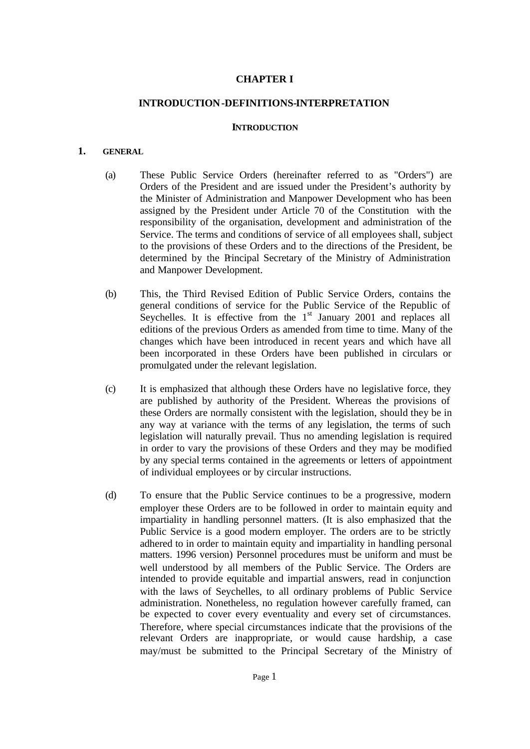## **CHAPTER I**

#### **INTRODUCTION-DEFINITIONS-INTERPRETATION**

#### **INTRODUCTION**

## **1. GENERAL**

- (a) These Public Service Orders (hereinafter referred to as "Orders") are Orders of the President and are issued under the President's authority by the Minister of Administration and Manpower Development who has been assigned by the President under Article 70 of the Constitution with the responsibility of the organisation, development and administration of the Service. The terms and conditions of service of all employees shall, subject to the provisions of these Orders and to the directions of the President, be determined by the Principal Secretary of the Ministry of Administration and Manpower Development.
- (b) This, the Third Revised Edition of Public Service Orders, contains the general conditions of service for the Public Service of the Republic of Seychelles. It is effective from the  $1<sup>st</sup>$  January 2001 and replaces all editions of the previous Orders as amended from time to time. Many of the changes which have been introduced in recent years and which have all been incorporated in these Orders have been published in circulars or promulgated under the relevant legislation.
- (c) It is emphasized that although these Orders have no legislative force, they are published by authority of the President. Whereas the provisions of these Orders are normally consistent with the legislation, should they be in any way at variance with the terms of any legislation, the terms of such legislation will naturally prevail. Thus no amending legislation is required in order to vary the provisions of these Orders and they may be modified by any special terms contained in the agreements or letters of appointment of individual employees or by circular instructions.
- (d) To ensure that the Public Service continues to be a progressive, modern employer these Orders are to be followed in order to maintain equity and impartiality in handling personnel matters. (It is also emphasized that the Public Service is a good modern employer. The orders are to be strictly adhered to in order to maintain equity and impartiality in handling personal matters. 1996 version) Personnel procedures must be uniform and must be well understood by all members of the Public Service. The Orders are intended to provide equitable and impartial answers, read in conjunction with the laws of Seychelles, to all ordinary problems of Public Service administration. Nonetheless, no regulation however carefully framed, can be expected to cover every eventuality and every set of circumstances. Therefore, where special circumstances indicate that the provisions of the relevant Orders are inappropriate, or would cause hardship, a case may/must be submitted to the Principal Secretary of the Ministry of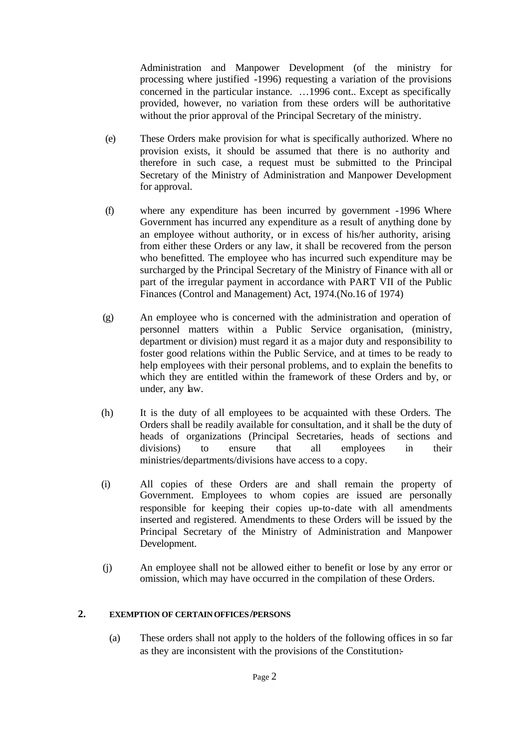Administration and Manpower Development (of the ministry for processing where justified -1996) requesting a variation of the provisions concerned in the particular instance. …1996 cont.. Except as specifically provided, however, no variation from these orders will be authoritative without the prior approval of the Principal Secretary of the ministry.

- (e) These Orders make provision for what is specifically authorized. Where no provision exists, it should be assumed that there is no authority and therefore in such case, a request must be submitted to the Principal Secretary of the Ministry of Administration and Manpower Development for approval.
- (f) where any expenditure has been incurred by government -1996 Where Government has incurred any expenditure as a result of anything done by an employee without authority, or in excess of his/her authority, arising from either these Orders or any law, it shall be recovered from the person who benefitted. The employee who has incurred such expenditure may be surcharged by the Principal Secretary of the Ministry of Finance with all or part of the irregular payment in accordance with PART VII of the Public Finances (Control and Management) Act, 1974.(No.16 of 1974)
- (g) An employee who is concerned with the administration and operation of personnel matters within a Public Service organisation, (ministry, department or division) must regard it as a major duty and responsibility to foster good relations within the Public Service, and at times to be ready to help employees with their personal problems, and to explain the benefits to which they are entitled within the framework of these Orders and by, or under, any law.
- (h) It is the duty of all employees to be acquainted with these Orders. The Orders shall be readily available for consultation, and it shall be the duty of heads of organizations (Principal Secretaries, heads of sections and divisions) to ensure that all employees in their ministries/departments/divisions have access to a copy.
- (i) All copies of these Orders are and shall remain the property of Government. Employees to whom copies are issued are personally responsible for keeping their copies up-to-date with all amendments inserted and registered. Amendments to these Orders will be issued by the Principal Secretary of the Ministry of Administration and Manpower Development.
- (j) An employee shall not be allowed either to benefit or lose by any error or omission, which may have occurred in the compilation of these Orders.

## **2. EXEMPTION OF CERTAIN OFFICES/PERSONS**

(a) These orders shall not apply to the holders of the following offices in so far as they are inconsistent with the provisions of the Constitution:-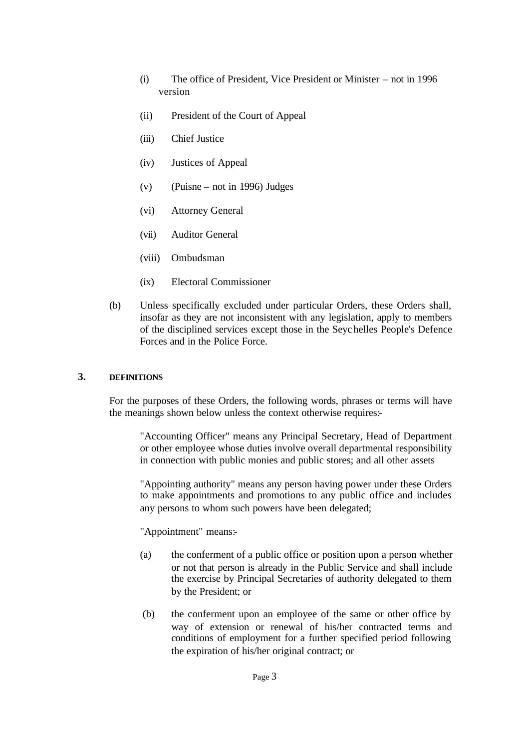- (i) The office of President, Vice President or Minister not in 1996 version
- (ii) President of the Court of Appeal
- (iii) Chief Justice
- (iv) Justices of Appeal
- (v) (Puisne not in 1996) Judges
- (vi) Attorney General
- (vii) Auditor General
- (viii) Ombudsman
- (ix) Electoral Commissioner
- (b) Unless specifically excluded under particular Orders, these Orders shall, insofar as they are not inconsistent with any legislation, apply to members of the disciplined services except those in the Seychelles People's Defence Forces and in the Police Force.

## **3. DEFINITIONS**

For the purposes of these Orders, the following words, phrases or terms will have the meanings shown below unless the context otherwise requires:-

"Accounting Officer" means any Principal Secretary, Head of Department or other employee whose duties involve overall departmental responsibility in connection with public monies and public stores; and all other assets

"Appointing authority" means any person having power under these Orders to make appointments and promotions to any public office and includes any persons to whom such powers have been delegated;

"Appointment" means:-

- (a) the conferment of a public office or position upon a person whether or not that person is already in the Public Service and shall include the exercise by Principal Secretaries of authority delegated to them by the President; or
- (b) the conferment upon an employee of the same or other office by way of extension or renewal of his/her contracted terms and conditions of employment for a further specified period following the expiration of his/her original contract; or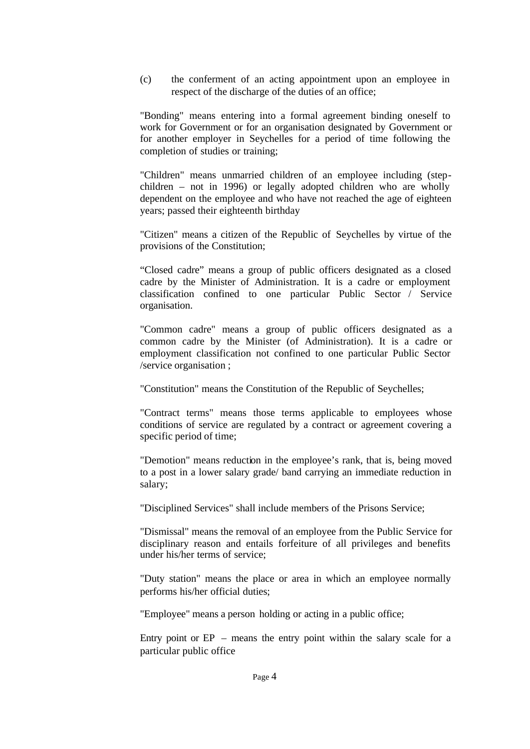(c) the conferment of an acting appointment upon an employee in respect of the discharge of the duties of an office;

"Bonding" means entering into a formal agreement binding oneself to work for Government or for an organisation designated by Government or for another employer in Seychelles for a period of time following the completion of studies or training;

"Children" means unmarried children of an employee including (stepchildren – not in 1996) or legally adopted children who are wholly dependent on the employee and who have not reached the age of eighteen years; passed their eighteenth birthday

"Citizen" means a citizen of the Republic of Seychelles by virtue of the provisions of the Constitution;

"Closed cadre" means a group of public officers designated as a closed cadre by the Minister of Administration. It is a cadre or employment classification confined to one particular Public Sector / Service organisation.

"Common cadre" means a group of public officers designated as a common cadre by the Minister (of Administration). It is a cadre or employment classification not confined to one particular Public Sector /service organisation ;

"Constitution" means the Constitution of the Republic of Seychelles;

"Contract terms" means those terms applicable to employees whose conditions of service are regulated by a contract or agreement covering a specific period of time;

"Demotion" means reduction in the employee's rank, that is, being moved to a post in a lower salary grade/ band carrying an immediate reduction in salary;

"Disciplined Services" shall include members of the Prisons Service;

"Dismissal" means the removal of an employee from the Public Service for disciplinary reason and entails forfeiture of all privileges and benefits under his/her terms of service;

"Duty station" means the place or area in which an employee normally performs his/her official duties;

"Employee" means a person holding or acting in a public office;

Entry point or  $EP$  – means the entry point within the salary scale for a particular public office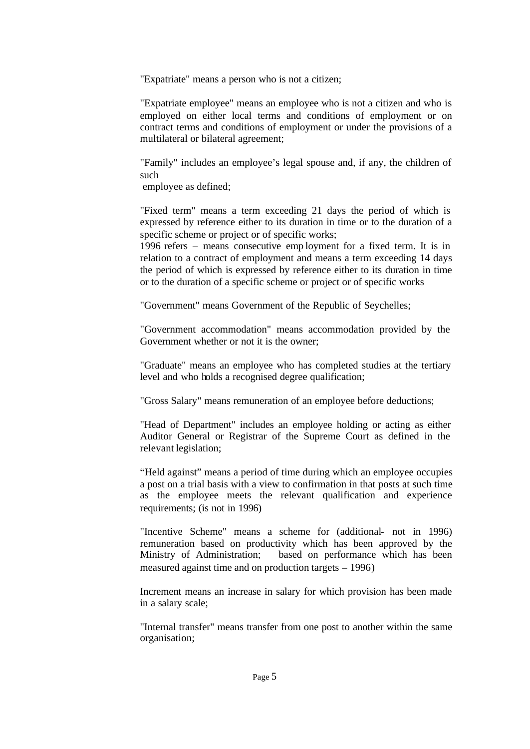"Expatriate" means a person who is not a citizen;

"Expatriate employee" means an employee who is not a citizen and who is employed on either local terms and conditions of employment or on contract terms and conditions of employment or under the provisions of a multilateral or bilateral agreement;

"Family" includes an employee's legal spouse and, if any, the children of such

employee as defined;

"Fixed term" means a term exceeding 21 days the period of which is expressed by reference either to its duration in time or to the duration of a specific scheme or project or of specific works;

1996 refers – means consecutive emp loyment for a fixed term. It is in relation to a contract of employment and means a term exceeding 14 days the period of which is expressed by reference either to its duration in time or to the duration of a specific scheme or project or of specific works

"Government" means Government of the Republic of Seychelles;

"Government accommodation" means accommodation provided by the Government whether or not it is the owner;

"Graduate" means an employee who has completed studies at the tertiary level and who holds a recognised degree qualification;

"Gross Salary" means remuneration of an employee before deductions;

"Head of Department" includes an employee holding or acting as either Auditor General or Registrar of the Supreme Court as defined in the relevant legislation;

"Held against" means a period of time during which an employee occupies a post on a trial basis with a view to confirmation in that posts at such time as the employee meets the relevant qualification and experience requirements; (is not in 1996)

"Incentive Scheme" means a scheme for (additional- not in 1996) remuneration based on productivity which has been approved by the Ministry of Administration; based on performance which has been measured against time and on production targets – 1996)

Increment means an increase in salary for which provision has been made in a salary scale;

"Internal transfer" means transfer from one post to another within the same organisation;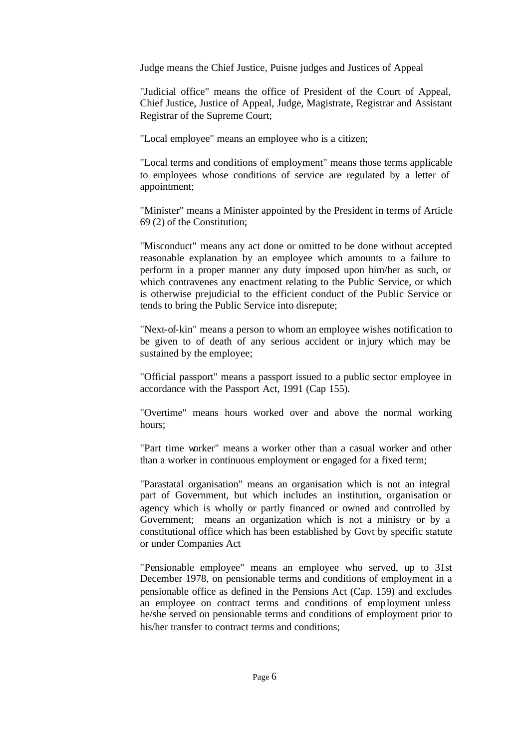Judge means the Chief Justice, Puisne judges and Justices of Appeal

"Judicial office" means the office of President of the Court of Appeal, Chief Justice, Justice of Appeal, Judge, Magistrate, Registrar and Assistant Registrar of the Supreme Court;

"Local employee" means an employee who is a citizen;

"Local terms and conditions of employment" means those terms applicable to employees whose conditions of service are regulated by a letter of appointment;

"Minister" means a Minister appointed by the President in terms of Article 69 (2) of the Constitution;

"Misconduct" means any act done or omitted to be done without accepted reasonable explanation by an employee which amounts to a failure to perform in a proper manner any duty imposed upon him/her as such, or which contravenes any enactment relating to the Public Service, or which is otherwise prejudicial to the efficient conduct of the Public Service or tends to bring the Public Service into disrepute;

"Next-of-kin" means a person to whom an employee wishes notification to be given to of death of any serious accident or injury which may be sustained by the employee;

"Official passport" means a passport issued to a public sector employee in accordance with the Passport Act, 1991 (Cap 155).

"Overtime" means hours worked over and above the normal working hours;

"Part time worker" means a worker other than a casual worker and other than a worker in continuous employment or engaged for a fixed term;

"Parastatal organisation" means an organisation which is not an integral part of Government, but which includes an institution, organisation or agency which is wholly or partly financed or owned and controlled by Government; means an organization which is not a ministry or by a constitutional office which has been established by Govt by specific statute or under Companies Act

"Pensionable employee" means an employee who served, up to 31st December 1978, on pensionable terms and conditions of employment in a pensionable office as defined in the Pensions Act (Cap. 159) and excludes an employee on contract terms and conditions of employment unless he/she served on pensionable terms and conditions of employment prior to his/her transfer to contract terms and conditions;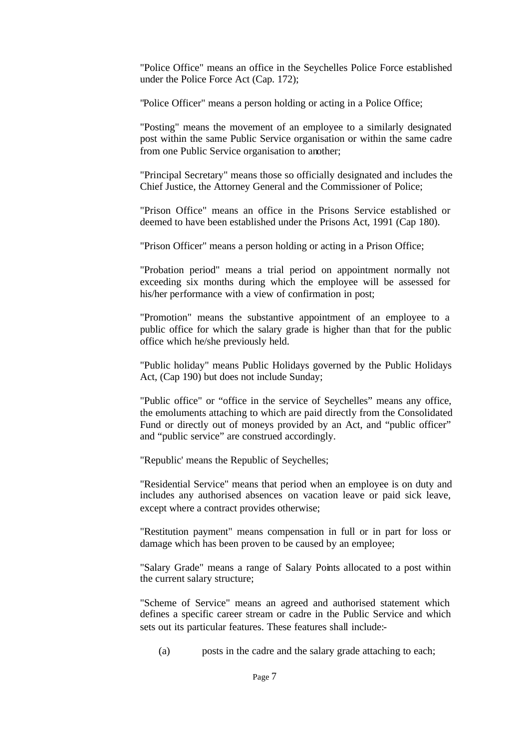"Police Office" means an office in the Seychelles Police Force established under the Police Force Act (Cap. 172);

"Police Officer" means a person holding or acting in a Police Office;

"Posting" means the movement of an employee to a similarly designated post within the same Public Service organisation or within the same cadre from one Public Service organisation to another;

"Principal Secretary" means those so officially designated and includes the Chief Justice, the Attorney General and the Commissioner of Police;

"Prison Office" means an office in the Prisons Service established or deemed to have been established under the Prisons Act, 1991 (Cap 180).

"Prison Officer" means a person holding or acting in a Prison Office;

"Probation period" means a trial period on appointment normally not exceeding six months during which the employee will be assessed for his/her performance with a view of confirmation in post;

"Promotion" means the substantive appointment of an employee to a public office for which the salary grade is higher than that for the public office which he/she previously held.

"Public holiday" means Public Holidays governed by the Public Holidays Act, (Cap 190) but does not include Sunday;

"Public office" or "office in the service of Seychelles" means any office, the emoluments attaching to which are paid directly from the Consolidated Fund or directly out of moneys provided by an Act, and "public officer" and "public service" are construed accordingly.

"Republic' means the Republic of Seychelles;

"Residential Service" means that period when an employee is on duty and includes any authorised absences on vacation leave or paid sick leave, except where a contract provides otherwise;

"Restitution payment" means compensation in full or in part for loss or damage which has been proven to be caused by an employee;

"Salary Grade" means a range of Salary Points allocated to a post within the current salary structure;

"Scheme of Service" means an agreed and authorised statement which defines a specific career stream or cadre in the Public Service and which sets out its particular features. These features shall include:-

(a) posts in the cadre and the salary grade attaching to each;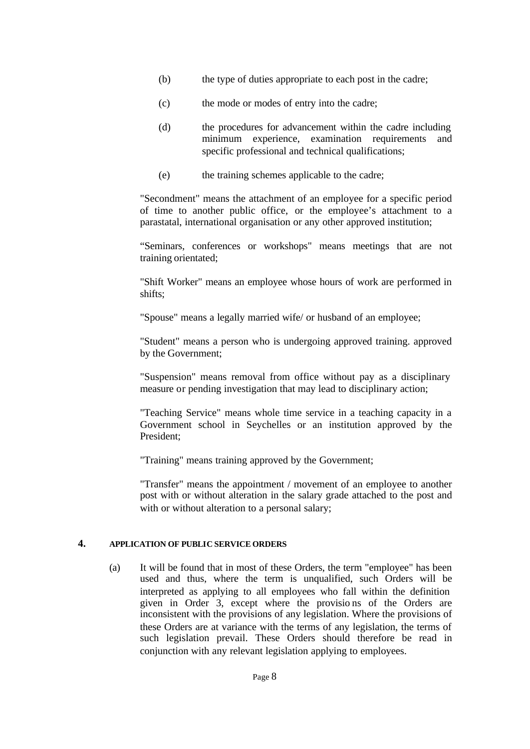- (b) the type of duties appropriate to each post in the cadre;
- (c) the mode or modes of entry into the cadre;
- (d) the procedures for advancement within the cadre including minimum experience, examination requirements and specific professional and technical qualifications;
- (e) the training schemes applicable to the cadre;

"Secondment" means the attachment of an employee for a specific period of time to another public office, or the employee's attachment to a parastatal, international organisation or any other approved institution;

"Seminars, conferences or workshops" means meetings that are not training orientated;

"Shift Worker" means an employee whose hours of work are performed in shifts;

"Spouse" means a legally married wife/ or husband of an employee;

"Student" means a person who is undergoing approved training. approved by the Government;

"Suspension" means removal from office without pay as a disciplinary measure or pending investigation that may lead to disciplinary action;

"Teaching Service" means whole time service in a teaching capacity in a Government school in Seychelles or an institution approved by the President;

"Training" means training approved by the Government;

"Transfer" means the appointment / movement of an employee to another post with or without alteration in the salary grade attached to the post and with or without alteration to a personal salary;

## **4. APPLICATION OF PUBLIC SERVICE ORDERS**

(a) It will be found that in most of these Orders, the term "employee" has been used and thus, where the term is unqualified, such Orders will be interpreted as applying to all employees who fall within the definition given in Order 3, except where the provisio ns of the Orders are inconsistent with the provisions of any legislation. Where the provisions of these Orders are at variance with the terms of any legislation, the terms of such legislation prevail. These Orders should therefore be read in conjunction with any relevant legislation applying to employees.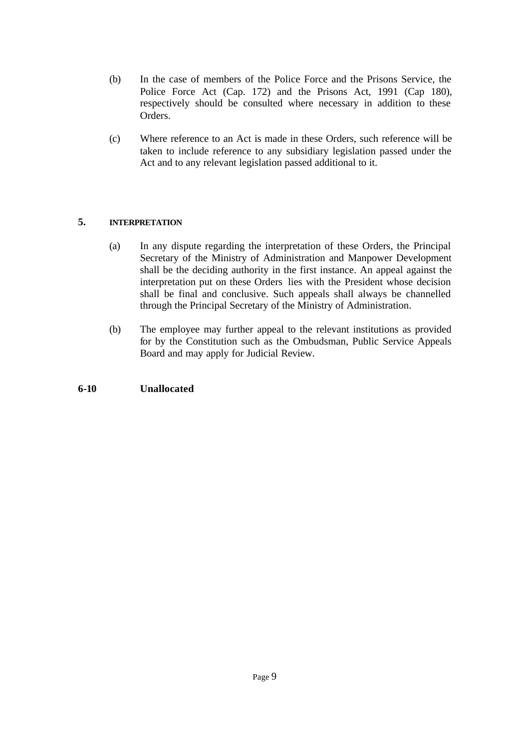- (b) In the case of members of the Police Force and the Prisons Service, the Police Force Act (Cap. 172) and the Prisons Act, 1991 (Cap 180), respectively should be consulted where necessary in addition to these Orders.
- (c) Where reference to an Act is made in these Orders, such reference will be taken to include reference to any subsidiary legislation passed under the Act and to any relevant legislation passed additional to it.

## **5. INTERPRETATION**

- (a) In any dispute regarding the interpretation of these Orders, the Principal Secretary of the Ministry of Administration and Manpower Development shall be the deciding authority in the first instance. An appeal against the interpretation put on these Orders lies with the President whose decision shall be final and conclusive. Such appeals shall always be channelled through the Principal Secretary of the Ministry of Administration.
- (b) The employee may further appeal to the relevant institutions as provided for by the Constitution such as the Ombudsman, Public Service Appeals Board and may apply for Judicial Review.

## **6-10 Unallocated**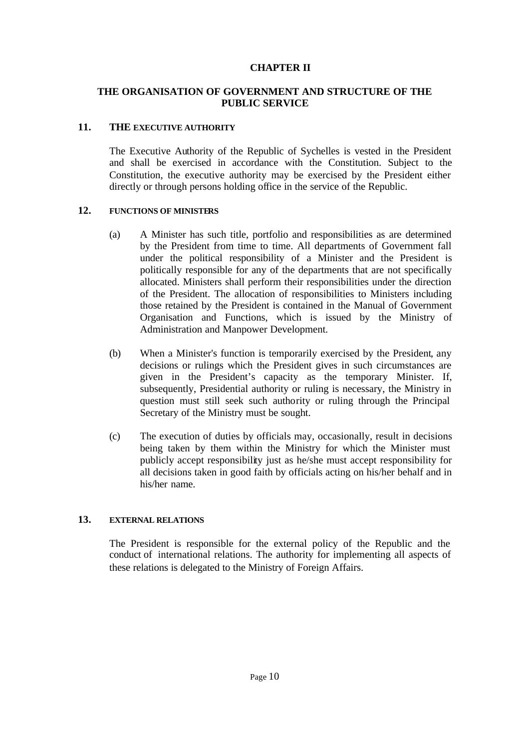## **CHAPTER II**

## **THE ORGANISATION OF GOVERNMENT AND STRUCTURE OF THE PUBLIC SERVICE**

#### **11. THE EXECUTIVE AUTHORITY**

The Executive Authority of the Republic of Sychelles is vested in the President and shall be exercised in accordance with the Constitution. Subject to the Constitution, the executive authority may be exercised by the President either directly or through persons holding office in the service of the Republic.

#### **12. FUNCTIONS OF MINISTERS**

- (a) A Minister has such title, portfolio and responsibilities as are determined by the President from time to time. All departments of Government fall under the political responsibility of a Minister and the President is politically responsible for any of the departments that are not specifically allocated. Ministers shall perform their responsibilities under the direction of the President. The allocation of responsibilities to Ministers including those retained by the President is contained in the Manual of Government Organisation and Functions, which is issued by the Ministry of Administration and Manpower Development.
- (b) When a Minister's function is temporarily exercised by the President, any decisions or rulings which the President gives in such circumstances are given in the President's capacity as the temporary Minister. If, subsequently, Presidential authority or ruling is necessary, the Ministry in question must still seek such authority or ruling through the Principal Secretary of the Ministry must be sought.
- (c) The execution of duties by officials may, occasionally, result in decisions being taken by them within the Ministry for which the Minister must publicly accept responsibility just as he/she must accept responsibility for all decisions taken in good faith by officials acting on his/her behalf and in his/her name.

## **13. EXTERNAL RELATIONS**

The President is responsible for the external policy of the Republic and the conduct of international relations. The authority for implementing all aspects of these relations is delegated to the Ministry of Foreign Affairs.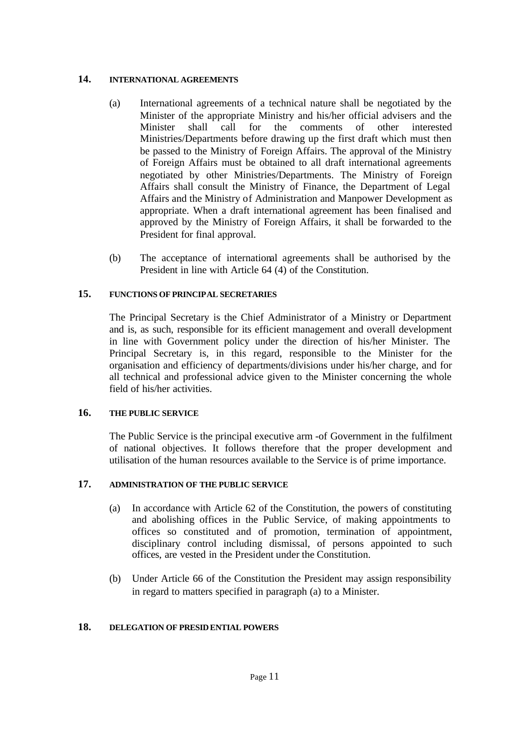## **14. INTERNATIONAL AGREEMENTS**

- (a) International agreements of a technical nature shall be negotiated by the Minister of the appropriate Ministry and his/her official advisers and the Minister shall call for the comments of other interested Ministries/Departments before drawing up the first draft which must then be passed to the Ministry of Foreign Affairs. The approval of the Ministry of Foreign Affairs must be obtained to all draft international agreements negotiated by other Ministries/Departments. The Ministry of Foreign Affairs shall consult the Ministry of Finance, the Department of Legal Affairs and the Ministry of Administration and Manpower Development as appropriate. When a draft international agreement has been finalised and approved by the Ministry of Foreign Affairs, it shall be forwarded to the President for final approval.
- (b) The acceptance of international agreements shall be authorised by the President in line with Article 64 (4) of the Constitution.

## **15. FUNCTIONS OF PRINCIPAL SECRETARIES**

The Principal Secretary is the Chief Administrator of a Ministry or Department and is, as such, responsible for its efficient management and overall development in line with Government policy under the direction of his/her Minister. The Principal Secretary is, in this regard, responsible to the Minister for the organisation and efficiency of departments/divisions under his/her charge, and for all technical and professional advice given to the Minister concerning the whole field of his/her activities.

## **16. THE PUBLIC SERVICE**

The Public Service is the principal executive arm -of Government in the fulfilment of national objectives. It follows therefore that the proper development and utilisation of the human resources available to the Service is of prime importance.

## **17. ADMINISTRATION OF THE PUBLIC SERVICE**

- (a) In accordance with Article 62 of the Constitution, the powers of constituting and abolishing offices in the Public Service, of making appointments to offices so constituted and of promotion, termination of appointment, disciplinary control including dismissal, of persons appointed to such offices, are vested in the President under the Constitution.
- (b) Under Article 66 of the Constitution the President may assign responsibility in regard to matters specified in paragraph (a) to a Minister.

## **18. DELEGATION OF PRESIDENTIAL POWERS**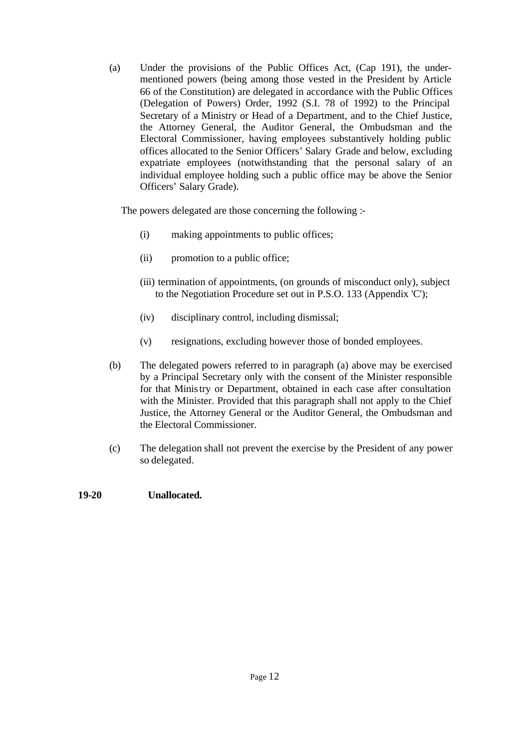(a) Under the provisions of the Public Offices Act, (Cap 191), the undermentioned powers (being among those vested in the President by Article 66 of the Constitution) are delegated in accordance with the Public Offices (Delegation of Powers) Order, 1992 (S.I. 78 of 1992) to the Principal Secretary of a Ministry or Head of a Department, and to the Chief Justice, the Attorney General, the Auditor General, the Ombudsman and the Electoral Commissioner, having employees substantively holding public offices allocated to the Senior Officers' Salary Grade and below, excluding expatriate employees (notwithstanding that the personal salary of an individual employee holding such a public office may be above the Senior Officers' Salary Grade).

The powers delegated are those concerning the following :-

- (i) making appointments to public offices;
- (ii) promotion to a public office;
- (iii) termination of appointments, (on grounds of misconduct only), subject to the Negotiation Procedure set out in P.S.O. 133 (Appendix 'C');
- (iv) disciplinary control, including dismissal;
- (v) resignations, excluding however those of bonded employees.
- (b) The delegated powers referred to in paragraph (a) above may be exercised by a Principal Secretary only with the consent of the Minister responsible for that Ministry or Department, obtained in each case after consultation with the Minister. Provided that this paragraph shall not apply to the Chief Justice, the Attorney General or the Auditor General, the Ombudsman and the Electoral Commissioner.
- (c) The delegation shall not prevent the exercise by the President of any power so delegated.

## **19-20 Unallocated.**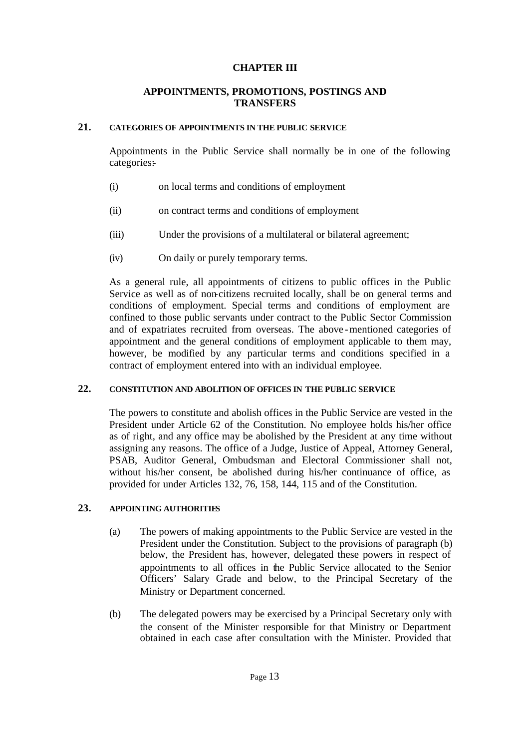#### **CHAPTER III**

## **APPOINTMENTS, PROMOTIONS, POSTINGS AND TRANSFERS**

#### **21. CATEGORIES OF APPOINTMENTS IN THE PUBLIC SERVICE**

Appointments in the Public Service shall normally be in one of the following categories:

- (i) on local terms and conditions of employment
- (ii) on contract terms and conditions of employment
- (iii) Under the provisions of a multilateral or bilateral agreement;
- (iv) On daily or purely temporary terms.

As a general rule, all appointments of citizens to public offices in the Public Service as well as of non-citizens recruited locally, shall be on general terms and conditions of employment. Special terms and conditions of employment are confined to those public servants under contract to the Public Sector Commission and of expatriates recruited from overseas. The above -mentioned categories of appointment and the general conditions of employment applicable to them may, however, be modified by any particular terms and conditions specified in a contract of employment entered into with an individual employee.

## **22. CONSTITUTION AND ABOLITION OF OFFICES IN THE PUBLIC SERVICE**

The powers to constitute and abolish offices in the Public Service are vested in the President under Article 62 of the Constitution. No employee holds his/her office as of right, and any office may be abolished by the President at any time without assigning any reasons. The office of a Judge, Justice of Appeal, Attorney General, PSAB, Auditor General, Ombudsman and Electoral Commissioner shall not, without his/her consent, be abolished during his/her continuance of office, as provided for under Articles 132, 76, 158, 144, 115 and of the Constitution.

## **23. APPOINTING AUTHORITIES**

- (a) The powers of making appointments to the Public Service are vested in the President under the Constitution. Subject to the provisions of paragraph (b) below, the President has, however, delegated these powers in respect of appointments to all offices in the Public Service allocated to the Senior Officers' Salary Grade and below, to the Principal Secretary of the Ministry or Department concerned.
- (b) The delegated powers may be exercised by a Principal Secretary only with the consent of the Minister responsible for that Ministry or Department obtained in each case after consultation with the Minister. Provided that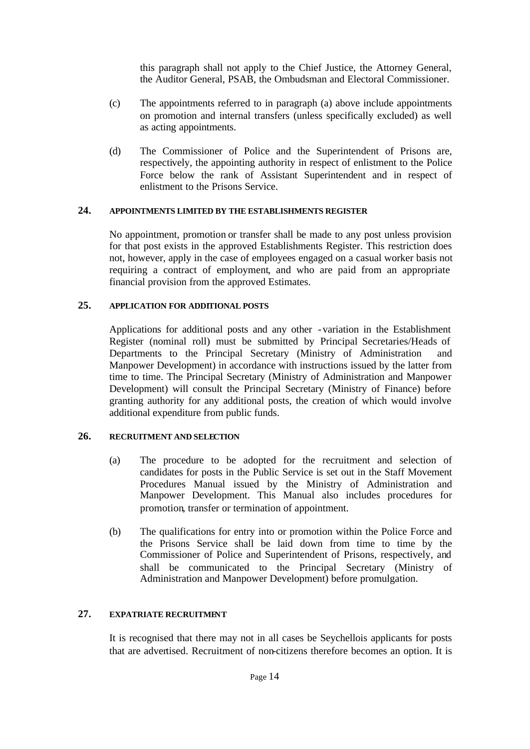this paragraph shall not apply to the Chief Justice, the Attorney General, the Auditor General, PSAB, the Ombudsman and Electoral Commissioner.

- (c) The appointments referred to in paragraph (a) above include appointments on promotion and internal transfers (unless specifically excluded) as well as acting appointments.
- (d) The Commissioner of Police and the Superintendent of Prisons are, respectively, the appointing authority in respect of enlistment to the Police Force below the rank of Assistant Superintendent and in respect of enlistment to the Prisons Service.

## **24. APPOINTMENTS LIMITED BY THE ESTABLISHMENTS REGISTER**

No appointment, promotion or transfer shall be made to any post unless provision for that post exists in the approved Establishments Register. This restriction does not, however, apply in the case of employees engaged on a casual worker basis not requiring a contract of employment, and who are paid from an appropriate financial provision from the approved Estimates.

#### **25. APPLICATION FOR ADDITIONAL POSTS**

Applications for additional posts and any other -variation in the Establishment Register (nominal roll) must be submitted by Principal Secretaries/Heads of Departments to the Principal Secretary (Ministry of Administration and Manpower Development) in accordance with instructions issued by the latter from time to time. The Principal Secretary (Ministry of Administration and Manpower Development) will consult the Principal Secretary (Ministry of Finance) before granting authority for any additional posts, the creation of which would involve additional expenditure from public funds.

## **26. RECRUITMENT AND SELECTION**

- (a) The procedure to be adopted for the recruitment and selection of candidates for posts in the Public Service is set out in the Staff Movement Procedures Manual issued by the Ministry of Administration and Manpower Development. This Manual also includes procedures for promotion, transfer or termination of appointment.
- (b) The qualifications for entry into or promotion within the Police Force and the Prisons Service shall be laid down from time to time by the Commissioner of Police and Superintendent of Prisons, respectively, and shall be communicated to the Principal Secretary (Ministry of Administration and Manpower Development) before promulgation.

## **27. EXPATRIATE RECRUITMENT**

It is recognised that there may not in all cases be Seychellois applicants for posts that are advertised. Recruitment of non-citizens therefore becomes an option. It is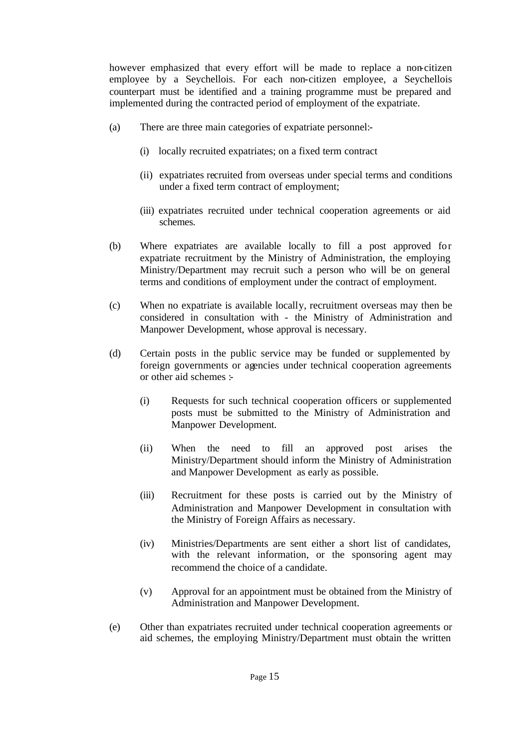however emphasized that every effort will be made to replace a non-citizen employee by a Seychellois. For each non-citizen employee, a Seychellois counterpart must be identified and a training programme must be prepared and implemented during the contracted period of employment of the expatriate.

- (a) There are three main categories of expatriate personnel:-
	- (i) locally recruited expatriates; on a fixed term contract
	- (ii) expatriates recruited from overseas under special terms and conditions under a fixed term contract of employment;
	- (iii) expatriates recruited under technical cooperation agreements or aid schemes.
- (b) Where expatriates are available locally to fill a post approved for expatriate recruitment by the Ministry of Administration, the employing Ministry/Department may recruit such a person who will be on general terms and conditions of employment under the contract of employment.
- (c) When no expatriate is available locally, recruitment overseas may then be considered in consultation with - the Ministry of Administration and Manpower Development, whose approval is necessary.
- (d) Certain posts in the public service may be funded or supplemented by foreign governments or agencies under technical cooperation agreements or other aid schemes :-
	- (i) Requests for such technical cooperation officers or supplemented posts must be submitted to the Ministry of Administration and Manpower Development.
	- (ii) When the need to fill an approved post arises the Ministry/Department should inform the Ministry of Administration and Manpower Development as early as possible.
	- (iii) Recruitment for these posts is carried out by the Ministry of Administration and Manpower Development in consultation with the Ministry of Foreign Affairs as necessary.
	- (iv) Ministries/Departments are sent either a short list of candidates, with the relevant information, or the sponsoring agent may recommend the choice of a candidate.
	- (v) Approval for an appointment must be obtained from the Ministry of Administration and Manpower Development.
- (e) Other than expatriates recruited under technical cooperation agreements or aid schemes, the employing Ministry/Department must obtain the written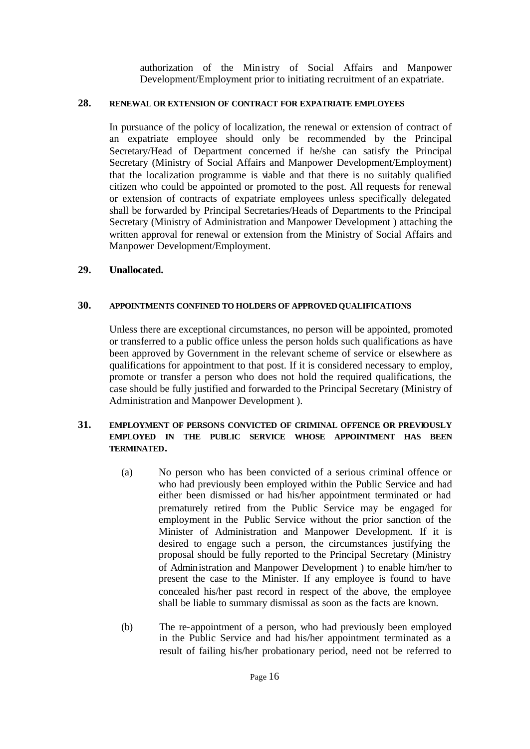authorization of the Ministry of Social Affairs and Manpower Development/Employment prior to initiating recruitment of an expatriate.

## **28. RENEWAL OR EXTENSION OF CONTRACT FOR EXPATRIATE EMPLOYEES**

In pursuance of the policy of localization, the renewal or extension of contract of an expatriate employee should only be recommended by the Principal Secretary/Head of Department concerned if he/she can satisfy the Principal Secretary (Ministry of Social Affairs and Manpower Development/Employment) that the localization programme is viable and that there is no suitably qualified citizen who could be appointed or promoted to the post. All requests for renewal or extension of contracts of expatriate employees unless specifically delegated shall be forwarded by Principal Secretaries/Heads of Departments to the Principal Secretary (Ministry of Administration and Manpower Development ) attaching the written approval for renewal or extension from the Ministry of Social Affairs and Manpower Development/Employment.

## **29. Unallocated.**

#### **30. APPOINTMENTS CONFINED TO HOLDERS OF APPROVED QUALIFICATIONS**

Unless there are exceptional circumstances, no person will be appointed, promoted or transferred to a public office unless the person holds such qualifications as have been approved by Government in the relevant scheme of service or elsewhere as qualifications for appointment to that post. If it is considered necessary to employ, promote or transfer a person who does not hold the required qualifications, the case should be fully justified and forwarded to the Principal Secretary (Ministry of Administration and Manpower Development ).

#### **31. EMPLOYMENT OF PERSONS CONVICTED OF CRIMINAL OFFENCE OR PREVIOUSLY EMPLOYED IN THE PUBLIC SERVICE WHOSE APPOINTMENT HAS BEEN TERMINATED.**

- (a) No person who has been convicted of a serious criminal offence or who had previously been employed within the Public Service and had either been dismissed or had his/her appointment terminated or had prematurely retired from the Public Service may be engaged for employment in the Public Service without the prior sanction of the Minister of Administration and Manpower Development. If it is desired to engage such a person, the circumstances justifying the proposal should be fully reported to the Principal Secretary (Ministry of Administration and Manpower Development ) to enable him/her to present the case to the Minister. If any employee is found to have concealed his/her past record in respect of the above, the employee shall be liable to summary dismissal as soon as the facts are known.
- (b) The re-appointment of a person, who had previously been employed in the Public Service and had his/her appointment terminated as a result of failing his/her probationary period, need not be referred to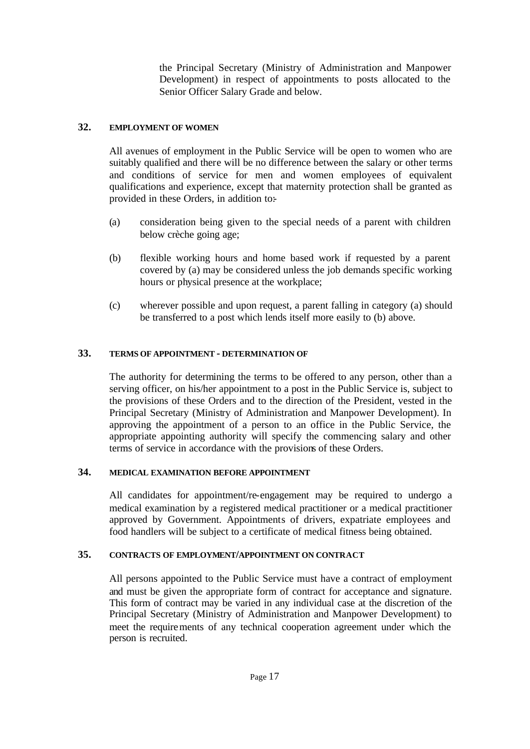the Principal Secretary (Ministry of Administration and Manpower Development) in respect of appointments to posts allocated to the Senior Officer Salary Grade and below.

## **32. EMPLOYMENT OF WOMEN**

All avenues of employment in the Public Service will be open to women who are suitably qualified and there will be no difference between the salary or other terms and conditions of service for men and women employees of equivalent qualifications and experience, except that maternity protection shall be granted as provided in these Orders, in addition to:-

- (a) consideration being given to the special needs of a parent with children below crèche going age;
- (b) flexible working hours and home based work if requested by a parent covered by (a) may be considered unless the job demands specific working hours or physical presence at the workplace;
- (c) wherever possible and upon request, a parent falling in category (a) should be transferred to a post which lends itself more easily to (b) above.

## **33. TERMS OF APPOINTMENT - DETERMINATION OF**

The authority for determining the terms to be offered to any person, other than a serving officer, on his/her appointment to a post in the Public Service is, subject to the provisions of these Orders and to the direction of the President, vested in the Principal Secretary (Ministry of Administration and Manpower Development). In approving the appointment of a person to an office in the Public Service, the appropriate appointing authority will specify the commencing salary and other terms of service in accordance with the provisions of these Orders.

## **34. MEDICAL EXAMINATION BEFORE APPOINTMENT**

All candidates for appointment/re-engagement may be required to undergo a medical examination by a registered medical practitioner or a medical practitioner approved by Government. Appointments of drivers, expatriate employees and food handlers will be subject to a certificate of medical fitness being obtained.

## **35. CONTRACTS OF EMPLOYMENT/APPOINTMENT ON CONTRACT**

All persons appointed to the Public Service must have a contract of employment and must be given the appropriate form of contract for acceptance and signature. This form of contract may be varied in any individual case at the discretion of the Principal Secretary (Ministry of Administration and Manpower Development) to meet the requirements of any technical cooperation agreement under which the person is recruited.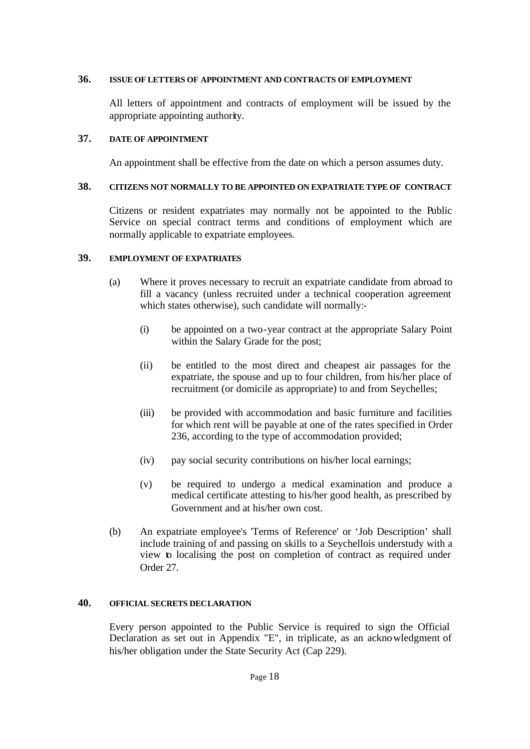#### **36. ISSUE OF LETTERS OF APPOINTMENT AND CONTRACTS OF EMPLOYMENT**

All letters of appointment and contracts of employment will be issued by the appropriate appointing authority.

#### **37. DATE OF APPOINTMENT**

An appointment shall be effective from the date on which a person assumes duty.

#### **38. CITIZENS NOT NORMALLY TO BE APPOINTED ON EXPATRIATE TYPE OF CONTRACT**

Citizens or resident expatriates may normally not be appointed to the Public Service on special contract terms and conditions of employment which are normally applicable to expatriate employees.

### **39. EMPLOYMENT OF EXPATRIATES**

- (a) Where it proves necessary to recruit an expatriate candidate from abroad to fill a vacancy (unless recruited under a technical cooperation agreement which states otherwise), such candidate will normally:-
	- (i) be appointed on a two-year contract at the appropriate Salary Point within the Salary Grade for the post;
	- (ii) be entitled to the most direct and cheapest air passages for the expatriate, the spouse and up to four children, from his/her place of recruitment (or domicile as appropriate) to and from Seychelles;
	- (iii) be provided with accommodation and basic furniture and facilities for which rent will be payable at one of the rates specified in Order 236, according to the type of accommodation provided;
	- (iv) pay social security contributions on his/her local earnings;
	- (v) be required to undergo a medical examination and produce a medical certificate attesting to his/her good health, as prescribed by Government and at his/her own cost.
- (b) An expatriate employee's 'Terms of Reference' or 'Job Description' shall include training of and passing on skills to a Seychellois understudy with a view to localising the post on completion of contract as required under Order 27.

## **40. OFFICIAL SECRETS DECLARATION**

Every person appointed to the Public Service is required to sign the Official Declaration as set out in Appendix "E", in triplicate, as an acknowledgment of his/her obligation under the State Security Act (Cap 229).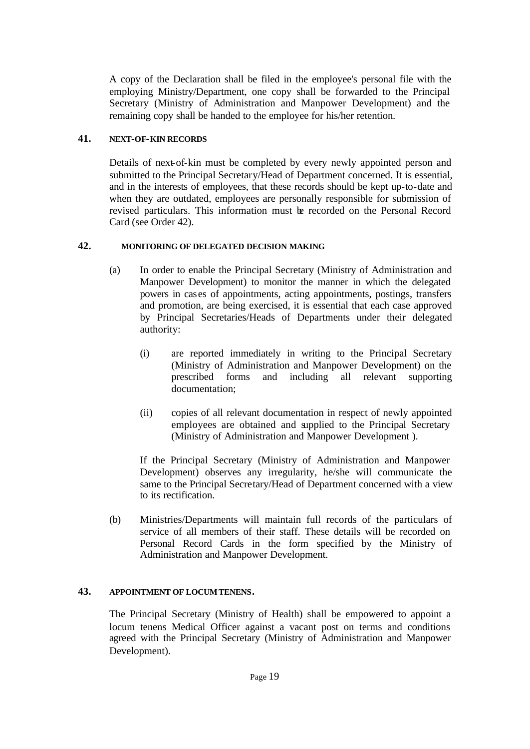A copy of the Declaration shall be filed in the employee's personal file with the employing Ministry/Department, one copy shall be forwarded to the Principal Secretary (Ministry of Administration and Manpower Development) and the remaining copy shall be handed to the employee for his/her retention.

## **41. NEXT-OF-KIN RECORDS**

Details of next-of-kin must be completed by every newly appointed person and submitted to the Principal Secretary/Head of Department concerned. It is essential, and in the interests of employees, that these records should be kept up-to-date and when they are outdated, employees are personally responsible for submission of revised particulars. This information must be recorded on the Personal Record Card (see Order 42).

## **42. MONITORING OF DELEGATED DECISION MAKING**

- (a) In order to enable the Principal Secretary (Ministry of Administration and Manpower Development) to monitor the manner in which the delegated powers in cases of appointments, acting appointments, postings, transfers and promotion, are being exercised, it is essential that each case approved by Principal Secretaries/Heads of Departments under their delegated authority:
	- (i) are reported immediately in writing to the Principal Secretary (Ministry of Administration and Manpower Development) on the prescribed forms and including all relevant supporting documentation;
	- (ii) copies of all relevant documentation in respect of newly appointed employees are obtained and supplied to the Principal Secretary (Ministry of Administration and Manpower Development ).

If the Principal Secretary (Ministry of Administration and Manpower Development) observes any irregularity, he/she will communicate the same to the Principal Secretary/Head of Department concerned with a view to its rectification.

(b) Ministries/Departments will maintain full records of the particulars of service of all members of their staff. These details will be recorded on Personal Record Cards in the form specified by the Ministry of Administration and Manpower Development.

## **43. APPOINTMENT OF LOCUM TENENS.**

The Principal Secretary (Ministry of Health) shall be empowered to appoint a locum tenens Medical Officer against a vacant post on terms and conditions agreed with the Principal Secretary (Ministry of Administration and Manpower Development).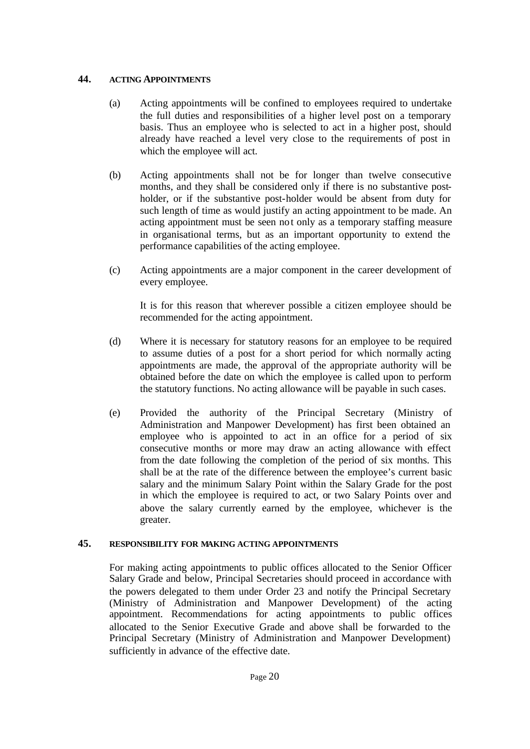## **44. ACTING APPOINTMENTS**

- (a) Acting appointments will be confined to employees required to undertake the full duties and responsibilities of a higher level post on a temporary basis. Thus an employee who is selected to act in a higher post, should already have reached a level very close to the requirements of post in which the employee will act.
- (b) Acting appointments shall not be for longer than twelve consecutive months, and they shall be considered only if there is no substantive postholder, or if the substantive post-holder would be absent from duty for such length of time as would justify an acting appointment to be made. An acting appointment must be seen not only as a temporary staffing measure in organisational terms, but as an important opportunity to extend the performance capabilities of the acting employee.
- (c) Acting appointments are a major component in the career development of every employee.

It is for this reason that wherever possible a citizen employee should be recommended for the acting appointment.

- (d) Where it is necessary for statutory reasons for an employee to be required to assume duties of a post for a short period for which normally acting appointments are made, the approval of the appropriate authority will be obtained before the date on which the employee is called upon to perform the statutory functions. No acting allowance will be payable in such cases.
- (e) Provided the authority of the Principal Secretary (Ministry of Administration and Manpower Development) has first been obtained an employee who is appointed to act in an office for a period of six consecutive months or more may draw an acting allowance with effect from the date following the completion of the period of six months. This shall be at the rate of the difference between the employee's current basic salary and the minimum Salary Point within the Salary Grade for the post in which the employee is required to act, or two Salary Points over and above the salary currently earned by the employee, whichever is the greater.

## **45. RESPONSIBILITY FOR MAKING ACTING APPOINTMENTS**

For making acting appointments to public offices allocated to the Senior Officer Salary Grade and below, Principal Secretaries should proceed in accordance with the powers delegated to them under Order 23 and notify the Principal Secretary (Ministry of Administration and Manpower Development) of the acting appointment. Recommendations for acting appointments to public offices allocated to the Senior Executive Grade and above shall be forwarded to the Principal Secretary (Ministry of Administration and Manpower Development) sufficiently in advance of the effective date.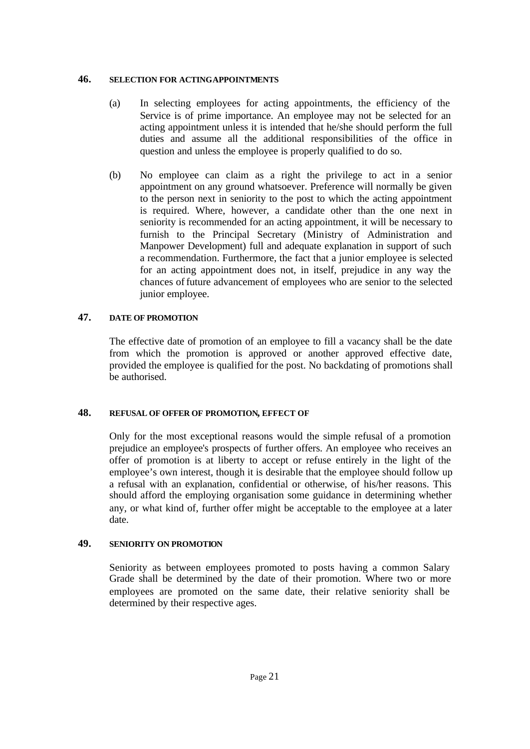#### **46. SELECTION FOR ACTING APPOINTMENTS**

- (a) In selecting employees for acting appointments, the efficiency of the Service is of prime importance. An employee may not be selected for an acting appointment unless it is intended that he/she should perform the full duties and assume all the additional responsibilities of the office in question and unless the employee is properly qualified to do so.
- (b) No employee can claim as a right the privilege to act in a senior appointment on any ground whatsoever. Preference will normally be given to the person next in seniority to the post to which the acting appointment is required. Where, however, a candidate other than the one next in seniority is recommended for an acting appointment, it will be necessary to furnish to the Principal Secretary (Ministry of Administration and Manpower Development) full and adequate explanation in support of such a recommendation. Furthermore, the fact that a junior employee is selected for an acting appointment does not, in itself, prejudice in any way the chances of future advancement of employees who are senior to the selected junior employee.

## **47. DATE OF PROMOTION**

The effective date of promotion of an employee to fill a vacancy shall be the date from which the promotion is approved or another approved effective date, provided the employee is qualified for the post. No backdating of promotions shall be authorised.

## **48. REFUSAL OF OFFER OF PROMOTION, EFFECT OF**

Only for the most exceptional reasons would the simple refusal of a promotion prejudice an employee's prospects of further offers. An employee who receives an offer of promotion is at liberty to accept or refuse entirely in the light of the employee's own interest, though it is desirable that the employee should follow up a refusal with an explanation, confidential or otherwise, of his/her reasons. This should afford the employing organisation some guidance in determining whether any, or what kind of, further offer might be acceptable to the employee at a later date.

## **49. SENIORITY ON PROMOTION**

Seniority as between employees promoted to posts having a common Salary Grade shall be determined by the date of their promotion. Where two or more employees are promoted on the same date, their relative seniority shall be determined by their respective ages.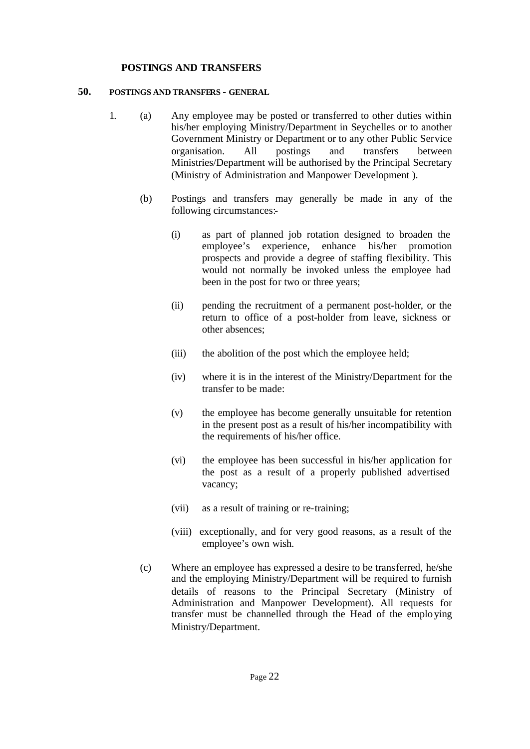#### **POSTINGS AND TRANSFERS**

#### **50. POSTINGS AND TRANSFERS - GENERAL**

- 1. (a) Any employee may be posted or transferred to other duties within his/her employing Ministry/Department in Seychelles or to another Government Ministry or Department or to any other Public Service organisation. All postings and transfers between Ministries/Department will be authorised by the Principal Secretary (Ministry of Administration and Manpower Development ).
	- (b) Postings and transfers may generally be made in any of the following circumstances:-
		- (i) as part of planned job rotation designed to broaden the employee's experience, enhance his/her promotion prospects and provide a degree of staffing flexibility. This would not normally be invoked unless the employee had been in the post for two or three years;
		- (ii) pending the recruitment of a permanent post-holder, or the return to office of a post-holder from leave, sickness or other absences;
		- (iii) the abolition of the post which the employee held;
		- (iv) where it is in the interest of the Ministry/Department for the transfer to be made:
		- (v) the employee has become generally unsuitable for retention in the present post as a result of his/her incompatibility with the requirements of his/her office.
		- (vi) the employee has been successful in his/her application for the post as a result of a properly published advertised vacancy;
		- (vii) as a result of training or re-training;
		- (viii) exceptionally, and for very good reasons, as a result of the employee's own wish.
	- (c) Where an employee has expressed a desire to be transferred, he/she and the employing Ministry/Department will be required to furnish details of reasons to the Principal Secretary (Ministry of Administration and Manpower Development). All requests for transfer must be channelled through the Head of the emplo ying Ministry/Department.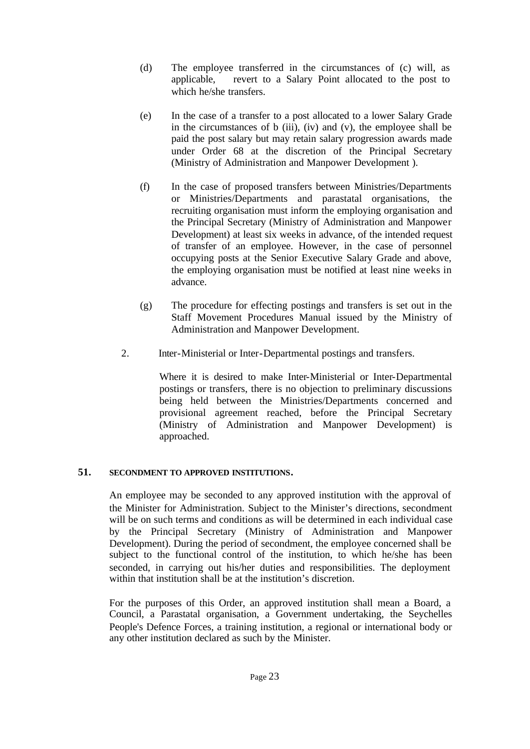- (d) The employee transferred in the circumstances of (c) will, as applicable, revert to a Salary Point allocated to the post to which he/she transfers.
- (e) In the case of a transfer to a post allocated to a lower Salary Grade in the circumstances of  $b$  (iii), (iv) and (v), the employee shall be paid the post salary but may retain salary progression awards made under Order 68 at the discretion of the Principal Secretary (Ministry of Administration and Manpower Development ).
- (f) In the case of proposed transfers between Ministries/Departments or Ministries/Departments and parastatal organisations, the recruiting organisation must inform the employing organisation and the Principal Secretary (Ministry of Administration and Manpower Development) at least six weeks in advance, of the intended request of transfer of an employee. However, in the case of personnel occupying posts at the Senior Executive Salary Grade and above, the employing organisation must be notified at least nine weeks in advance.
- (g) The procedure for effecting postings and transfers is set out in the Staff Movement Procedures Manual issued by the Ministry of Administration and Manpower Development.
- 2. Inter-Ministerial or Inter-Departmental postings and transfers.

Where it is desired to make Inter-Ministerial or Inter-Departmental postings or transfers, there is no objection to preliminary discussions being held between the Ministries/Departments concerned and provisional agreement reached, before the Principal Secretary (Ministry of Administration and Manpower Development) is approached.

## **51. SECONDMENT TO APPROVED INSTITUTIONS.**

An employee may be seconded to any approved institution with the approval of the Minister for Administration. Subject to the Minister's directions, secondment will be on such terms and conditions as will be determined in each individual case by the Principal Secretary (Ministry of Administration and Manpower Development). During the period of secondment, the employee concerned shall be subject to the functional control of the institution, to which he/she has been seconded, in carrying out his/her duties and responsibilities. The deployment within that institution shall be at the institution's discretion.

For the purposes of this Order, an approved institution shall mean a Board, a Council, a Parastatal organisation, a Government undertaking, the Seychelles People's Defence Forces, a training institution, a regional or international body or any other institution declared as such by the Minister.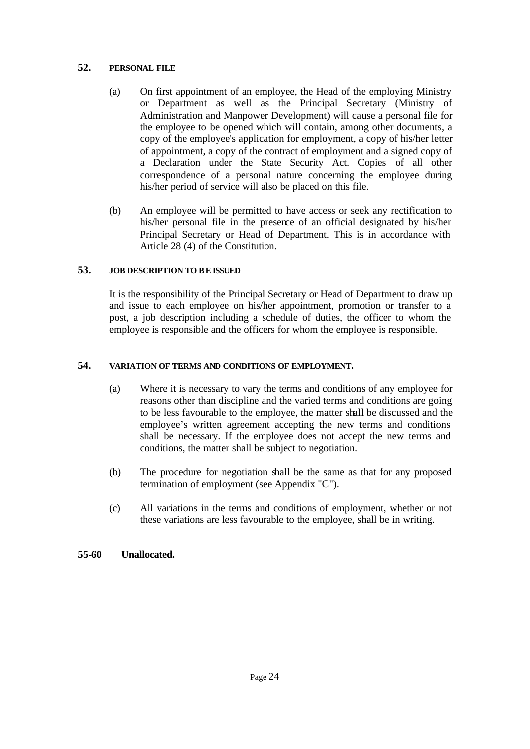## **52. PERSONAL FILE**

- (a) On first appointment of an employee, the Head of the employing Ministry or Department as well as the Principal Secretary (Ministry of Administration and Manpower Development) will cause a personal file for the employee to be opened which will contain, among other documents, a copy of the employee's application for employment, a copy of his/her letter of appointment, a copy of the contract of employment and a signed copy of a Declaration under the State Security Act. Copies of all other correspondence of a personal nature concerning the employee during his/her period of service will also be placed on this file.
- (b) An employee will be permitted to have access or seek any rectification to his/her personal file in the presence of an official designated by his/her Principal Secretary or Head of Department. This is in accordance with Article 28 (4) of the Constitution.

## **53. JOB DESCRIPTION TO BE ISSUED**

It is the responsibility of the Principal Secretary or Head of Department to draw up and issue to each employee on his/her appointment, promotion or transfer to a post, a job description including a schedule of duties, the officer to whom the employee is responsible and the officers for whom the employee is responsible.

## **54. VARIATION OF TERMS AND CONDITIONS OF EMPLOYMENT.**

- (a) Where it is necessary to vary the terms and conditions of any employee for reasons other than discipline and the varied terms and conditions are going to be less favourable to the employee, the matter shall be discussed and the employee's written agreement accepting the new terms and conditions shall be necessary. If the employee does not accept the new terms and conditions, the matter shall be subject to negotiation.
- (b) The procedure for negotiation shall be the same as that for any proposed termination of employment (see Appendix "C").
- (c) All variations in the terms and conditions of employment, whether or not these variations are less favourable to the employee, shall be in writing.

## **55-60 Unallocated.**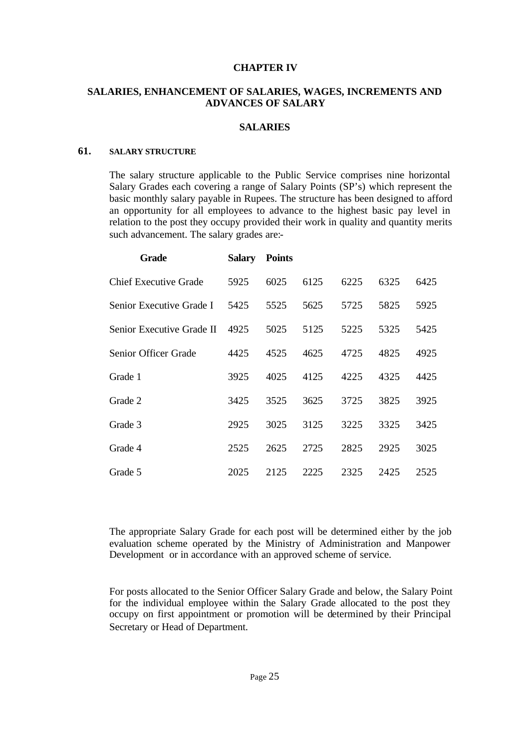#### **CHAPTER IV**

#### **SALARIES, ENHANCEMENT OF SALARIES, WAGES, INCREMENTS AND ADVANCES OF SALARY**

#### **SALARIES**

## **61. SALARY STRUCTURE**

The salary structure applicable to the Public Service comprises nine horizontal Salary Grades each covering a range of Salary Points (SP's) which represent the basic monthly salary payable in Rupees. The structure has been designed to afford an opportunity for all employees to advance to the highest basic pay level in relation to the post they occupy provided their work in quality and quantity merits such advancement. The salary grades are:-

| <b>Grade</b>                 | Salary | <b>Points</b> |      |      |      |      |
|------------------------------|--------|---------------|------|------|------|------|
| <b>Chief Executive Grade</b> | 5925   | 6025          | 6125 | 6225 | 6325 | 6425 |
| Senior Executive Grade I     | 5425   | 5525          | 5625 | 5725 | 5825 | 5925 |
| Senior Executive Grade II    | 4925   | 5025          | 5125 | 5225 | 5325 | 5425 |
| Senior Officer Grade         | 4425   | 4525          | 4625 | 4725 | 4825 | 4925 |
| Grade 1                      | 3925   | 4025          | 4125 | 4225 | 4325 | 4425 |
| Grade 2                      | 3425   | 3525          | 3625 | 3725 | 3825 | 3925 |
| Grade 3                      | 2925   | 3025          | 3125 | 3225 | 3325 | 3425 |
| Grade 4                      | 2525   | 2625          | 2725 | 2825 | 2925 | 3025 |
| Grade 5                      | 2025   | 2125          | 2225 | 2325 | 2425 | 2525 |

The appropriate Salary Grade for each post will be determined either by the job evaluation scheme operated by the Ministry of Administration and Manpower Development or in accordance with an approved scheme of service.

For posts allocated to the Senior Officer Salary Grade and below, the Salary Point for the individual employee within the Salary Grade allocated to the post they occupy on first appointment or promotion will be determined by their Principal Secretary or Head of Department.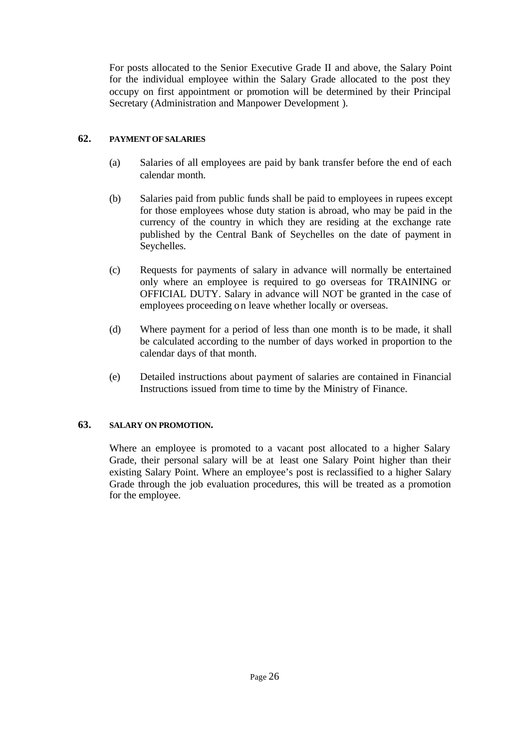For posts allocated to the Senior Executive Grade II and above, the Salary Point for the individual employee within the Salary Grade allocated to the post they occupy on first appointment or promotion will be determined by their Principal Secretary (Administration and Manpower Development ).

## **62. PAYMENT OF SALARIES**

- (a) Salaries of all employees are paid by bank transfer before the end of each calendar month.
- (b) Salaries paid from public funds shall be paid to employees in rupees except for those employees whose duty station is abroad, who may be paid in the currency of the country in which they are residing at the exchange rate published by the Central Bank of Seychelles on the date of payment in Seychelles.
- (c) Requests for payments of salary in advance will normally be entertained only where an employee is required to go overseas for TRAINING or OFFICIAL DUTY. Salary in advance will NOT be granted in the case of employees proceeding on leave whether locally or overseas.
- (d) Where payment for a period of less than one month is to be made, it shall be calculated according to the number of days worked in proportion to the calendar days of that month.
- (e) Detailed instructions about payment of salaries are contained in Financial Instructions issued from time to time by the Ministry of Finance.

## **63. SALARY ON PROMOTION.**

Where an employee is promoted to a vacant post allocated to a higher Salary Grade, their personal salary will be at least one Salary Point higher than their existing Salary Point. Where an employee's post is reclassified to a higher Salary Grade through the job evaluation procedures, this will be treated as a promotion for the employee.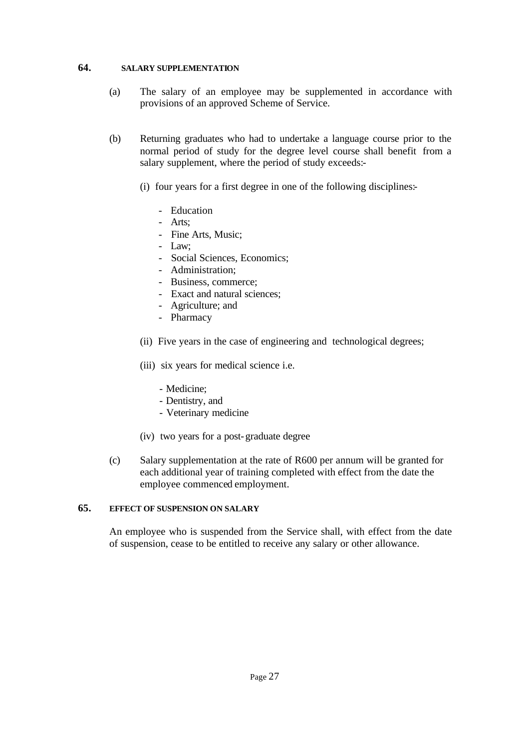#### **64. SALARY SUPPLEMENTATION**

- (a) The salary of an employee may be supplemented in accordance with provisions of an approved Scheme of Service.
- (b) Returning graduates who had to undertake a language course prior to the normal period of study for the degree level course shall benefit from a salary supplement, where the period of study exceeds:-
	- (i) four years for a first degree in one of the following disciplines:-
		- Education
		- Arts;
		- Fine Arts, Music;
		- Law;
		- Social Sciences, Economics;
		- Administration;
		- Business, commerce;
		- Exact and natural sciences;
		- Agriculture; and
		- Pharmacy
	- (ii) Five years in the case of engineering and technological degrees;
	- (iii) six years for medical science i.e.
		- Medicine;
		- Dentistry, and
		- Veterinary medicine
	- (iv) two years for a post-graduate degree
- (c) Salary supplementation at the rate of R600 per annum will be granted for each additional year of training completed with effect from the date the employee commenced employment.

## **65. EFFECT OF SUSPENSION ON SALARY**

An employee who is suspended from the Service shall, with effect from the date of suspension, cease to be entitled to receive any salary or other allowance.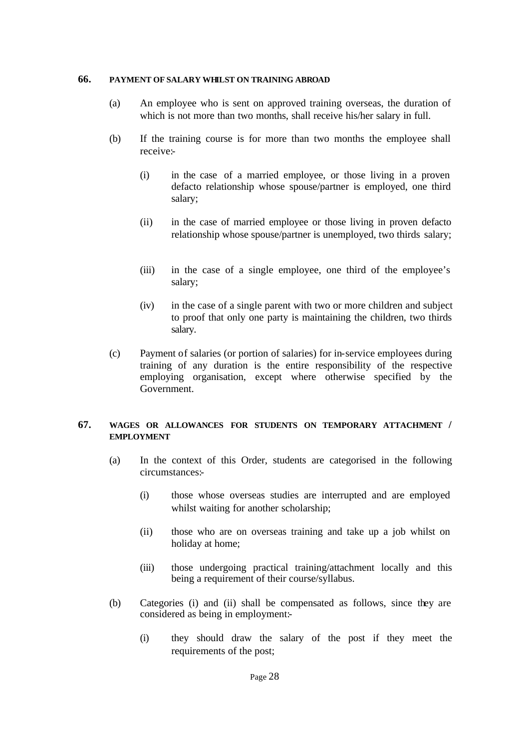#### **66. PAYMENT OF SALARY WHILST ON TRAINING ABROAD**

- (a) An employee who is sent on approved training overseas, the duration of which is not more than two months, shall receive his/her salary in full.
- (b) If the training course is for more than two months the employee shall receive:-
	- (i) in the case of a married employee, or those living in a proven defacto relationship whose spouse/partner is employed, one third salary;
	- (ii) in the case of married employee or those living in proven defacto relationship whose spouse/partner is unemployed, two thirds salary;
	- (iii) in the case of a single employee, one third of the employee's salary;
	- (iv) in the case of a single parent with two or more children and subject to proof that only one party is maintaining the children, two thirds salary.
- (c) Payment of salaries (or portion of salaries) for in-service employees during training of any duration is the entire responsibility of the respective employing organisation, except where otherwise specified by the Government.

## **67. WAGES OR ALLOWANCES FOR STUDENTS ON TEMPORARY ATTACHMENT / EMPLOYMENT**

- (a) In the context of this Order, students are categorised in the following circumstances:-
	- (i) those whose overseas studies are interrupted and are employed whilst waiting for another scholarship;
	- (ii) those who are on overseas training and take up a job whilst on holiday at home;
	- (iii) those undergoing practical training/attachment locally and this being a requirement of their course/syllabus.
- (b) Categories (i) and (ii) shall be compensated as follows, since they are considered as being in employment:-
	- (i) they should draw the salary of the post if they meet the requirements of the post;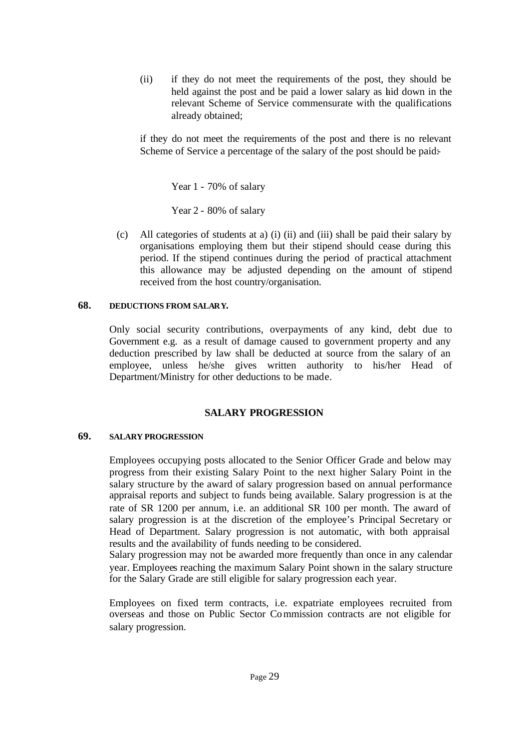(ii) if they do not meet the requirements of the post, they should be held against the post and be paid a lower salary as hid down in the relevant Scheme of Service commensurate with the qualifications already obtained;

if they do not meet the requirements of the post and there is no relevant Scheme of Service a percentage of the salary of the post should be paid:-

Year 1 - 70% of salary

Year 2 - 80% of salary

(c) All categories of students at a) (i) (ii) and (iii) shall be paid their salary by organisations employing them but their stipend should cease during this period. If the stipend continues during the period of practical attachment this allowance may be adjusted depending on the amount of stipend received from the host country/organisation.

#### **68. DEDUCTIONS FROM SALARY.**

Only social security contributions, overpayments of any kind, debt due to Government e.g. as a result of damage caused to government property and any deduction prescribed by law shall be deducted at source from the salary of an employee, unless he/she gives written authority to his/her Head of Department/Ministry for other deductions to be made.

## **SALARY PROGRESSION**

## **69. SALARY PROGRESSION**

Employees occupying posts allocated to the Senior Officer Grade and below may progress from their existing Salary Point to the next higher Salary Point in the salary structure by the award of salary progression based on annual performance appraisal reports and subject to funds being available. Salary progression is at the rate of SR 1200 per annum, i.e. an additional SR 100 per month. The award of salary progression is at the discretion of the employee's Principal Secretary or Head of Department. Salary progression is not automatic, with both appraisal results and the availability of funds needing to be considered.

Salary progression may not be awarded more frequently than once in any calendar year. Employees reaching the maximum Salary Point shown in the salary structure for the Salary Grade are still eligible for salary progression each year.

Employees on fixed term contracts, i.e. expatriate employees recruited from overseas and those on Public Sector Commission contracts are not eligible for salary progression.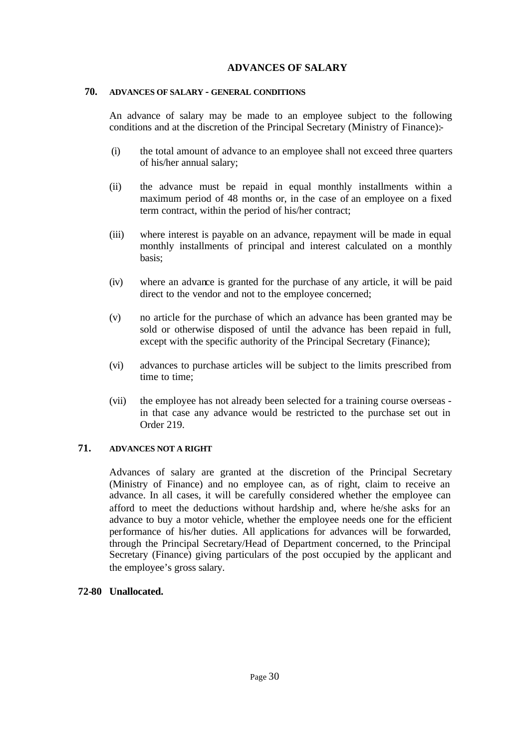## **ADVANCES OF SALARY**

#### **70. ADVANCES OF SALARY - GENERAL CONDITIONS**

An advance of salary may be made to an employee subject to the following conditions and at the discretion of the Principal Secretary (Ministry of Finance):-

- (i) the total amount of advance to an employee shall not exceed three quarters of his/her annual salary;
- (ii) the advance must be repaid in equal monthly installments within a maximum period of 48 months or, in the case of an employee on a fixed term contract, within the period of his/her contract;
- (iii) where interest is payable on an advance, repayment will be made in equal monthly installments of principal and interest calculated on a monthly basis;
- (iv) where an advance is granted for the purchase of any article, it will be paid direct to the vendor and not to the employee concerned;
- (v) no article for the purchase of which an advance has been granted may be sold or otherwise disposed of until the advance has been repaid in full, except with the specific authority of the Principal Secretary (Finance);
- (vi) advances to purchase articles will be subject to the limits prescribed from time to time;
- (vii) the employee has not already been selected for a training course overseas in that case any advance would be restricted to the purchase set out in Order 219.

## **71. ADVANCES NOT A RIGHT**

Advances of salary are granted at the discretion of the Principal Secretary (Ministry of Finance) and no employee can, as of right, claim to receive an advance. In all cases, it will be carefully considered whether the employee can afford to meet the deductions without hardship and, where he/she asks for an advance to buy a motor vehicle, whether the employee needs one for the efficient performance of his/her duties. All applications for advances will be forwarded, through the Principal Secretary/Head of Department concerned, to the Principal Secretary (Finance) giving particulars of the post occupied by the applicant and the employee's gross salary.

## **72-80 Unallocated.**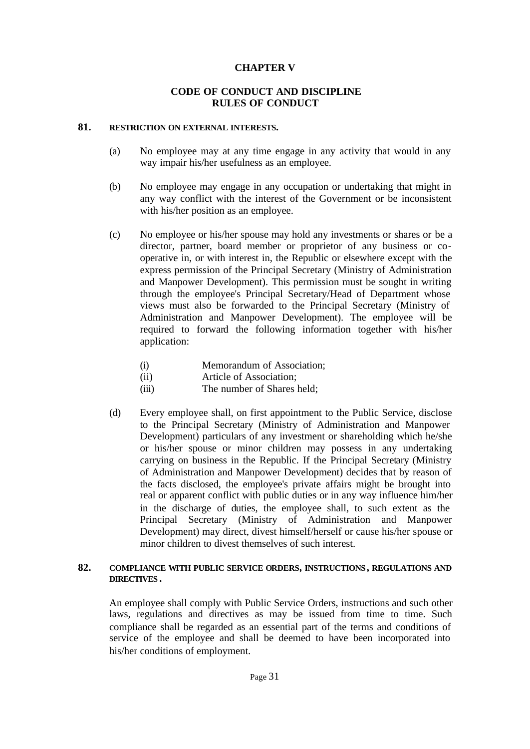## **CHAPTER V**

#### **CODE OF CONDUCT AND DISCIPLINE RULES OF CONDUCT**

#### **81. RESTRICTION ON EXTERNAL INTERESTS.**

- (a) No employee may at any time engage in any activity that would in any way impair his/her usefulness as an employee.
- (b) No employee may engage in any occupation or undertaking that might in any way conflict with the interest of the Government or be inconsistent with his/her position as an employee.
- (c) No employee or his/her spouse may hold any investments or shares or be a director, partner, board member or proprietor of any business or cooperative in, or with interest in, the Republic or elsewhere except with the express permission of the Principal Secretary (Ministry of Administration and Manpower Development). This permission must be sought in writing through the employee's Principal Secretary/Head of Department whose views must also be forwarded to the Principal Secretary (Ministry of Administration and Manpower Development). The employee will be required to forward the following information together with his/her application:
	- (i) Memorandum of Association;
	- (ii) Article of Association;
	- (iii) The number of Shares held;
- (d) Every employee shall, on first appointment to the Public Service, disclose to the Principal Secretary (Ministry of Administration and Manpower Development) particulars of any investment or shareholding which he/she or his/her spouse or minor children may possess in any undertaking carrying on business in the Republic. If the Principal Secretary (Ministry of Administration and Manpower Development) decides that by reason of the facts disclosed, the employee's private affairs might be brought into real or apparent conflict with public duties or in any way influence him/her in the discharge of duties, the employee shall, to such extent as the Principal Secretary (Ministry of Administration and Manpower Development) may direct, divest himself/herself or cause his/her spouse or minor children to divest themselves of such interest.

#### **82. COMPLIANCE WITH PUBLIC SERVICE ORDERS, INSTRUCTIONS, REGULATIONS AND DIRECTIVES .**

An employee shall comply with Public Service Orders, instructions and such other laws, regulations and directives as may be issued from time to time. Such compliance shall be regarded as an essential part of the terms and conditions of service of the employee and shall be deemed to have been incorporated into his/her conditions of employment.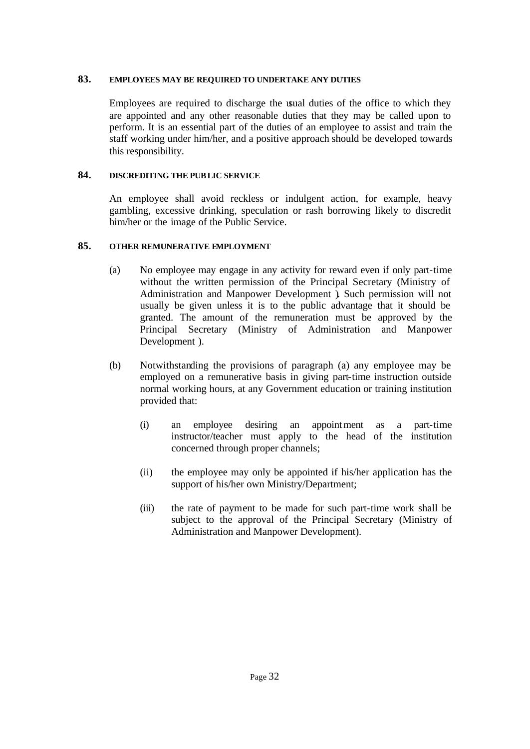## **83. EMPLOYEES MAY BE REQUIRED TO UNDERTAKE ANY DUTIES**

Employees are required to discharge the usual duties of the office to which they are appointed and any other reasonable duties that they may be called upon to perform. It is an essential part of the duties of an employee to assist and train the staff working under him/her, and a positive approach should be developed towards this responsibility.

## **84. DISCREDITING THE PUBLIC SERVICE**

An employee shall avoid reckless or indulgent action, for example, heavy gambling, excessive drinking, speculation or rash borrowing likely to discredit him/her or the image of the Public Service.

## **85. OTHER REMUNERATIVE EMPLOYMENT**

- (a) No employee may engage in any activity for reward even if only part-time without the written permission of the Principal Secretary (Ministry of Administration and Manpower Development ). Such permission will not usually be given unless it is to the public advantage that it should be granted. The amount of the remuneration must be approved by the Principal Secretary (Ministry of Administration and Manpower Development ).
- (b) Notwithstanding the provisions of paragraph (a) any employee may be employed on a remunerative basis in giving part-time instruction outside normal working hours, at any Government education or training institution provided that:
	- (i) an employee desiring an appointment as a part-time instructor/teacher must apply to the head of the institution concerned through proper channels;
	- (ii) the employee may only be appointed if his/her application has the support of his/her own Ministry/Department;
	- (iii) the rate of payment to be made for such part-time work shall be subject to the approval of the Principal Secretary (Ministry of Administration and Manpower Development).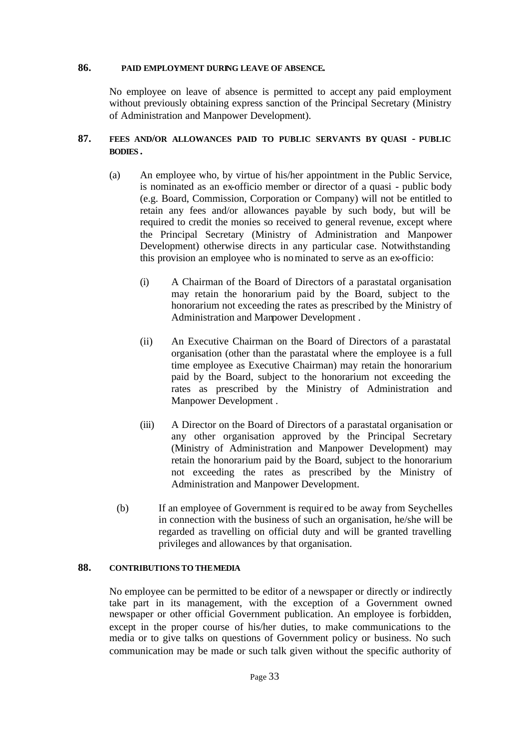#### **86. PAID EMPLOYMENT DURING LEAVE OF ABSENCE.**

No employee on leave of absence is permitted to accept any paid employment without previously obtaining express sanction of the Principal Secretary (Ministry of Administration and Manpower Development).

## **87. FEES AND/OR ALLOWANCES PAID TO PUBLIC SERVANTS BY QUASI - PUBLIC BODIES .**

- (a) An employee who, by virtue of his/her appointment in the Public Service, is nominated as an ex-officio member or director of a quasi - public body (e.g. Board, Commission, Corporation or Company) will not be entitled to retain any fees and/or allowances payable by such body, but will be required to credit the monies so received to general revenue, except where the Principal Secretary (Ministry of Administration and Manpower Development) otherwise directs in any particular case. Notwithstanding this provision an employee who is nominated to serve as an ex-officio:
	- (i) A Chairman of the Board of Directors of a parastatal organisation may retain the honorarium paid by the Board, subject to the honorarium not exceeding the rates as prescribed by the Ministry of Administration and Manpower Development .
	- (ii) An Executive Chairman on the Board of Directors of a parastatal organisation (other than the parastatal where the employee is a full time employee as Executive Chairman) may retain the honorarium paid by the Board, subject to the honorarium not exceeding the rates as prescribed by the Ministry of Administration and Manpower Development .
	- (iii) A Director on the Board of Directors of a parastatal organisation or any other organisation approved by the Principal Secretary (Ministry of Administration and Manpower Development) may retain the honorarium paid by the Board, subject to the honorarium not exceeding the rates as prescribed by the Ministry of Administration and Manpower Development.
	- (b) If an employee of Government is requir ed to be away from Seychelles in connection with the business of such an organisation, he/she will be regarded as travelling on official duty and will be granted travelling privileges and allowances by that organisation.

## 88. **CONTRIBUTIONS TO THE MEDIA**

No employee can be permitted to be editor of a newspaper or directly or indirectly take part in its management, with the exception of a Government owned newspaper or other official Government publication. An employee is forbidden, except in the proper course of his/her duties, to make communications to the media or to give talks on questions of Government policy or business. No such communication may be made or such talk given without the specific authority of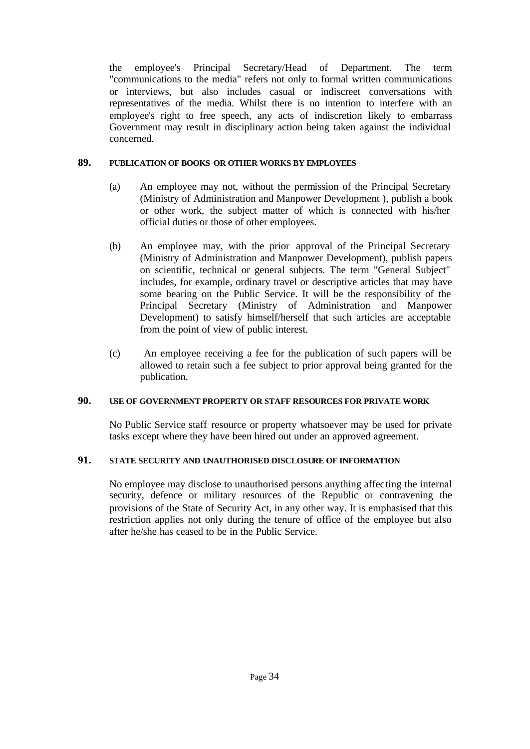the employee's Principal Secretary/Head of Department. The term "communications to the media" refers not only to formal written communications or interviews, but also includes casual or indiscreet conversations with representatives of the media. Whilst there is no intention to interfere with an employee's right to free speech, any acts of indiscretion likely to embarrass Government may result in disciplinary action being taken against the individual concerned.

## **89. PUBLICATION OF BOOKS OR OTHER WORKS BY EMPLOYEES**

- (a) An employee may not, without the permission of the Principal Secretary (Ministry of Administration and Manpower Development ), publish a book or other work, the subject matter of which is connected with his/her official duties or those of other employees.
- (b) An employee may, with the prior approval of the Principal Secretary (Ministry of Administration and Manpower Development), publish papers on scientific, technical or general subjects. The term "General Subject" includes, for example, ordinary travel or descriptive articles that may have some bearing on the Public Service. It will be the responsibility of the Principal Secretary (Ministry of Administration and Manpower Development) to satisfy himself/herself that such articles are acceptable from the point of view of public interest.
- (c) An employee receiving a fee for the publication of such papers will be allowed to retain such a fee subject to prior approval being granted for the publication.

## **90. USE OF GOVERNMENT PROPERTY OR STAFF RESOURCES FOR PRIVATE WORK**

No Public Service staff resource or property whatsoever may be used for private tasks except where they have been hired out under an approved agreement.

## **91. STATE SECURITY AND UNAUTHORISED DISCLOSURE OF INFORMATION**

No employee may disclose to unauthorised persons anything affecting the internal security, defence or military resources of the Republic or contravening the provisions of the State of Security Act, in any other way. It is emphasised that this restriction applies not only during the tenure of office of the employee but also after he/she has ceased to be in the Public Service.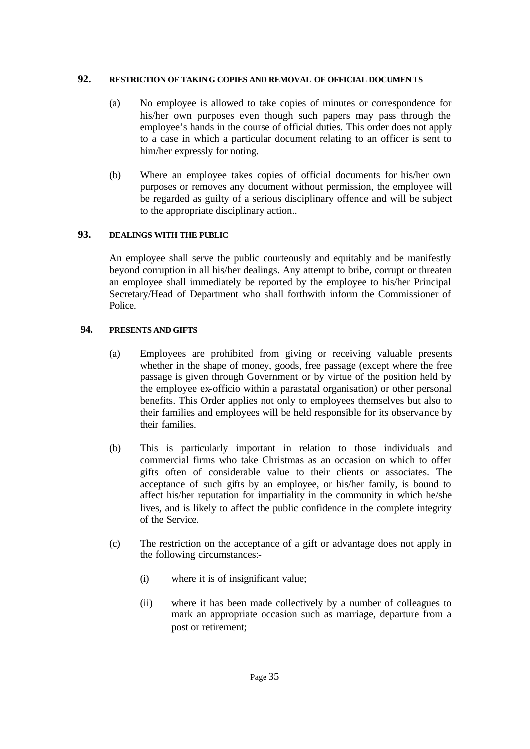## **92. RESTRICTION OF TAKING COPIES AND REMOVAL OF OFFICIAL DOCUMENTS**

- (a) No employee is allowed to take copies of minutes or correspondence for his/her own purposes even though such papers may pass through the employee's hands in the course of official duties. This order does not apply to a case in which a particular document relating to an officer is sent to him/her expressly for noting.
- (b) Where an employee takes copies of official documents for his/her own purposes or removes any document without permission, the employee will be regarded as guilty of a serious disciplinary offence and will be subject to the appropriate disciplinary action..

## **93. DEALINGS WITH THE PUBLIC**

An employee shall serve the public courteously and equitably and be manifestly beyond corruption in all his/her dealings. Any attempt to bribe, corrupt or threaten an employee shall immediately be reported by the employee to his/her Principal Secretary/Head of Department who shall forthwith inform the Commissioner of Police.

## **94. PRESENTS AND GIFTS**

- (a) Employees are prohibited from giving or receiving valuable presents whether in the shape of money, goods, free passage (except where the free passage is given through Government or by virtue of the position held by the employee ex-officio within a parastatal organisation) or other personal benefits. This Order applies not only to employees themselves but also to their families and employees will be held responsible for its observance by their families.
- (b) This is particularly important in relation to those individuals and commercial firms who take Christmas as an occasion on which to offer gifts often of considerable value to their clients or associates. The acceptance of such gifts by an employee, or his/her family, is bound to affect his/her reputation for impartiality in the community in which he/she lives, and is likely to affect the public confidence in the complete integrity of the Service.
- (c) The restriction on the acceptance of a gift or advantage does not apply in the following circumstances:-
	- (i) where it is of insignificant value;
	- (ii) where it has been made collectively by a number of colleagues to mark an appropriate occasion such as marriage, departure from a post or retirement;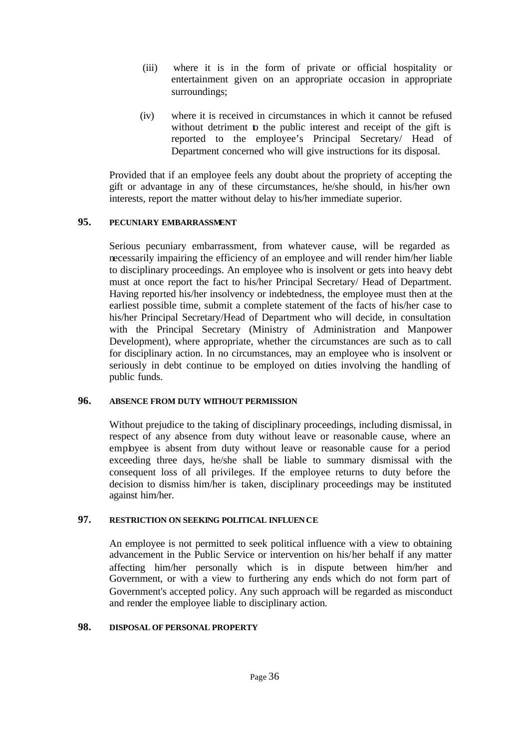- (iii) where it is in the form of private or official hospitality or entertainment given on an appropriate occasion in appropriate surroundings;
- (iv) where it is received in circumstances in which it cannot be refused without detriment to the public interest and receipt of the gift is reported to the employee's Principal Secretary/ Head of Department concerned who will give instructions for its disposal.

Provided that if an employee feels any doubt about the propriety of accepting the gift or advantage in any of these circumstances, he/she should, in his/her own interests, report the matter without delay to his/her immediate superior.

## **95. PECUNIARY EMBARRASSMENT**

Serious pecuniary embarrassment, from whatever cause, will be regarded as necessarily impairing the efficiency of an employee and will render him/her liable to disciplinary proceedings. An employee who is insolvent or gets into heavy debt must at once report the fact to his/her Principal Secretary/ Head of Department. Having reported his/her insolvency or indebtedness, the employee must then at the earliest possible time, submit a complete statement of the facts of his/her case to his/her Principal Secretary/Head of Department who will decide, in consultation with the Principal Secretary (Ministry of Administration and Manpower Development), where appropriate, whether the circumstances are such as to call for disciplinary action. In no circumstances, may an employee who is insolvent or seriously in debt continue to be employed on duties involving the handling of public funds.

## **96. ABSENCE FROM DUTY WITHOUT PERMISSION**

Without prejudice to the taking of disciplinary proceedings, including dismissal, in respect of any absence from duty without leave or reasonable cause, where an employee is absent from duty without leave or reasonable cause for a period exceeding three days, he/she shall be liable to summary dismissal with the consequent loss of all privileges. If the employee returns to duty before the decision to dismiss him/her is taken, disciplinary proceedings may be instituted against him/her.

## **97. RESTRICTION ON SEEKING POLITICAL INFLUENCE**

An employee is not permitted to seek political influence with a view to obtaining advancement in the Public Service or intervention on his/her behalf if any matter affecting him/her personally which is in dispute between him/her and Government, or with a view to furthering any ends which do not form part of Government's accepted policy. Any such approach will be regarded as misconduct and render the employee liable to disciplinary action.

#### **98. DISPOSAL OF PERSONAL PROPERTY**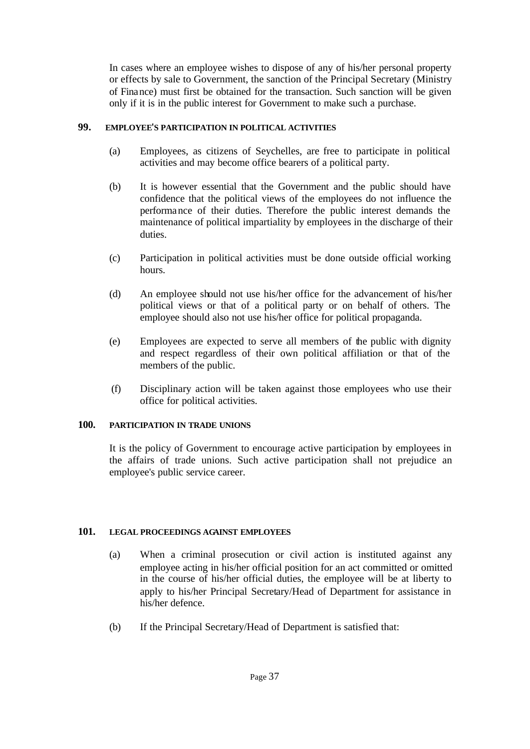In cases where an employee wishes to dispose of any of his/her personal property or effects by sale to Government, the sanction of the Principal Secretary (Ministry of Finance) must first be obtained for the transaction. Such sanction will be given only if it is in the public interest for Government to make such a purchase.

### **99. EMPLOYEE'S PARTICIPATION IN POLITICAL ACTIVITIES**

- (a) Employees, as citizens of Seychelles, are free to participate in political activities and may become office bearers of a political party.
- (b) It is however essential that the Government and the public should have confidence that the political views of the employees do not influence the performance of their duties. Therefore the public interest demands the maintenance of political impartiality by employees in the discharge of their duties.
- (c) Participation in political activities must be done outside official working hours.
- (d) An employee should not use his/her office for the advancement of his/her political views or that of a political party or on behalf of others. The employee should also not use his/her office for political propaganda.
- (e) Employees are expected to serve all members of the public with dignity and respect regardless of their own political affiliation or that of the members of the public.
- (f) Disciplinary action will be taken against those employees who use their office for political activities.

## **100. PARTICIPATION IN TRADE UNIONS**

It is the policy of Government to encourage active participation by employees in the affairs of trade unions. Such active participation shall not prejudice an employee's public service career.

## **101. LEGAL PROCEEDINGS AGAINST EMPLOYEES**

- (a) When a criminal prosecution or civil action is instituted against any employee acting in his/her official position for an act committed or omitted in the course of his/her official duties, the employee will be at liberty to apply to his/her Principal Secretary/Head of Department for assistance in his/her defence.
- (b) If the Principal Secretary/Head of Department is satisfied that: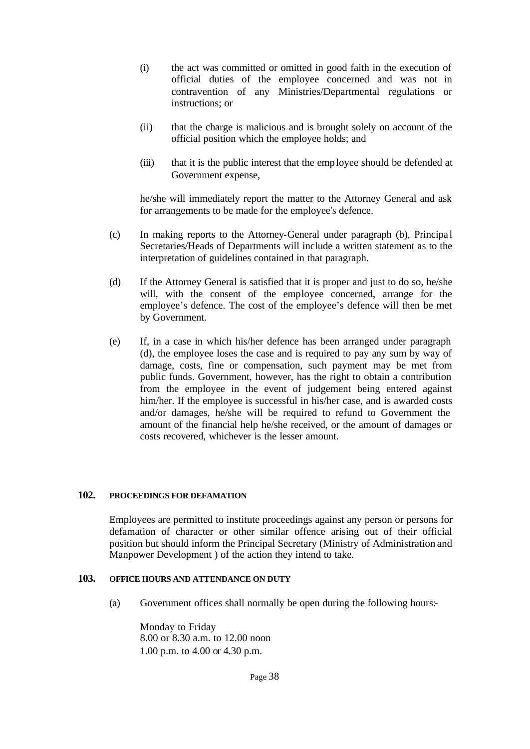- (i) the act was committed or omitted in good faith in the execution of official duties of the employee concerned and was not in contravention of any Ministries/Departmental regulations or instructions; or
- (ii) that the charge is malicious and is brought solely on account of the official position which the employee holds; and
- (iii) that it is the public interest that the employee should be defended at Government expense,

he/she will immediately report the matter to the Attorney General and ask for arrangements to be made for the employee's defence.

- (c) In making reports to the Attorney-General under paragraph (b), Principa l Secretaries/Heads of Departments will include a written statement as to the interpretation of guidelines contained in that paragraph.
- (d) If the Attorney General is satisfied that it is proper and just to do so, he/she will, with the consent of the employee concerned, arrange for the employee's defence. The cost of the employee's defence will then be met by Government.
- (e) If, in a case in which his/her defence has been arranged under paragraph (d), the employee loses the case and is required to pay any sum by way of damage, costs, fine or compensation, such payment may be met from public funds. Government, however, has the right to obtain a contribution from the employee in the event of judgement being entered against him/her. If the employee is successful in his/her case, and is awarded costs and/or damages, he/she will be required to refund to Government the amount of the financial help he/she received, or the amount of damages or costs recovered, whichever is the lesser amount.

#### **102. PROCEEDINGS FOR DEFAMATION**

Employees are permitted to institute proceedings against any person or persons for defamation of character or other similar offence arising out of their official position but should inform the Principal Secretary (Ministry of Administration and Manpower Development ) of the action they intend to take.

## **103. OFFICE HOURS AND ATTENDANCE ON DUTY**

(a) Government offices shall normally be open during the following hours:-

Monday to Friday 8.00 or 8.30 a.m. to 12.00 noon 1.00 p.m. to 4.00 or 4.30 p.m.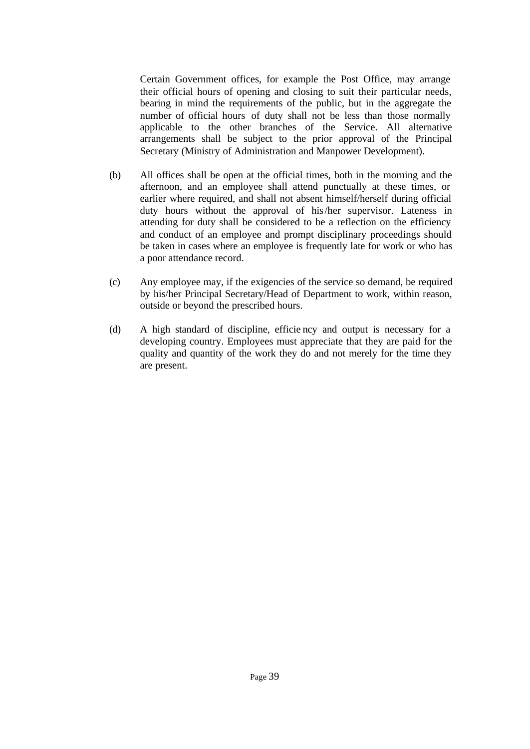Certain Government offices, for example the Post Office, may arrange their official hours of opening and closing to suit their particular needs, bearing in mind the requirements of the public, but in the aggregate the number of official hours of duty shall not be less than those normally applicable to the other branches of the Service. All alternative arrangements shall be subject to the prior approval of the Principal Secretary (Ministry of Administration and Manpower Development).

- (b) All offices shall be open at the official times, both in the morning and the afternoon, and an employee shall attend punctually at these times, or earlier where required, and shall not absent himself/herself during official duty hours without the approval of his/her supervisor. Lateness in attending for duty shall be considered to be a reflection on the efficiency and conduct of an employee and prompt disciplinary proceedings should be taken in cases where an employee is frequently late for work or who has a poor attendance record.
- (c) Any employee may, if the exigencies of the service so demand, be required by his/her Principal Secretary/Head of Department to work, within reason, outside or beyond the prescribed hours.
- (d) A high standard of discipline, efficie ncy and output is necessary for a developing country. Employees must appreciate that they are paid for the quality and quantity of the work they do and not merely for the time they are present.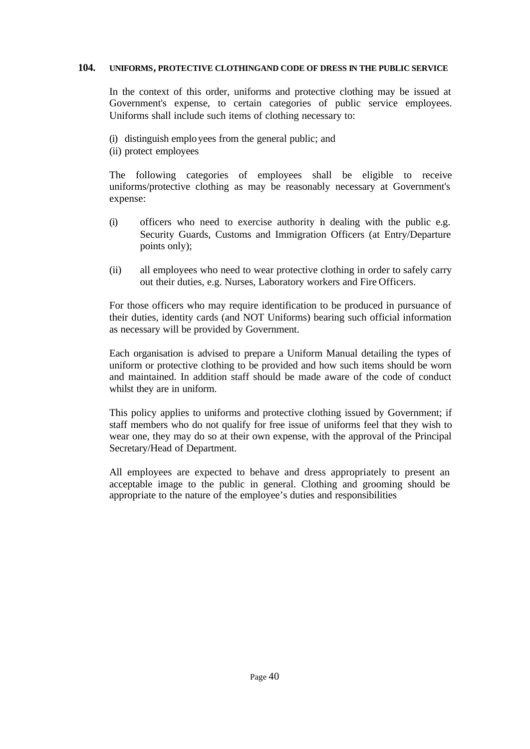### **104. UNIFORMS, PROTECTIVE CLOTHING AND CODE OF DRESS IN THE PUBLIC SERVICE**

In the context of this order, uniforms and protective clothing may be issued at Government's expense, to certain categories of public service employees. Uniforms shall include such items of clothing necessary to:

- (i) distinguish employees from the general public; and
- (ii) protect employees

The following categories of employees shall be eligible to receive uniforms/protective clothing as may be reasonably necessary at Government's expense:

- (i) officers who need to exercise authority in dealing with the public e.g. Security Guards, Customs and Immigration Officers (at Entry/Departure points only);
- (ii) all employees who need to wear protective clothing in order to safely carry out their duties, e.g. Nurses, Laboratory workers and Fire Officers.

For those officers who may require identification to be produced in pursuance of their duties, identity cards (and NOT Uniforms) bearing such official information as necessary will be provided by Government.

Each organisation is advised to prepare a Uniform Manual detailing the types of uniform or protective clothing to be provided and how such items should be worn and maintained. In addition staff should be made aware of the code of conduct whilst they are in uniform.

This policy applies to uniforms and protective clothing issued by Government; if staff members who do not qualify for free issue of uniforms feel that they wish to wear one, they may do so at their own expense, with the approval of the Principal Secretary/Head of Department.

All employees are expected to behave and dress appropriately to present an acceptable image to the public in general. Clothing and grooming should be appropriate to the nature of the employee's duties and responsibilities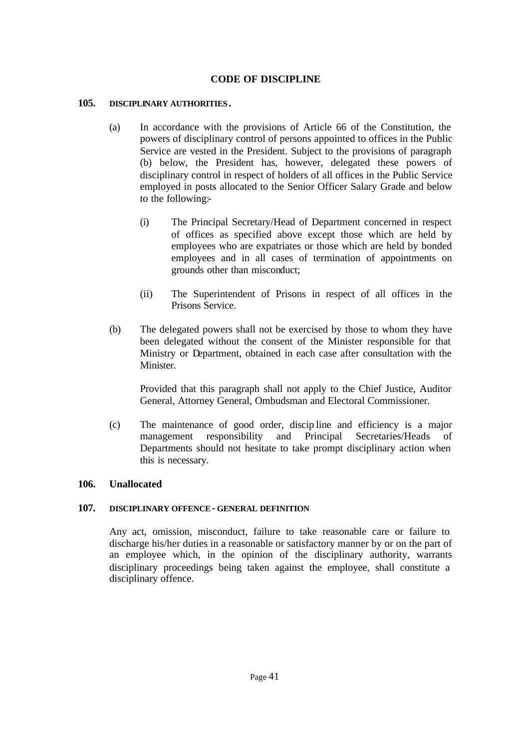# **CODE OF DISCIPLINE**

### **105. DISCIPLINARY AUTHORITIES.**

- (a) In accordance with the provisions of Article 66 of the Constitution, the powers of disciplinary control of persons appointed to offices in the Public Service are vested in the President. Subject to the provisions of paragraph (b) below, the President has, however, delegated these powers of disciplinary control in respect of holders of all offices in the Public Service employed in posts allocated to the Senior Officer Salary Grade and below to the following:-
	- (i) The Principal Secretary/Head of Department concerned in respect of offices as specified above except those which are held by employees who are expatriates or those which are held by bonded employees and in all cases of termination of appointments on grounds other than misconduct;
	- (ii) The Superintendent of Prisons in respect of all offices in the Prisons Service.
- (b) The delegated powers shall not be exercised by those to whom they have been delegated without the consent of the Minister responsible for that Ministry or Department, obtained in each case after consultation with the **Minister**

Provided that this paragraph shall not apply to the Chief Justice, Auditor General, Attorney General, Ombudsman and Electoral Commissioner.

(c) The maintenance of good order, discip line and efficiency is a major management responsibility and Principal Secretaries/Heads of Departments should not hesitate to take prompt disciplinary action when this is necessary.

## **106. Unallocated**

#### **107. DISCIPLINARY OFFENCE- GENERAL DEFINITION**

Any act, omission, misconduct, failure to take reasonable care or failure to discharge his/her duties in a reasonable or satisfactory manner by or on the part of an employee which, in the opinion of the disciplinary authority, warrants disciplinary proceedings being taken against the employee, shall constitute a disciplinary offence.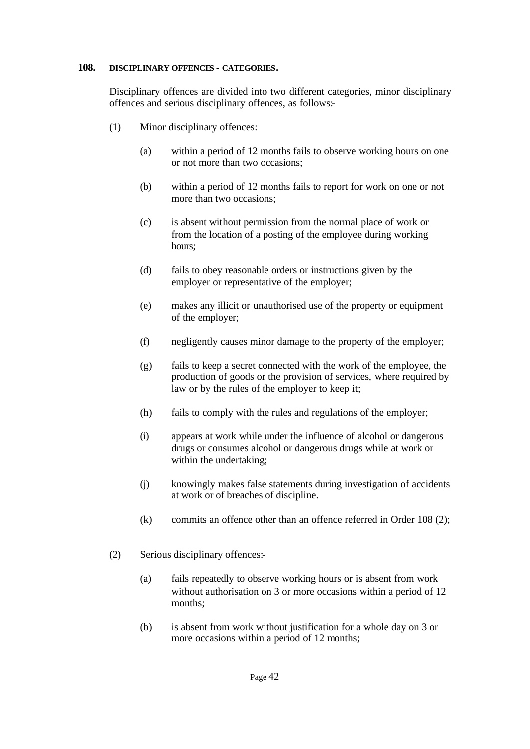#### **108. DISCIPLINARY OFFENCES - CATEGORIES.**

Disciplinary offences are divided into two different categories, minor disciplinary offences and serious disciplinary offences, as follows:-

- (1) Minor disciplinary offences:
	- (a) within a period of 12 months fails to observe working hours on one or not more than two occasions;
	- (b) within a period of 12 months fails to report for work on one or not more than two occasions;
	- (c) is absent without permission from the normal place of work or from the location of a posting of the employee during working hours;
	- (d) fails to obey reasonable orders or instructions given by the employer or representative of the employer;
	- (e) makes any illicit or unauthorised use of the property or equipment of the employer;
	- (f) negligently causes minor damage to the property of the employer;
	- (g) fails to keep a secret connected with the work of the employee, the production of goods or the provision of services, where required by law or by the rules of the employer to keep it;
	- (h) fails to comply with the rules and regulations of the employer;
	- (i) appears at work while under the influence of alcohol or dangerous drugs or consumes alcohol or dangerous drugs while at work or within the undertaking;
	- (j) knowingly makes false statements during investigation of accidents at work or of breaches of discipline.
	- (k) commits an offence other than an offence referred in Order 108 (2);
- (2) Serious disciplinary offences:-
	- (a) fails repeatedly to observe working hours or is absent from work without authorisation on 3 or more occasions within a period of 12 months;
	- (b) is absent from work without justification for a whole day on 3 or more occasions within a period of 12 months;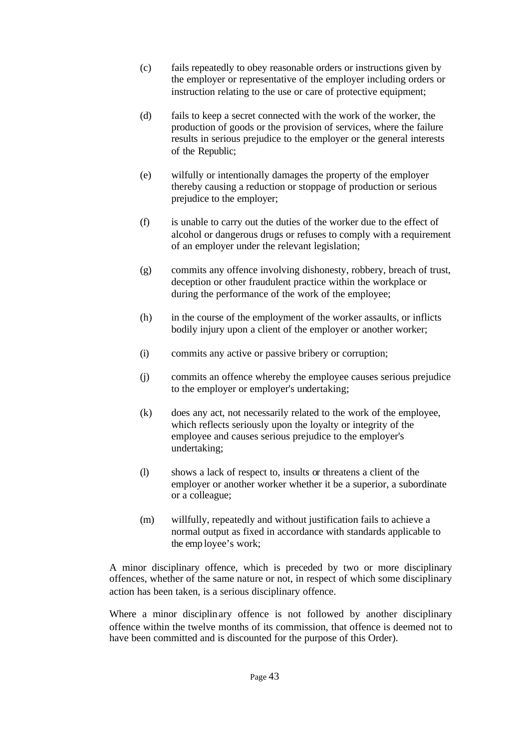- (c) fails repeatedly to obey reasonable orders or instructions given by the employer or representative of the employer including orders or instruction relating to the use or care of protective equipment;
- (d) fails to keep a secret connected with the work of the worker, the production of goods or the provision of services, where the failure results in serious prejudice to the employer or the general interests of the Republic;
- (e) wilfully or intentionally damages the property of the employer thereby causing a reduction or stoppage of production or serious prejudice to the employer;
- (f) is unable to carry out the duties of the worker due to the effect of alcohol or dangerous drugs or refuses to comply with a requirement of an employer under the relevant legislation;
- (g) commits any offence involving dishonesty, robbery, breach of trust, deception or other fraudulent practice within the workplace or during the performance of the work of the employee;
- (h) in the course of the employment of the worker assaults, or inflicts bodily injury upon a client of the employer or another worker;
- (i) commits any active or passive bribery or corruption;
- (j) commits an offence whereby the employee causes serious prejudice to the employer or employer's undertaking;
- (k) does any act, not necessarily related to the work of the employee, which reflects seriously upon the loyalty or integrity of the employee and causes serious prejudice to the employer's undertaking;
- (l) shows a lack of respect to, insults or threatens a client of the employer or another worker whether it be a superior, a subordinate or a colleague;
- (m) willfully, repeatedly and without justification fails to achieve a normal output as fixed in accordance with standards applicable to the emp loyee's work;

A minor disciplinary offence, which is preceded by two or more disciplinary offences, whether of the same nature or not, in respect of which some disciplinary action has been taken, is a serious disciplinary offence.

Where a minor disciplinary offence is not followed by another disciplinary offence within the twelve months of its commission, that offence is deemed not to have been committed and is discounted for the purpose of this Order).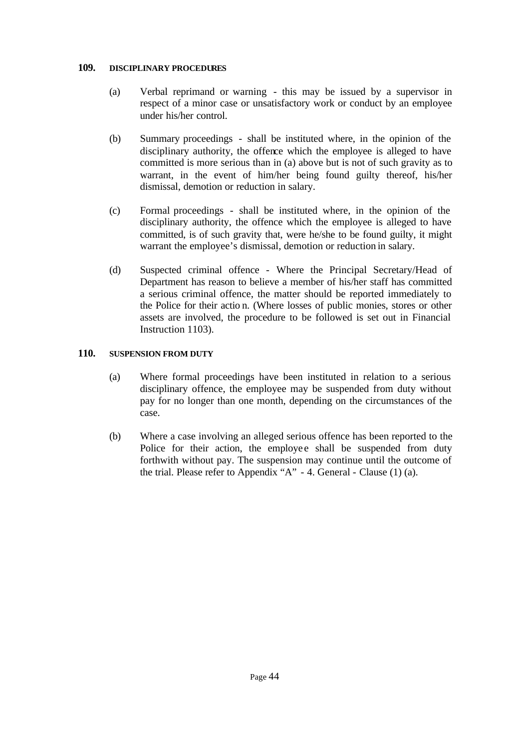### **109. DISCIPLINARY PROCEDURES**

- (a) Verbal reprimand or warning this may be issued by a supervisor in respect of a minor case or unsatisfactory work or conduct by an employee under his/her control.
- (b) Summary proceedings shall be instituted where, in the opinion of the disciplinary authority, the offence which the employee is alleged to have committed is more serious than in (a) above but is not of such gravity as to warrant, in the event of him/her being found guilty thereof, his/her dismissal, demotion or reduction in salary.
- (c) Formal proceedings shall be instituted where, in the opinion of the disciplinary authority, the offence which the employee is alleged to have committed, is of such gravity that, were he/she to be found guilty, it might warrant the employee's dismissal, demotion or reduction in salary.
- (d) Suspected criminal offence Where the Principal Secretary/Head of Department has reason to believe a member of his/her staff has committed a serious criminal offence, the matter should be reported immediately to the Police for their actio n. (Where losses of public monies, stores or other assets are involved, the procedure to be followed is set out in Financial Instruction 1103).

## **110. SUSPENSION FROM DUTY**

- (a) Where formal proceedings have been instituted in relation to a serious disciplinary offence, the employee may be suspended from duty without pay for no longer than one month, depending on the circumstances of the case.
- (b) Where a case involving an alleged serious offence has been reported to the Police for their action, the employee shall be suspended from duty forthwith without pay. The suspension may continue until the outcome of the trial. Please refer to Appendix "A" - 4. General - Clause (1) (a).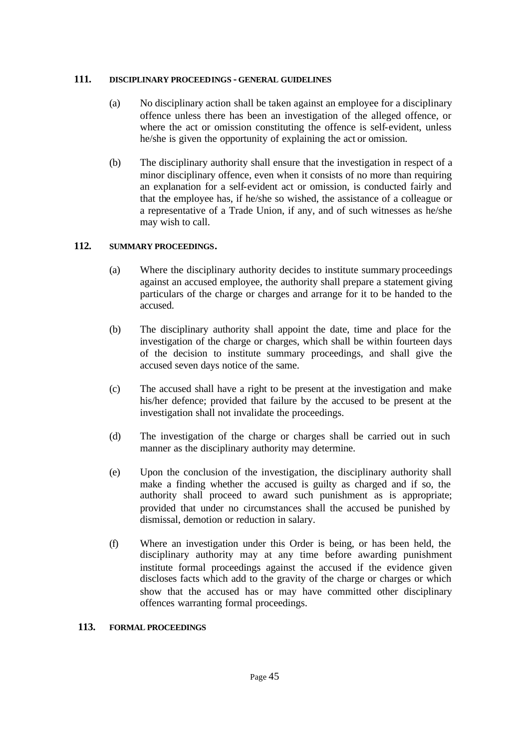## **111. DISCIPLINARY PROCEEDINGS - GENERAL GUIDELINES**

- (a) No disciplinary action shall be taken against an employee for a disciplinary offence unless there has been an investigation of the alleged offence, or where the act or omission constituting the offence is self-evident, unless he/she is given the opportunity of explaining the act or omission.
- (b) The disciplinary authority shall ensure that the investigation in respect of a minor disciplinary offence, even when it consists of no more than requiring an explanation for a self-evident act or omission, is conducted fairly and that the employee has, if he/she so wished, the assistance of a colleague or a representative of a Trade Union, if any, and of such witnesses as he/she may wish to call.

# **112. SUMMARY PROCEEDINGS.**

- (a) Where the disciplinary authority decides to institute summary proceedings against an accused employee, the authority shall prepare a statement giving particulars of the charge or charges and arrange for it to be handed to the accused.
- (b) The disciplinary authority shall appoint the date, time and place for the investigation of the charge or charges, which shall be within fourteen days of the decision to institute summary proceedings, and shall give the accused seven days notice of the same.
- (c) The accused shall have a right to be present at the investigation and make his/her defence; provided that failure by the accused to be present at the investigation shall not invalidate the proceedings.
- (d) The investigation of the charge or charges shall be carried out in such manner as the disciplinary authority may determine.
- (e) Upon the conclusion of the investigation, the disciplinary authority shall make a finding whether the accused is guilty as charged and if so, the authority shall proceed to award such punishment as is appropriate; provided that under no circumstances shall the accused be punished by dismissal, demotion or reduction in salary.
- (f) Where an investigation under this Order is being, or has been held, the disciplinary authority may at any time before awarding punishment institute formal proceedings against the accused if the evidence given discloses facts which add to the gravity of the charge or charges or which show that the accused has or may have committed other disciplinary offences warranting formal proceedings.

## **113. FORMAL PROCEEDINGS**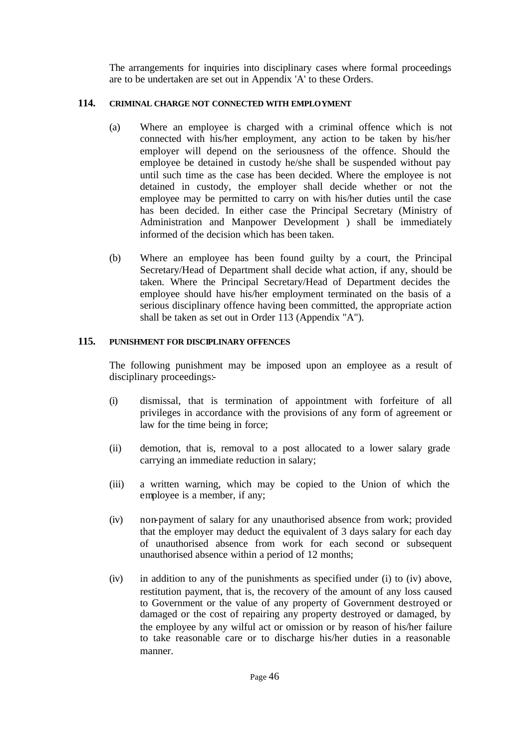The arrangements for inquiries into disciplinary cases where formal proceedings are to be undertaken are set out in Appendix 'A' to these Orders.

# **114. CRIMINAL CHARGE NOT CONNECTED WITH EMPLOYMENT**

- (a) Where an employee is charged with a criminal offence which is not connected with his/her employment, any action to be taken by his/her employer will depend on the seriousness of the offence. Should the employee be detained in custody he/she shall be suspended without pay until such time as the case has been decided. Where the employee is not detained in custody, the employer shall decide whether or not the employee may be permitted to carry on with his/her duties until the case has been decided. In either case the Principal Secretary (Ministry of Administration and Manpower Development ) shall be immediately informed of the decision which has been taken.
- (b) Where an employee has been found guilty by a court, the Principal Secretary/Head of Department shall decide what action, if any, should be taken. Where the Principal Secretary/Head of Department decides the employee should have his/her employment terminated on the basis of a serious disciplinary offence having been committed, the appropriate action shall be taken as set out in Order 113 (Appendix "A").

## **115. PUNISHMENT FOR DISCIPLINARY OFFENCES**

The following punishment may be imposed upon an employee as a result of disciplinary proceedings:-

- (i) dismissal, that is termination of appointment with forfeiture of all privileges in accordance with the provisions of any form of agreement or law for the time being in force;
- (ii) demotion, that is, removal to a post allocated to a lower salary grade carrying an immediate reduction in salary;
- (iii) a written warning, which may be copied to the Union of which the employee is a member, if any;
- (iv) non-payment of salary for any unauthorised absence from work; provided that the employer may deduct the equivalent of 3 days salary for each day of unauthorised absence from work for each second or subsequent unauthorised absence within a period of 12 months;
- (iv) in addition to any of the punishments as specified under (i) to (iv) above, restitution payment, that is, the recovery of the amount of any loss caused to Government or the value of any property of Government destroyed or damaged or the cost of repairing any property destroyed or damaged, by the employee by any wilful act or omission or by reason of his/her failure to take reasonable care or to discharge his/her duties in a reasonable manner.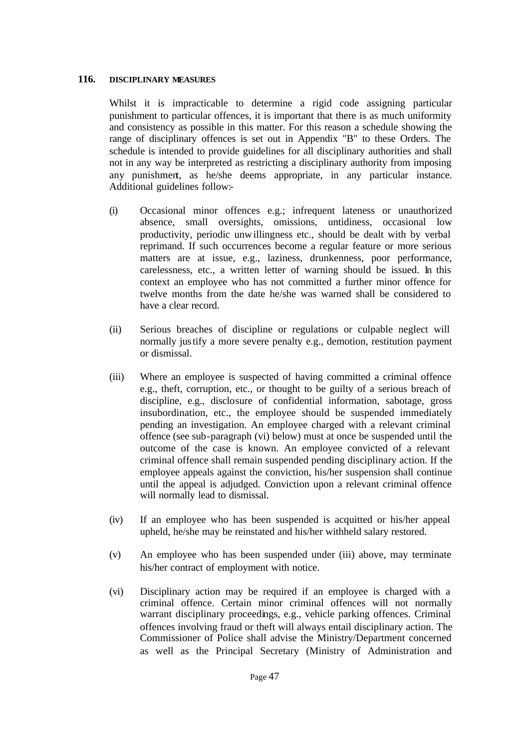### **116. DISCIPLINARY MEASURES**

Whilst it is impracticable to determine a rigid code assigning particular punishment to particular offences, it is important that there is as much uniformity and consistency as possible in this matter. For this reason a schedule showing the range of disciplinary offences is set out in Appendix "B" to these Orders. The schedule is intended to provide guidelines for all disciplinary authorities and shall not in any way be interpreted as restricting a disciplinary authority from imposing any punishment, as he/she deems appropriate, in any particular instance. Additional guidelines follow:-

- (i) Occasional minor offences e.g.; infrequent lateness or unauthorized absence, small oversights, omissions, untidiness, occasional low productivity, periodic unwillingness etc., should be dealt with by verbal reprimand. If such occurrences become a regular feature or more serious matters are at issue, e.g., laziness, drunkenness, poor performance, carelessness, etc., a written letter of warning should be issued. In this context an employee who has not committed a further minor offence for twelve months from the date he/she was warned shall be considered to have a clear record.
- (ii) Serious breaches of discipline or regulations or culpable neglect will normally justify a more severe penalty e.g., demotion, restitution payment or dismissal.
- (iii) Where an employee is suspected of having committed a criminal offence e.g., theft, corruption, etc., or thought to be guilty of a serious breach of discipline, e.g., disclosure of confidential information, sabotage, gross insubordination, etc., the employee should be suspended immediately pending an investigation. An employee charged with a relevant criminal offence (see sub-paragraph (vi) below) must at once be suspended until the outcome of the case is known. An employee convicted of a relevant criminal offence shall remain suspended pending disciplinary action. If the employee appeals against the conviction, his/her suspension shall continue until the appeal is adjudged. Conviction upon a relevant criminal offence will normally lead to dismissal.
- (iv) If an employee who has been suspended is acquitted or his/her appeal upheld, he/she may be reinstated and his/her withheld salary restored.
- (v) An employee who has been suspended under (iii) above, may terminate his/her contract of employment with notice.
- (vi) Disciplinary action may be required if an employee is charged with a criminal offence. Certain minor criminal offences will not normally warrant disciplinary proceedings, e.g., vehicle parking offences. Criminal offences involving fraud or theft will always entail disciplinary action. The Commissioner of Police shall advise the Ministry/Department concerned as well as the Principal Secretary (Ministry of Administration and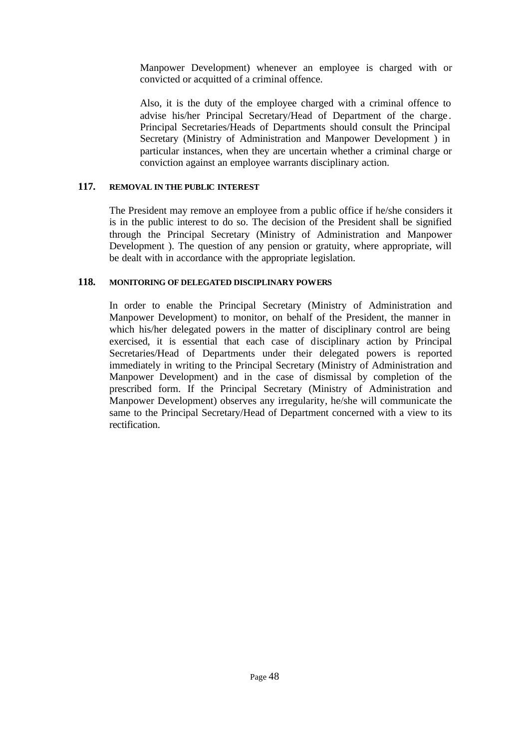Manpower Development) whenever an employee is charged with or convicted or acquitted of a criminal offence.

Also, it is the duty of the employee charged with a criminal offence to advise his/her Principal Secretary/Head of Department of the charge . Principal Secretaries/Heads of Departments should consult the Principal Secretary (Ministry of Administration and Manpower Development ) in particular instances, when they are uncertain whether a criminal charge or conviction against an employee warrants disciplinary action.

## **117. REMOVAL IN THE PUBLIC INTEREST**

The President may remove an employee from a public office if he/she considers it is in the public interest to do so. The decision of the President shall be signified through the Principal Secretary (Ministry of Administration and Manpower Development ). The question of any pension or gratuity, where appropriate, will be dealt with in accordance with the appropriate legislation.

### **118. MONITORING OF DELEGATED DISCIPLINARY POWERS**

In order to enable the Principal Secretary (Ministry of Administration and Manpower Development) to monitor, on behalf of the President, the manner in which his/her delegated powers in the matter of disciplinary control are being exercised, it is essential that each case of disciplinary action by Principal Secretaries/Head of Departments under their delegated powers is reported immediately in writing to the Principal Secretary (Ministry of Administration and Manpower Development) and in the case of dismissal by completion of the prescribed form. If the Principal Secretary (Ministry of Administration and Manpower Development) observes any irregularity, he/she will communicate the same to the Principal Secretary/Head of Department concerned with a view to its rectification.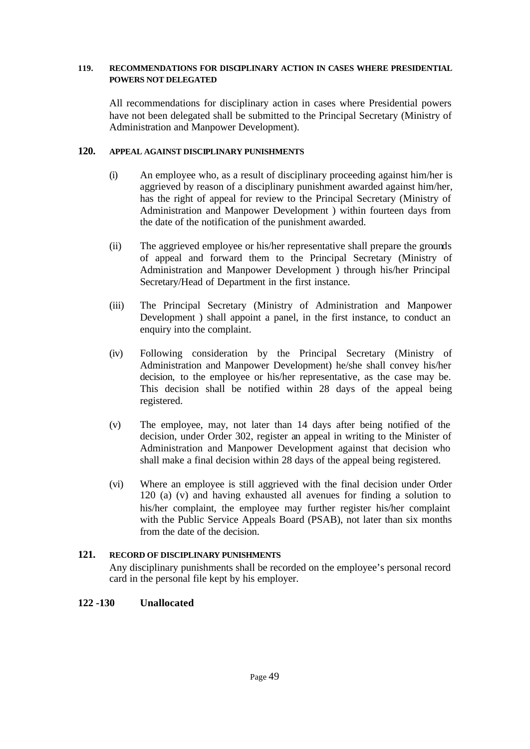### **119. RECOMMENDATIONS FOR DISCIPLINARY ACTION IN CASES WHERE PRESIDENTIAL POWERS NOT DELEGATED**

All recommendations for disciplinary action in cases where Presidential powers have not been delegated shall be submitted to the Principal Secretary (Ministry of Administration and Manpower Development).

## **120. APPEAL AGAINST DISCIPLINARY PUNISHMENTS**

- (i) An employee who, as a result of disciplinary proceeding against him/her is aggrieved by reason of a disciplinary punishment awarded against him/her, has the right of appeal for review to the Principal Secretary (Ministry of Administration and Manpower Development ) within fourteen days from the date of the notification of the punishment awarded.
- (ii) The aggrieved employee or his/her representative shall prepare the grounds of appeal and forward them to the Principal Secretary (Ministry of Administration and Manpower Development ) through his/her Principal Secretary/Head of Department in the first instance.
- (iii) The Principal Secretary (Ministry of Administration and Manpower Development ) shall appoint a panel, in the first instance, to conduct an enquiry into the complaint.
- (iv) Following consideration by the Principal Secretary (Ministry of Administration and Manpower Development) he/she shall convey his/her decision, to the employee or his/her representative, as the case may be. This decision shall be notified within 28 days of the appeal being registered.
- (v) The employee, may, not later than 14 days after being notified of the decision, under Order 302, register an appeal in writing to the Minister of Administration and Manpower Development against that decision who shall make a final decision within 28 days of the appeal being registered.
- (vi) Where an employee is still aggrieved with the final decision under Order 120 (a) (v) and having exhausted all avenues for finding a solution to his/her complaint, the employee may further register his/her complaint with the Public Service Appeals Board (PSAB), not later than six months from the date of the decision.

# **121. RECORD OF DISCIPLINARY PUNISHMENTS**

Any disciplinary punishments shall be recorded on the employee's personal record card in the personal file kept by his employer.

# **122 -130 Unallocated**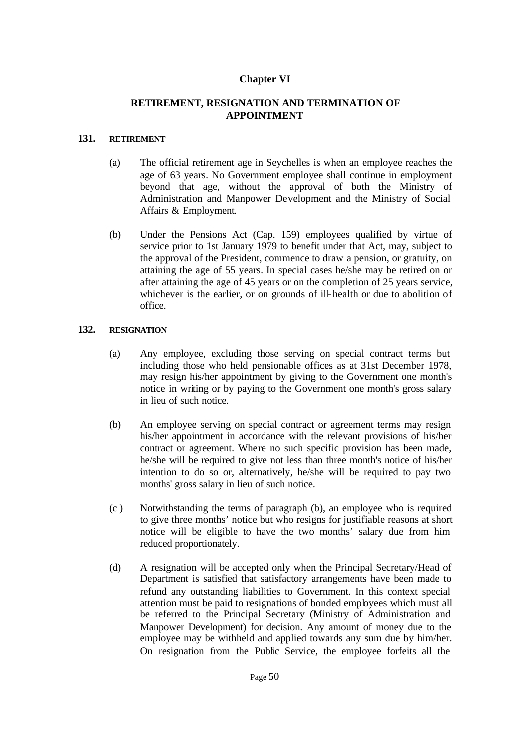# **Chapter VI**

## **RETIREMENT, RESIGNATION AND TERMINATION OF APPOINTMENT**

### **131. RETIREMENT**

- (a) The official retirement age in Seychelles is when an employee reaches the age of 63 years. No Government employee shall continue in employment beyond that age, without the approval of both the Ministry of Administration and Manpower Development and the Ministry of Social Affairs & Employment.
- (b) Under the Pensions Act (Cap. 159) employees qualified by virtue of service prior to 1st January 1979 to benefit under that Act, may, subject to the approval of the President, commence to draw a pension, or gratuity, on attaining the age of 55 years. In special cases he/she may be retired on or after attaining the age of 45 years or on the completion of 25 years service, whichever is the earlier, or on grounds of ill-health or due to abolition of office.

### **132. RESIGNATION**

- (a) Any employee, excluding those serving on special contract terms but including those who held pensionable offices as at 31st December 1978, may resign his/her appointment by giving to the Government one month's notice in writing or by paying to the Government one month's gross salary in lieu of such notice.
- (b) An employee serving on special contract or agreement terms may resign his/her appointment in accordance with the relevant provisions of his/her contract or agreement. Where no such specific provision has been made, he/she will be required to give not less than three month's notice of his/her intention to do so or, alternatively, he/she will be required to pay two months' gross salary in lieu of such notice.
- (c ) Notwithstanding the terms of paragraph (b), an employee who is required to give three months' notice but who resigns for justifiable reasons at short notice will be eligible to have the two months' salary due from him reduced proportionately.
- (d) A resignation will be accepted only when the Principal Secretary/Head of Department is satisfied that satisfactory arrangements have been made to refund any outstanding liabilities to Government. In this context special attention must be paid to resignations of bonded employees which must all be referred to the Principal Secretary (Ministry of Administration and Manpower Development) for decision. Any amount of money due to the employee may be withheld and applied towards any sum due by him/her. On resignation from the Public Service, the employee forfeits all the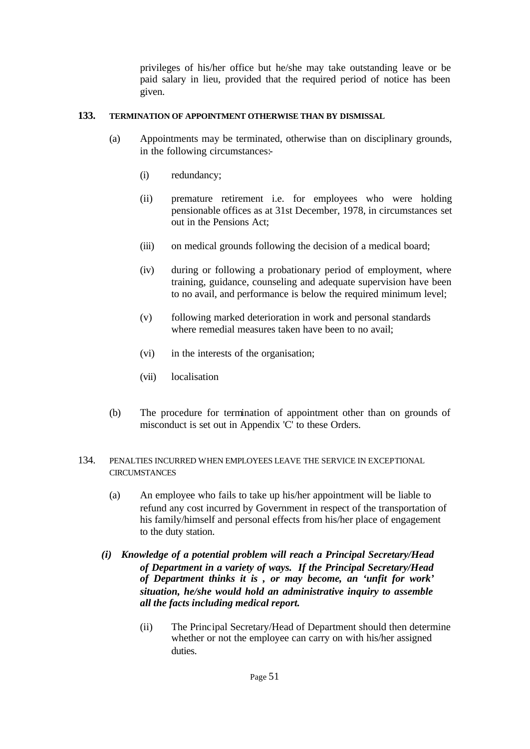privileges of his/her office but he/she may take outstanding leave or be paid salary in lieu, provided that the required period of notice has been given.

## **133. TERMINATION OF APPOINTMENT OTHERWISE THAN BY DISMISSAL**

- (a) Appointments may be terminated, otherwise than on disciplinary grounds, in the following circumstances:-
	- (i) redundancy;
	- (ii) premature retirement i.e. for employees who were holding pensionable offices as at 31st December, 1978, in circumstances set out in the Pensions Act;
	- (iii) on medical grounds following the decision of a medical board;
	- (iv) during or following a probationary period of employment, where training, guidance, counseling and adequate supervision have been to no avail, and performance is below the required minimum level;
	- (v) following marked deterioration in work and personal standards where remedial measures taken have been to no avail;
	- (vi) in the interests of the organisation;
	- (vii) localisation
- (b) The procedure for termination of appointment other than on grounds of misconduct is set out in Appendix 'C' to these Orders.
- 134. PENALTIES INCURRED WHEN EMPLOYEES LEAVE THE SERVICE IN EXCEPTIONAL **CIRCUMSTANCES** 
	- (a) An employee who fails to take up his/her appointment will be liable to refund any cost incurred by Government in respect of the transportation of his family/himself and personal effects from his/her place of engagement to the duty station.
	- *(i) Knowledge of a potential problem will reach a Principal Secretary/Head of Department in a variety of ways. If the Principal Secretary/Head of Department thinks it is , or may become, an 'unfit for work' situation, he/she would hold an administrative inquiry to assemble all the facts including medical report.*
		- (ii) The Principal Secretary/Head of Department should then determine whether or not the employee can carry on with his/her assigned duties.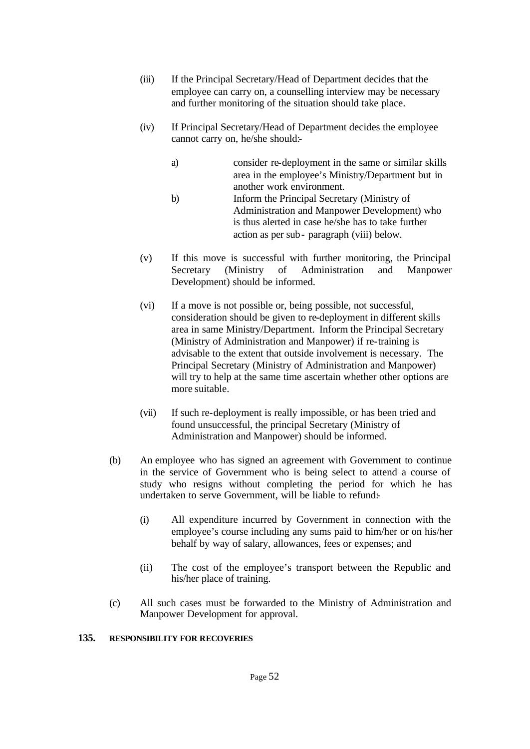- (iii) If the Principal Secretary/Head of Department decides that the employee can carry on, a counselling interview may be necessary and further monitoring of the situation should take place.
- (iv) If Principal Secretary/Head of Department decides the employee cannot carry on, he/she should:
	- a) consider re-deployment in the same or similar skills area in the employee's Ministry/Department but in another work environment.
	- b) Inform the Principal Secretary (Ministry of Administration and Manpower Development) who is thus alerted in case he/she has to take further action as per sub- paragraph (viii) below.
- (v) If this move is successful with further monitoring, the Principal Secretary (Ministry of Administration and Manpower Development) should be informed.
- (vi) If a move is not possible or, being possible, not successful, consideration should be given to re-deployment in different skills area in same Ministry/Department. Inform the Principal Secretary (Ministry of Administration and Manpower) if re-training is advisable to the extent that outside involvement is necessary. The Principal Secretary (Ministry of Administration and Manpower) will try to help at the same time ascertain whether other options are more suitable.
- (vii) If such re-deployment is really impossible, or has been tried and found unsuccessful, the principal Secretary (Ministry of Administration and Manpower) should be informed.
- (b) An employee who has signed an agreement with Government to continue in the service of Government who is being select to attend a course of study who resigns without completing the period for which he has undertaken to serve Government, will be liable to refund:-
	- (i) All expenditure incurred by Government in connection with the employee's course including any sums paid to him/her or on his/her behalf by way of salary, allowances, fees or expenses; and
	- (ii) The cost of the employee's transport between the Republic and his/her place of training.
- (c) All such cases must be forwarded to the Ministry of Administration and Manpower Development for approval.

## **135. RESPONSIBILITY FOR RECOVERIES**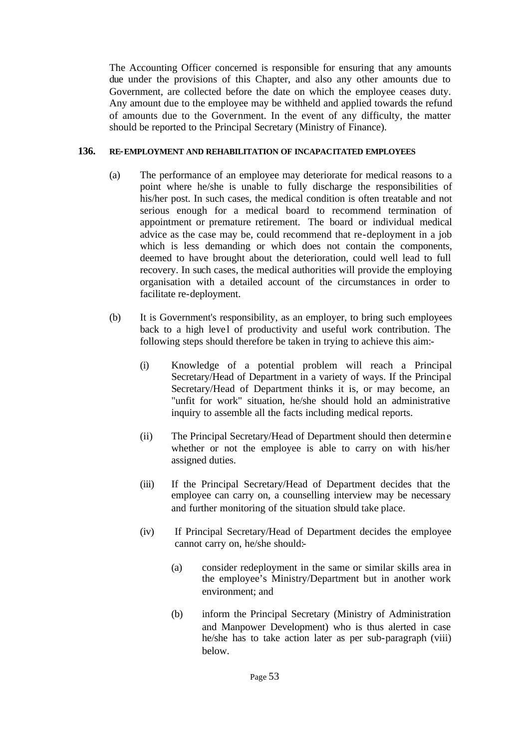The Accounting Officer concerned is responsible for ensuring that any amounts due under the provisions of this Chapter, and also any other amounts due to Government, are collected before the date on which the employee ceases duty. Any amount due to the employee may be withheld and applied towards the refund of amounts due to the Government. In the event of any difficulty, the matter should be reported to the Principal Secretary (Ministry of Finance).

## **136. RE-EMPLOYMENT AND REHABILITATION OF INCAPACITATED EMPLOYEES**

- (a) The performance of an employee may deteriorate for medical reasons to a point where he/she is unable to fully discharge the responsibilities of his/her post. In such cases, the medical condition is often treatable and not serious enough for a medical board to recommend termination of appointment or premature retirement. The board or individual medical advice as the case may be, could recommend that re-deployment in a job which is less demanding or which does not contain the components, deemed to have brought about the deterioration, could well lead to full recovery. In such cases, the medical authorities will provide the employing organisation with a detailed account of the circumstances in order to facilitate re-deployment.
- (b) It is Government's responsibility, as an employer, to bring such employees back to a high level of productivity and useful work contribution. The following steps should therefore be taken in trying to achieve this aim:-
	- (i) Knowledge of a potential problem will reach a Principal Secretary/Head of Department in a variety of ways. If the Principal Secretary/Head of Department thinks it is, or may become, an "unfit for work" situation, he/she should hold an administrative inquiry to assemble all the facts including medical reports.
	- (ii) The Principal Secretary/Head of Department should then determin e whether or not the employee is able to carry on with his/her assigned duties.
	- (iii) If the Principal Secretary/Head of Department decides that the employee can carry on, a counselling interview may be necessary and further monitoring of the situation should take place.
	- (iv) If Principal Secretary/Head of Department decides the employee cannot carry on, he/she should:-
		- (a) consider redeployment in the same or similar skills area in the employee's Ministry/Department but in another work environment; and
		- (b) inform the Principal Secretary (Ministry of Administration and Manpower Development) who is thus alerted in case he/she has to take action later as per sub-paragraph (viii) below.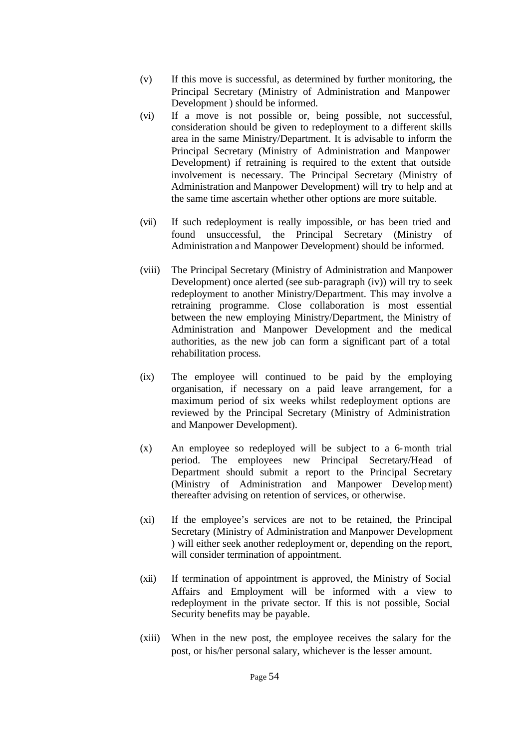- (v) If this move is successful, as determined by further monitoring, the Principal Secretary (Ministry of Administration and Manpower Development ) should be informed.
- (vi) If a move is not possible or, being possible, not successful, consideration should be given to redeployment to a different skills area in the same Ministry/Department. It is advisable to inform the Principal Secretary (Ministry of Administration and Manpower Development) if retraining is required to the extent that outside involvement is necessary. The Principal Secretary (Ministry of Administration and Manpower Development) will try to help and at the same time ascertain whether other options are more suitable.
- (vii) If such redeployment is really impossible, or has been tried and found unsuccessful, the Principal Secretary (Ministry of Administration and Manpower Development) should be informed.
- (viii) The Principal Secretary (Ministry of Administration and Manpower Development) once alerted (see sub-paragraph (iv)) will try to seek redeployment to another Ministry/Department. This may involve a retraining programme. Close collaboration is most essential between the new employing Ministry/Department, the Ministry of Administration and Manpower Development and the medical authorities, as the new job can form a significant part of a total rehabilitation process.
- (ix) The employee will continued to be paid by the employing organisation, if necessary on a paid leave arrangement, for a maximum period of six weeks whilst redeployment options are reviewed by the Principal Secretary (Ministry of Administration and Manpower Development).
- (x) An employee so redeployed will be subject to a 6-month trial period. The employees new Principal Secretary/Head of Department should submit a report to the Principal Secretary (Ministry of Administration and Manpower Development) thereafter advising on retention of services, or otherwise.
- (xi) If the employee's services are not to be retained, the Principal Secretary (Ministry of Administration and Manpower Development ) will either seek another redeployment or, depending on the report, will consider termination of appointment.
- (xii) If termination of appointment is approved, the Ministry of Social Affairs and Employment will be informed with a view to redeployment in the private sector. If this is not possible, Social Security benefits may be payable.
- (xiii) When in the new post, the employee receives the salary for the post, or his/her personal salary, whichever is the lesser amount.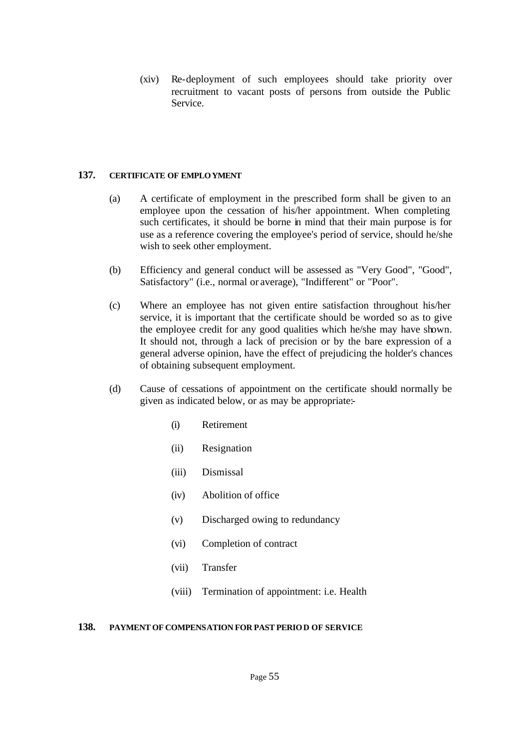(xiv) Re-deployment of such employees should take priority over recruitment to vacant posts of persons from outside the Public Service.

## **137. CERTIFICATE OF EMPLOYMENT**

- (a) A certificate of employment in the prescribed form shall be given to an employee upon the cessation of his/her appointment. When completing such certificates, it should be borne in mind that their main purpose is for use as a reference covering the employee's period of service, should he/she wish to seek other employment.
- (b) Efficiency and general conduct will be assessed as "Very Good", "Good", Satisfactory" (i.e., normal or average), "Indifferent" or "Poor".
- (c) Where an employee has not given entire satisfaction throughout his/her service, it is important that the certificate should be worded so as to give the employee credit for any good qualities which he/she may have shown. It should not, through a lack of precision or by the bare expression of a general adverse opinion, have the effect of prejudicing the holder's chances of obtaining subsequent employment.
- (d) Cause of cessations of appointment on the certificate should normally be given as indicated below, or as may be appropriate:-
	- (i) Retirement
	- (ii) Resignation
	- (iii) Dismissal
	- (iv) Abolition of office
	- (v) Discharged owing to redundancy
	- (vi) Completion of contract
	- (vii) Transfer
	- (viii) Termination of appointment: i.e. Health

## **138. PAYMENT OF COMPENSATION FOR PAST PERIOD OF SERVICE**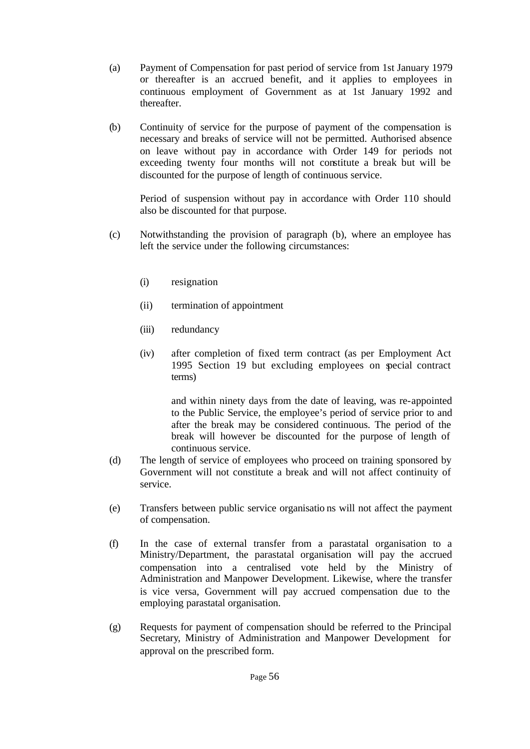- (a) Payment of Compensation for past period of service from 1st January 1979 or thereafter is an accrued benefit, and it applies to employees in continuous employment of Government as at 1st January 1992 and thereafter.
- (b) Continuity of service for the purpose of payment of the compensation is necessary and breaks of service will not be permitted. Authorised absence on leave without pay in accordance with Order 149 for periods not exceeding twenty four months will not constitute a break but will be discounted for the purpose of length of continuous service.

Period of suspension without pay in accordance with Order 110 should also be discounted for that purpose.

- (c) Notwithstanding the provision of paragraph (b), where an employee has left the service under the following circumstances:
	- (i) resignation
	- (ii) termination of appointment
	- (iii) redundancy
	- (iv) after completion of fixed term contract (as per Employment Act 1995 Section 19 but excluding employees on special contract terms)

and within ninety days from the date of leaving, was re-appointed to the Public Service, the employee's period of service prior to and after the break may be considered continuous. The period of the break will however be discounted for the purpose of length of continuous service.

- (d) The length of service of employees who proceed on training sponsored by Government will not constitute a break and will not affect continuity of service.
- (e) Transfers between public service organisatio ns will not affect the payment of compensation.
- (f) In the case of external transfer from a parastatal organisation to a Ministry/Department, the parastatal organisation will pay the accrued compensation into a centralised vote held by the Ministry of Administration and Manpower Development. Likewise, where the transfer is vice versa, Government will pay accrued compensation due to the employing parastatal organisation.
- (g) Requests for payment of compensation should be referred to the Principal Secretary, Ministry of Administration and Manpower Development for approval on the prescribed form.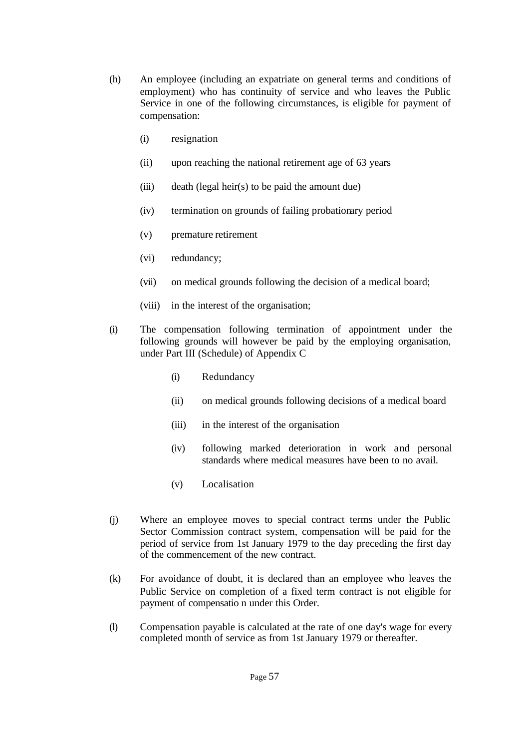- (h) An employee (including an expatriate on general terms and conditions of employment) who has continuity of service and who leaves the Public Service in one of the following circumstances, is eligible for payment of compensation:
	- (i) resignation
	- (ii) upon reaching the national retirement age of 63 years
	- (iii) death (legal heir(s) to be paid the amount due)
	- (iv) termination on grounds of failing probationary period
	- (v) premature retirement
	- (vi) redundancy;
	- (vii) on medical grounds following the decision of a medical board;
	- (viii) in the interest of the organisation;
- (i) The compensation following termination of appointment under the following grounds will however be paid by the employing organisation, under Part III (Schedule) of Appendix C
	- (i) Redundancy
	- (ii) on medical grounds following decisions of a medical board
	- (iii) in the interest of the organisation
	- (iv) following marked deterioration in work and personal standards where medical measures have been to no avail.
	- (v) Localisation
- (j) Where an employee moves to special contract terms under the Public Sector Commission contract system, compensation will be paid for the period of service from 1st January 1979 to the day preceding the first day of the commencement of the new contract.
- (k) For avoidance of doubt, it is declared than an employee who leaves the Public Service on completion of a fixed term contract is not eligible for payment of compensatio n under this Order.
- (l) Compensation payable is calculated at the rate of one day's wage for every completed month of service as from 1st January 1979 or thereafter.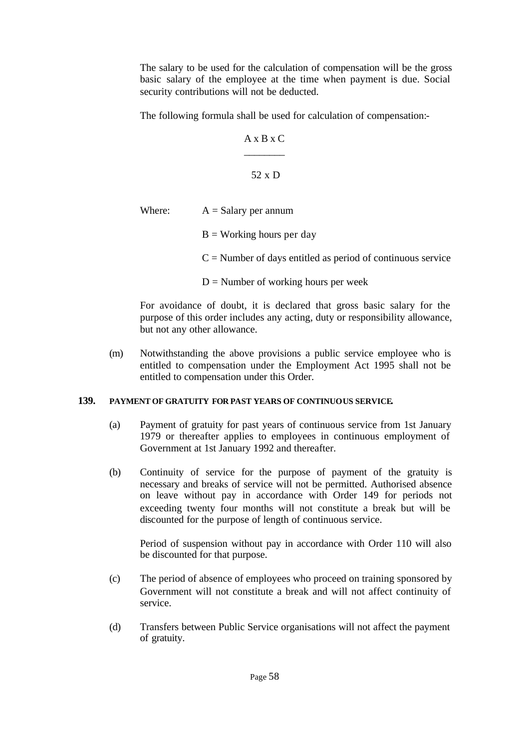The salary to be used for the calculation of compensation will be the gross basic salary of the employee at the time when payment is due. Social security contributions will not be deducted.

The following formula shall be used for calculation of compensation:-

$$
A \times B \times C
$$
\n
$$
52 \times D
$$

Where:  $A =$ Salary per annum

- $B =$  Working hours per day
- $C =$  Number of days entitled as period of continuous service

 $D =$  Number of working hours per week

For avoidance of doubt, it is declared that gross basic salary for the purpose of this order includes any acting, duty or responsibility allowance, but not any other allowance.

(m) Notwithstanding the above provisions a public service employee who is entitled to compensation under the Employment Act 1995 shall not be entitled to compensation under this Order.

## **139. PAYMENT OF GRATUITY FOR PAST YEARS OF CONTINUOUS SERVICE.**

- (a) Payment of gratuity for past years of continuous service from 1st January 1979 or thereafter applies to employees in continuous employment of Government at 1st January 1992 and thereafter.
- (b) Continuity of service for the purpose of payment of the gratuity is necessary and breaks of service will not be permitted. Authorised absence on leave without pay in accordance with Order 149 for periods not exceeding twenty four months will not constitute a break but will be discounted for the purpose of length of continuous service.

Period of suspension without pay in accordance with Order 110 will also be discounted for that purpose.

- (c) The period of absence of employees who proceed on training sponsored by Government will not constitute a break and will not affect continuity of service.
- (d) Transfers between Public Service organisations will not affect the payment of gratuity.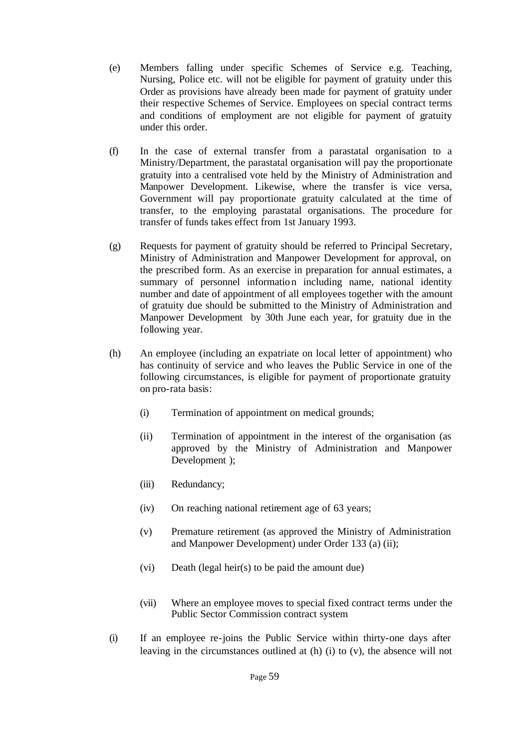- (e) Members falling under specific Schemes of Service e.g. Teaching, Nursing, Police etc. will not be eligible for payment of gratuity under this Order as provisions have already been made for payment of gratuity under their respective Schemes of Service. Employees on special contract terms and conditions of employment are not eligible for payment of gratuity under this order.
- (f) In the case of external transfer from a parastatal organisation to a Ministry/Department, the parastatal organisation will pay the proportionate gratuity into a centralised vote held by the Ministry of Administration and Manpower Development. Likewise, where the transfer is vice versa, Government will pay proportionate gratuity calculated at the time of transfer, to the employing parastatal organisations. The procedure for transfer of funds takes effect from 1st January 1993.
- (g) Requests for payment of gratuity should be referred to Principal Secretary, Ministry of Administration and Manpower Development for approval, on the prescribed form. As an exercise in preparation for annual estimates, a summary of personnel information including name, national identity number and date of appointment of all employees together with the amount of gratuity due should be submitted to the Ministry of Administration and Manpower Development by 30th June each year, for gratuity due in the following year.
- (h) An employee (including an expatriate on local letter of appointment) who has continuity of service and who leaves the Public Service in one of the following circumstances, is eligible for payment of proportionate gratuity on pro-rata basis:
	- (i) Termination of appointment on medical grounds;
	- (ii) Termination of appointment in the interest of the organisation (as approved by the Ministry of Administration and Manpower Development );
	- (iii) Redundancy;
	- (iv) On reaching national retirement age of 63 years;
	- (v) Premature retirement (as approved the Ministry of Administration and Manpower Development) under Order 133 (a) (ii);
	- (vi) Death (legal heir(s) to be paid the amount due)
	- (vii) Where an employee moves to special fixed contract terms under the Public Sector Commission contract system
- (i) If an employee re-joins the Public Service within thirty-one days after leaving in the circumstances outlined at (h) (i) to (v), the absence will not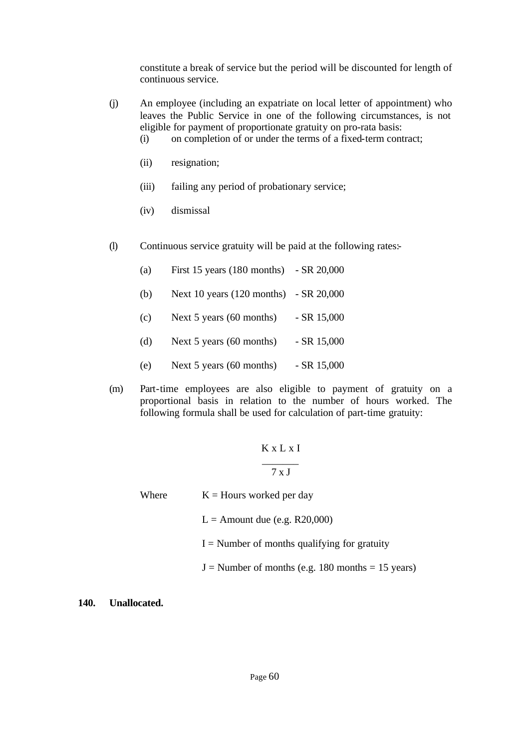constitute a break of service but the period will be discounted for length of continuous service.

- (j) An employee (including an expatriate on local letter of appointment) who leaves the Public Service in one of the following circumstances, is not eligible for payment of proportionate gratuity on pro-rata basis:
	- (i) on completion of or under the terms of a fixed-term contract;
	- (ii) resignation;
	- (iii) failing any period of probationary service;
	- (iv) dismissal
- (l) Continuous service gratuity will be paid at the following rates:-

| (a) | First 15 years (180 months) - SR 20,000 |              |
|-----|-----------------------------------------|--------------|
| (b) | Next 10 years (120 months) - SR 20,000  |              |
| (c) | Next $5$ years (60 months)              | $-SR$ 15,000 |
| (d) | Next 5 years (60 months)                | $-SR$ 15,000 |

- (e) Next 5 years (60 months) SR 15,000
- (m) Part-time employees are also eligible to payment of gratuity on a proportional basis in relation to the number of hours worked. The following formula shall be used for calculation of part-time gratuity:

# K x L x I

## \_\_\_\_\_\_\_ 7 x J

Where  $K =$  Hours worked per day

 $L =$  Amount due (e.g. R20,000)

 $I =$  Number of months qualifying for gratuity

 $J =$  Number of months (e.g. 180 months = 15 years)

**140. Unallocated.**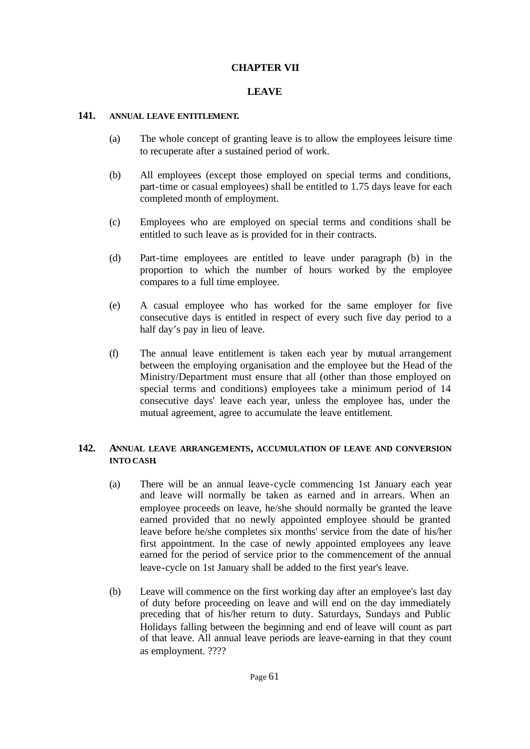## **CHAPTER VII**

## **LEAVE**

### **141. ANNUAL LEAVE ENTITLEMENT.**

- (a) The whole concept of granting leave is to allow the employees leisure time to recuperate after a sustained period of work.
- (b) All employees (except those employed on special terms and conditions, part-time or casual employees) shall be entitled to 1.75 days leave for each completed month of employment.
- (c) Employees who are employed on special terms and conditions shall be entitled to such leave as is provided for in their contracts.
- (d) Part-time employees are entitled to leave under paragraph (b) in the proportion to which the number of hours worked by the employee compares to a full time employee.
- (e) A casual employee who has worked for the same employer for five consecutive days is entitled in respect of every such five day period to a half day's pay in lieu of leave.
- (f) The annual leave entitlement is taken each year by mutual arrangement between the employing organisation and the employee but the Head of the Ministry/Department must ensure that all (other than those employed on special terms and conditions) employees take a minimum period of 14 consecutive days' leave each year, unless the employee has, under the mutual agreement, agree to accumulate the leave entitlement.

### **142. ANNUAL LEAVE ARRANGEMENTS, ACCUMULATION OF LEAVE AND CONVERSION INTO CASH.**

- (a) There will be an annual leave-cycle commencing 1st January each year and leave will normally be taken as earned and in arrears. When an employee proceeds on leave, he/she should normally be granted the leave earned provided that no newly appointed employee should be granted leave before he/she completes six months' service from the date of his/her first appointment. In the case of newly appointed employees any leave earned for the period of service prior to the commencement of the annual leave-cycle on 1st January shall be added to the first year's leave.
- (b) Leave will commence on the first working day after an employee's last day of duty before proceeding on leave and will end on the day immediately preceding that of his/her return to duty. Saturdays, Sundays and Public Holidays falling between the beginning and end of leave will count as part of that leave. All annual leave periods are leave-earning in that they count as employment. ????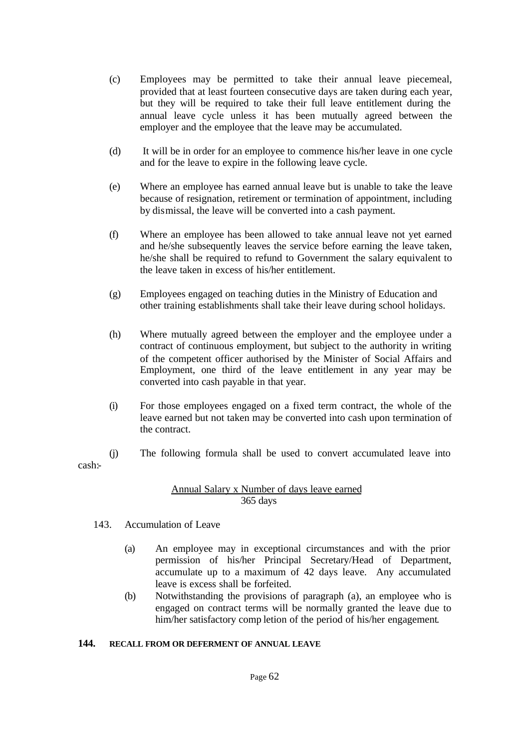- (c) Employees may be permitted to take their annual leave piecemeal, provided that at least fourteen consecutive days are taken during each year, but they will be required to take their full leave entitlement during the annual leave cycle unless it has been mutually agreed between the employer and the employee that the leave may be accumulated.
- (d) It will be in order for an employee to commence his/her leave in one cycle and for the leave to expire in the following leave cycle.
- (e) Where an employee has earned annual leave but is unable to take the leave because of resignation, retirement or termination of appointment, including by dismissal, the leave will be converted into a cash payment.
- (f) Where an employee has been allowed to take annual leave not yet earned and he/she subsequently leaves the service before earning the leave taken, he/she shall be required to refund to Government the salary equivalent to the leave taken in excess of his/her entitlement.
- (g) Employees engaged on teaching duties in the Ministry of Education and other training establishments shall take their leave during school holidays.
- (h) Where mutually agreed between the employer and the employee under a contract of continuous employment, but subject to the authority in writing of the competent officer authorised by the Minister of Social Affairs and Employment, one third of the leave entitlement in any year may be converted into cash payable in that year.
- (i) For those employees engaged on a fixed term contract, the whole of the leave earned but not taken may be converted into cash upon termination of the contract.
- (j) The following formula shall be used to convert accumulated leave into

### Annual Salary x Number of days leave earned 365 days

143. Accumulation of Leave

cash:-

- (a) An employee may in exceptional circumstances and with the prior permission of his/her Principal Secretary/Head of Department, accumulate up to a maximum of 42 days leave. Any accumulated leave is excess shall be forfeited.
- (b) Notwithstanding the provisions of paragraph (a), an employee who is engaged on contract terms will be normally granted the leave due to him/her satisfactory comp letion of the period of his/her engagement.

## **144. RECALL FROM OR DEFERMENT OF ANNUAL LEAVE**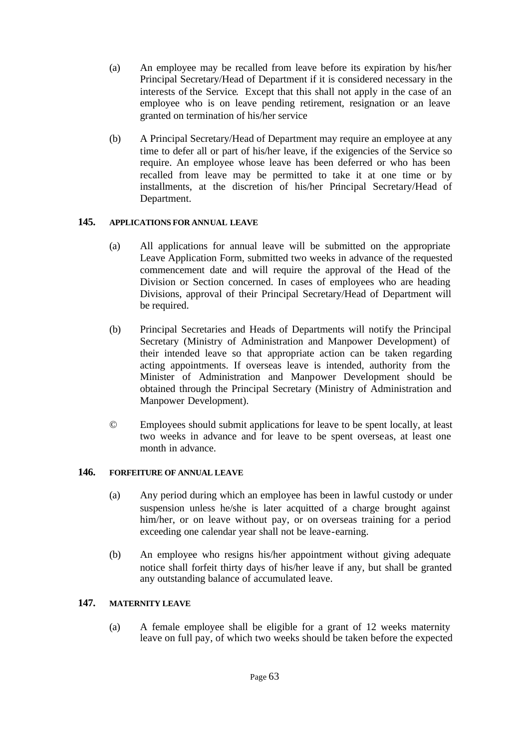- (a) An employee may be recalled from leave before its expiration by his/her Principal Secretary/Head of Department if it is considered necessary in the interests of the Service. Except that this shall not apply in the case of an employee who is on leave pending retirement, resignation or an leave granted on termination of his/her service
- (b) A Principal Secretary/Head of Department may require an employee at any time to defer all or part of his/her leave, if the exigencies of the Service so require. An employee whose leave has been deferred or who has been recalled from leave may be permitted to take it at one time or by installments, at the discretion of his/her Principal Secretary/Head of Department.

# **145. APPLICATIONS FOR ANNUAL LEAVE**

- (a) All applications for annual leave will be submitted on the appropriate Leave Application Form, submitted two weeks in advance of the requested commencement date and will require the approval of the Head of the Division or Section concerned. In cases of employees who are heading Divisions, approval of their Principal Secretary/Head of Department will be required.
- (b) Principal Secretaries and Heads of Departments will notify the Principal Secretary (Ministry of Administration and Manpower Development) of their intended leave so that appropriate action can be taken regarding acting appointments. If overseas leave is intended, authority from the Minister of Administration and Manpower Development should be obtained through the Principal Secretary (Ministry of Administration and Manpower Development).
- © Employees should submit applications for leave to be spent locally, at least two weeks in advance and for leave to be spent overseas, at least one month in advance.

## **146. FORFEITURE OF ANNUAL LEAVE**

- (a) Any period during which an employee has been in lawful custody or under suspension unless he/she is later acquitted of a charge brought against him/her, or on leave without pay, or on overseas training for a period exceeding one calendar year shall not be leave-earning.
- (b) An employee who resigns his/her appointment without giving adequate notice shall forfeit thirty days of his/her leave if any, but shall be granted any outstanding balance of accumulated leave.

# **147. MATERNITY LEAVE**

(a) A female employee shall be eligible for a grant of 12 weeks maternity leave on full pay, of which two weeks should be taken before the expected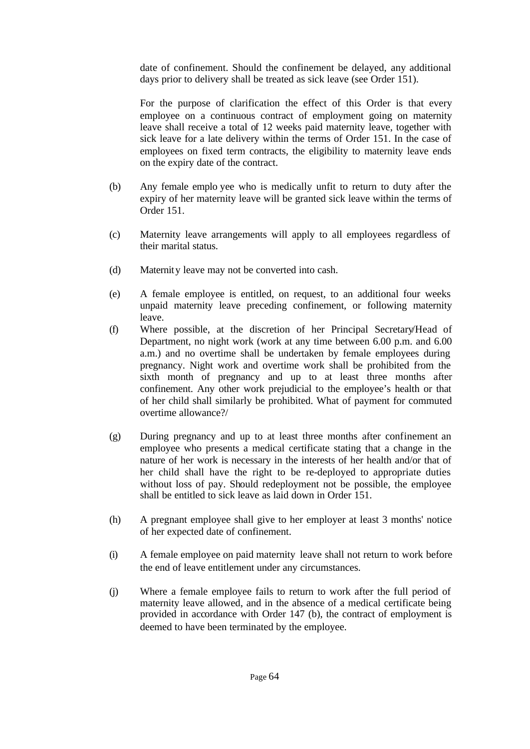date of confinement. Should the confinement be delayed, any additional days prior to delivery shall be treated as sick leave (see Order 151).

For the purpose of clarification the effect of this Order is that every employee on a continuous contract of employment going on maternity leave shall receive a total of 12 weeks paid maternity leave, together with sick leave for a late delivery within the terms of Order 151. In the case of employees on fixed term contracts, the eligibility to maternity leave ends on the expiry date of the contract.

- (b) Any female emplo yee who is medically unfit to return to duty after the expiry of her maternity leave will be granted sick leave within the terms of Order 151.
- (c) Maternity leave arrangements will apply to all employees regardless of their marital status.
- (d) Maternity leave may not be converted into cash.
- (e) A female employee is entitled, on request, to an additional four weeks unpaid maternity leave preceding confinement, or following maternity leave.
- (f) Where possible, at the discretion of her Principal Secretary/Head of Department, no night work (work at any time between 6.00 p.m. and 6.00 a.m.) and no overtime shall be undertaken by female employees during pregnancy. Night work and overtime work shall be prohibited from the sixth month of pregnancy and up to at least three months after confinement. Any other work prejudicial to the employee's health or that of her child shall similarly be prohibited. What of payment for commuted overtime allowance?/
- (g) During pregnancy and up to at least three months after confinement an employee who presents a medical certificate stating that a change in the nature of her work is necessary in the interests of her health and/or that of her child shall have the right to be re-deployed to appropriate duties without loss of pay. Should redeployment not be possible, the employee shall be entitled to sick leave as laid down in Order 151.
- (h) A pregnant employee shall give to her employer at least 3 months' notice of her expected date of confinement.
- (i) A female employee on paid maternity leave shall not return to work before the end of leave entitlement under any circumstances.
- (j) Where a female employee fails to return to work after the full period of maternity leave allowed, and in the absence of a medical certificate being provided in accordance with Order 147 (b), the contract of employment is deemed to have been terminated by the employee.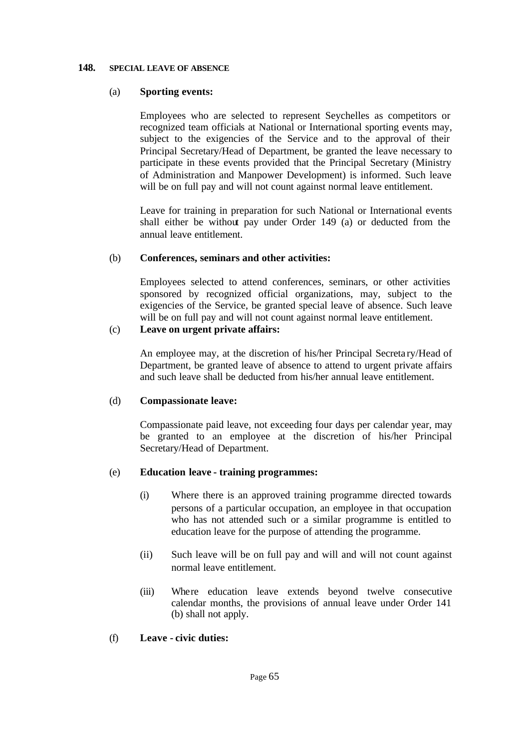### **148. SPECIAL LEAVE OF ABSENCE**

## (a) **Sporting events:**

Employees who are selected to represent Seychelles as competitors or recognized team officials at National or International sporting events may, subject to the exigencies of the Service and to the approval of their Principal Secretary/Head of Department, be granted the leave necessary to participate in these events provided that the Principal Secretary (Ministry of Administration and Manpower Development) is informed. Such leave will be on full pay and will not count against normal leave entitlement.

Leave for training in preparation for such National or International events shall either be without pay under Order 149 (a) or deducted from the annual leave entitlement.

### (b) **Conferences, seminars and other activities:**

Employees selected to attend conferences, seminars, or other activities sponsored by recognized official organizations, may, subject to the exigencies of the Service, be granted special leave of absence. Such leave will be on full pay and will not count against normal leave entitlement.

# (c) **Leave on urgent private affairs:**

An employee may, at the discretion of his/her Principal Secreta ry/Head of Department, be granted leave of absence to attend to urgent private affairs and such leave shall be deducted from his/her annual leave entitlement.

## (d) **Compassionate leave:**

Compassionate paid leave, not exceeding four days per calendar year, may be granted to an employee at the discretion of his/her Principal Secretary/Head of Department.

## (e) **Education leave - training programmes:**

- (i) Where there is an approved training programme directed towards persons of a particular occupation, an employee in that occupation who has not attended such or a similar programme is entitled to education leave for the purpose of attending the programme.
- (ii) Such leave will be on full pay and will and will not count against normal leave entitlement.
- (iii) Where education leave extends beyond twelve consecutive calendar months, the provisions of annual leave under Order 141 (b) shall not apply.

## (f) **Leave - civic duties:**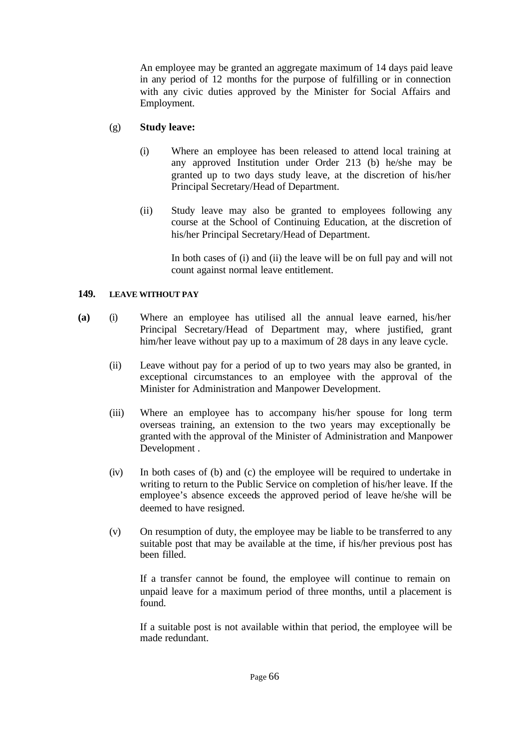An employee may be granted an aggregate maximum of 14 days paid leave in any period of 12 months for the purpose of fulfilling or in connection with any civic duties approved by the Minister for Social Affairs and Employment.

# (g) **Study leave:**

- (i) Where an employee has been released to attend local training at any approved Institution under Order 213 (b) he/she may be granted up to two days study leave, at the discretion of his/her Principal Secretary/Head of Department.
- (ii) Study leave may also be granted to employees following any course at the School of Continuing Education, at the discretion of his/her Principal Secretary/Head of Department.

In both cases of (i) and (ii) the leave will be on full pay and will not count against normal leave entitlement.

## **149. LEAVE WITHOUT PAY**

- **(a)** (i) Where an employee has utilised all the annual leave earned, his/her Principal Secretary/Head of Department may, where justified, grant him/her leave without pay up to a maximum of 28 days in any leave cycle.
	- (ii) Leave without pay for a period of up to two years may also be granted, in exceptional circumstances to an employee with the approval of the Minister for Administration and Manpower Development.
	- (iii) Where an employee has to accompany his/her spouse for long term overseas training, an extension to the two years may exceptionally be granted with the approval of the Minister of Administration and Manpower Development .
	- (iv) In both cases of (b) and (c) the employee will be required to undertake in writing to return to the Public Service on completion of his/her leave. If the employee's absence exceeds the approved period of leave he/she will be deemed to have resigned.
	- (v) On resumption of duty, the employee may be liable to be transferred to any suitable post that may be available at the time, if his/her previous post has been filled.

If a transfer cannot be found, the employee will continue to remain on unpaid leave for a maximum period of three months, until a placement is found.

If a suitable post is not available within that period, the employee will be made redundant.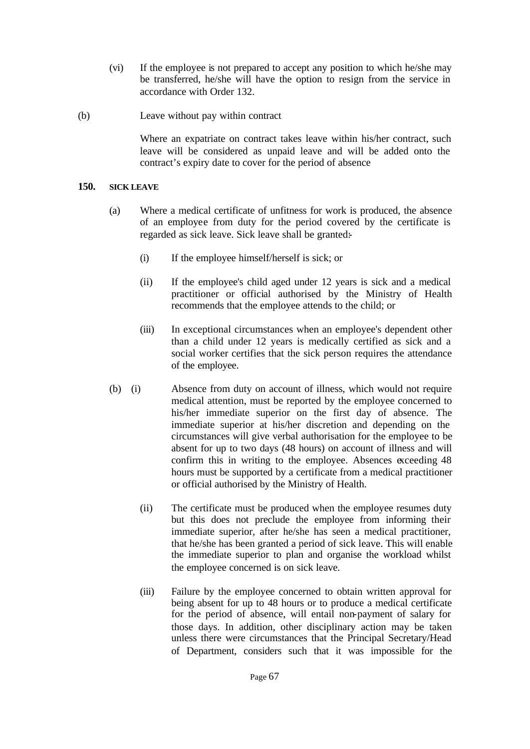- (vi) If the employee is not prepared to accept any position to which he/she may be transferred, he/she will have the option to resign from the service in accordance with Order 132.
- (b) Leave without pay within contract

Where an expatriate on contract takes leave within his/her contract, such leave will be considered as unpaid leave and will be added onto the contract's expiry date to cover for the period of absence

## **150. SICK LEAVE**

- (a) Where a medical certificate of unfitness for work is produced, the absence of an employee from duty for the period covered by the certificate is regarded as sick leave. Sick leave shall be granted:-
	- (i) If the employee himself/herself is sick; or
	- (ii) If the employee's child aged under 12 years is sick and a medical practitioner or official authorised by the Ministry of Health recommends that the employee attends to the child; or
	- (iii) In exceptional circumstances when an employee's dependent other than a child under 12 years is medically certified as sick and a social worker certifies that the sick person requires the attendance of the employee.
- (b) (i) Absence from duty on account of illness, which would not require medical attention, must be reported by the employee concerned to his/her immediate superior on the first day of absence. The immediate superior at his/her discretion and depending on the circumstances will give verbal authorisation for the employee to be absent for up to two days (48 hours) on account of illness and will confirm this in writing to the employee. Absences exceeding 48 hours must be supported by a certificate from a medical practitioner or official authorised by the Ministry of Health.
	- (ii) The certificate must be produced when the employee resumes duty but this does not preclude the employee from informing their immediate superior, after he/she has seen a medical practitioner, that he/she has been granted a period of sick leave. This will enable the immediate superior to plan and organise the workload whilst the employee concerned is on sick leave.
	- (iii) Failure by the employee concerned to obtain written approval for being absent for up to 48 hours or to produce a medical certificate for the period of absence, will entail non-payment of salary for those days. In addition, other disciplinary action may be taken unless there were circumstances that the Principal Secretary/Head of Department, considers such that it was impossible for the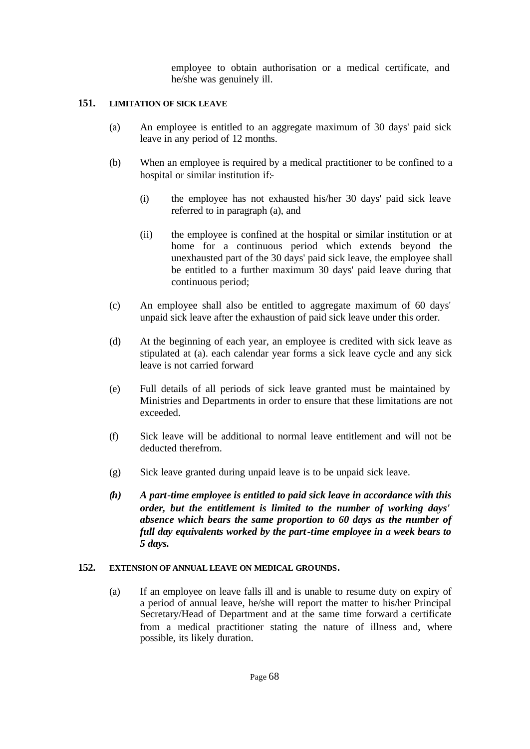employee to obtain authorisation or a medical certificate, and he/she was genuinely ill.

## **151. LIMITATION OF SICK LEAVE**

- (a) An employee is entitled to an aggregate maximum of 30 days' paid sick leave in any period of 12 months.
- (b) When an employee is required by a medical practitioner to be confined to a hospital or similar institution if:-
	- (i) the employee has not exhausted his/her 30 days' paid sick leave referred to in paragraph (a), and
	- (ii) the employee is confined at the hospital or similar institution or at home for a continuous period which extends beyond the unexhausted part of the 30 days' paid sick leave, the employee shall be entitled to a further maximum 30 days' paid leave during that continuous period;
- (c) An employee shall also be entitled to aggregate maximum of 60 days' unpaid sick leave after the exhaustion of paid sick leave under this order.
- (d) At the beginning of each year, an employee is credited with sick leave as stipulated at (a). each calendar year forms a sick leave cycle and any sick leave is not carried forward
- (e) Full details of all periods of sick leave granted must be maintained by Ministries and Departments in order to ensure that these limitations are not exceeded.
- (f) Sick leave will be additional to normal leave entitlement and will not be deducted therefrom.
- (g) Sick leave granted during unpaid leave is to be unpaid sick leave.
- *(h) A part-time employee is entitled to paid sick leave in accordance with this order, but the entitlement is limited to the number of working days' absence which bears the same proportion to 60 days as the number of full day equivalents worked by the part-time employee in a week bears to 5 days.*

## **152. EXTENSION OF ANNUAL LEAVE ON MEDICAL GROUNDS.**

(a) If an employee on leave falls ill and is unable to resume duty on expiry of a period of annual leave, he/she will report the matter to his/her Principal Secretary/Head of Department and at the same time forward a certificate from a medical practitioner stating the nature of illness and, where possible, its likely duration.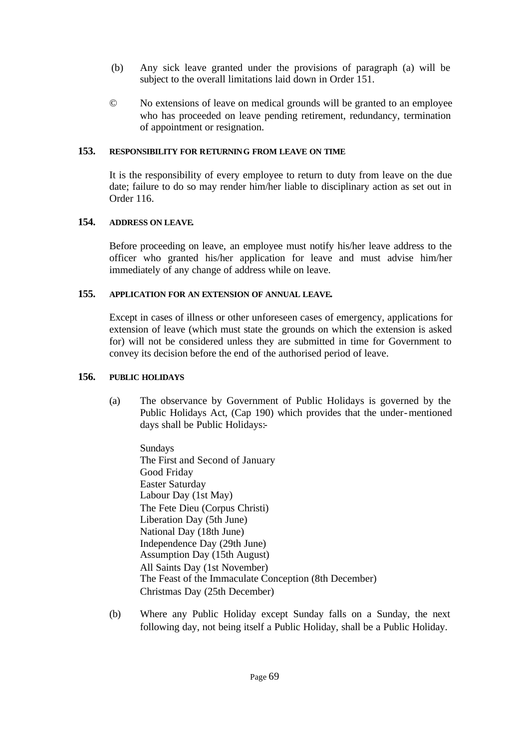- (b) Any sick leave granted under the provisions of paragraph (a) will be subject to the overall limitations laid down in Order 151.
- © No extensions of leave on medical grounds will be granted to an employee who has proceeded on leave pending retirement, redundancy, termination of appointment or resignation.

### **153. RESPONSIBILITY FOR RETURNING FROM LEAVE ON TIME**

It is the responsibility of every employee to return to duty from leave on the due date; failure to do so may render him/her liable to disciplinary action as set out in Order 116.

### **154. ADDRESS ON LEAVE.**

Before proceeding on leave, an employee must notify his/her leave address to the officer who granted his/her application for leave and must advise him/her immediately of any change of address while on leave.

### **155. APPLICATION FOR AN EXTENSION OF ANNUAL LEAVE.**

Except in cases of illness or other unforeseen cases of emergency, applications for extension of leave (which must state the grounds on which the extension is asked for) will not be considered unless they are submitted in time for Government to convey its decision before the end of the authorised period of leave.

### **156. PUBLIC HOLIDAYS**

(a) The observance by Government of Public Holidays is governed by the Public Holidays Act, (Cap 190) which provides that the under-mentioned days shall be Public Holidays:-

Sundays The First and Second of January Good Friday Easter Saturday Labour Day (1st May) The Fete Dieu (Corpus Christi) Liberation Day (5th June) National Day (18th June) Independence Day (29th June) Assumption Day (15th August) All Saints Day (1st November) The Feast of the Immaculate Conception (8th December) Christmas Day (25th December)

(b) Where any Public Holiday except Sunday falls on a Sunday, the next following day, not being itself a Public Holiday, shall be a Public Holiday.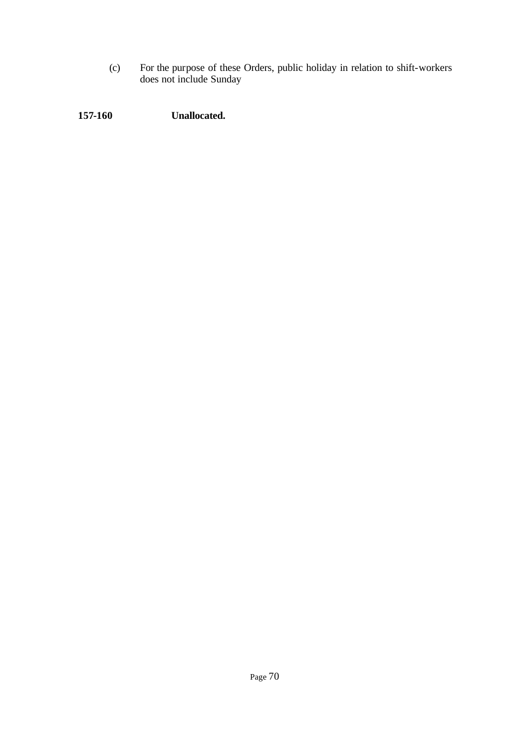(c) For the purpose of these Orders, public holiday in relation to shift-workers does not include Sunday

**157-160 Unallocated.**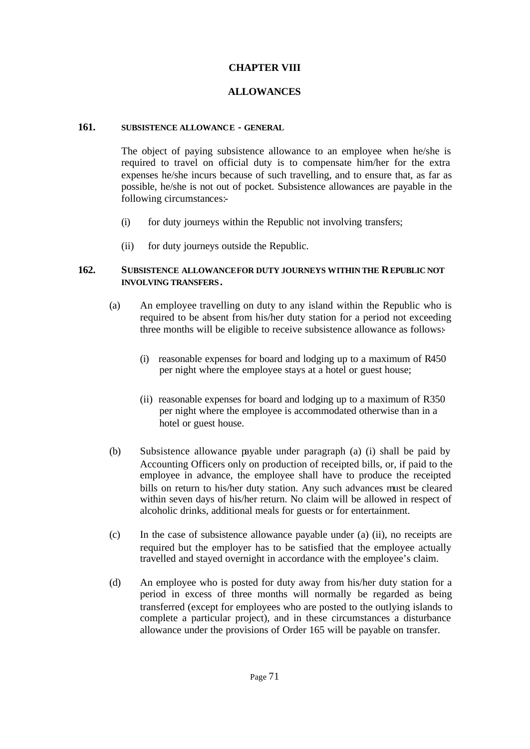## **CHAPTER VIII**

# **ALLOWANCES**

#### **161. SUBSISTENCE ALLOWANCE - GENERAL**

The object of paying subsistence allowance to an employee when he/she is required to travel on official duty is to compensate him/her for the extra expenses he/she incurs because of such travelling, and to ensure that, as far as possible, he/she is not out of pocket. Subsistence allowances are payable in the following circumstances:-

- (i) for duty journeys within the Republic not involving transfers;
- (ii) for duty journeys outside the Republic.

## **162. SUBSISTENCE ALLOWANCE FOR DUTY JOURNEYS WITHIN THE REPUBLIC NOT INVOLVING TRANSFERS.**

- (a) An employee travelling on duty to any island within the Republic who is required to be absent from his/her duty station for a period not exceeding three months will be eligible to receive subsistence allowance as follows:-
	- (i) reasonable expenses for board and lodging up to a maximum of R450 per night where the employee stays at a hotel or guest house;
	- (ii) reasonable expenses for board and lodging up to a maximum of R350 per night where the employee is accommodated otherwise than in a hotel or guest house.
- (b) Subsistence allowance payable under paragraph (a) (i) shall be paid by Accounting Officers only on production of receipted bills, or, if paid to the employee in advance, the employee shall have to produce the receipted bills on return to his/her duty station. Any such advances must be cleared within seven days of his/her return. No claim will be allowed in respect of alcoholic drinks, additional meals for guests or for entertainment.
- (c) In the case of subsistence allowance payable under (a) (ii), no receipts are required but the employer has to be satisfied that the employee actually travelled and stayed overnight in accordance with the employee's claim.
- (d) An employee who is posted for duty away from his/her duty station for a period in excess of three months will normally be regarded as being transferred (except for employees who are posted to the outlying islands to complete a particular project), and in these circumstances a disturbance allowance under the provisions of Order 165 will be payable on transfer.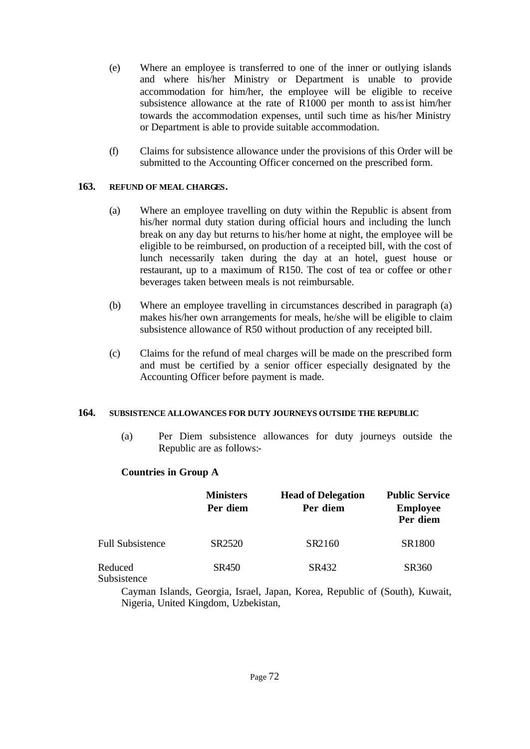- (e) Where an employee is transferred to one of the inner or outlying islands and where his/her Ministry or Department is unable to provide accommodation for him/her, the employee will be eligible to receive subsistence allowance at the rate of R1000 per month to assist him/her towards the accommodation expenses, until such time as his/her Ministry or Department is able to provide suitable accommodation.
- (f) Claims for subsistence allowance under the provisions of this Order will be submitted to the Accounting Officer concerned on the prescribed form.

## **163. REFUND OF MEAL CHARGES.**

- (a) Where an employee travelling on duty within the Republic is absent from his/her normal duty station during official hours and including the lunch break on any day but returns to his/her home at night, the employee will be eligible to be reimbursed, on production of a receipted bill, with the cost of lunch necessarily taken during the day at an hotel, guest house or restaurant, up to a maximum of R150. The cost of tea or coffee or other beverages taken between meals is not reimbursable.
- (b) Where an employee travelling in circumstances described in paragraph (a) makes his/her own arrangements for meals, he/she will be eligible to claim subsistence allowance of R50 without production of any receipted bill.
- (c) Claims for the refund of meal charges will be made on the prescribed form and must be certified by a senior officer especially designated by the Accounting Officer before payment is made.

## **164. SUBSISTENCE ALLOWANCES FOR DUTY JOURNEYS OUTSIDE THE REPUBLIC**

(a) Per Diem subsistence allowances for duty journeys outside the Republic are as follows:-

# **Countries in Group A**

|                         | <b>Ministers</b><br>Per diem | <b>Head of Delegation</b><br>Per diem | <b>Public Service</b><br><b>Employee</b><br>Per diem |
|-------------------------|------------------------------|---------------------------------------|------------------------------------------------------|
| <b>Full Subsistence</b> | SR2520                       | SR2160                                | SR1800                                               |
| Reduced<br>Subsistence  | SR450                        | SR432                                 | SR360                                                |

Cayman Islands, Georgia, Israel, Japan, Korea, Republic of (South), Kuwait, Nigeria, United Kingdom, Uzbekistan,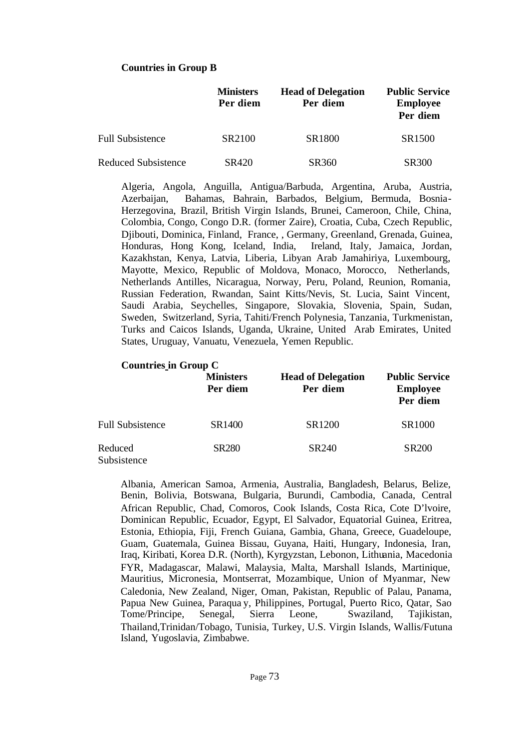## **Countries in Group B**

|                            | <b>Ministers</b><br>Per diem | <b>Head of Delegation</b><br>Per diem | <b>Public Service</b><br><b>Employee</b><br>Per diem |
|----------------------------|------------------------------|---------------------------------------|------------------------------------------------------|
| <b>Full Subsistence</b>    | SR2100                       | SR <sub>1800</sub>                    | SR <sub>1500</sub>                                   |
| <b>Reduced Subsistence</b> | SR420                        | SR360                                 | <b>SR300</b>                                         |

Algeria, Angola, Anguilla, Antigua/Barbuda, Argentina, Aruba, Austria, Azerbaijan, Bahamas, Bahrain, Barbados, Belgium, Bermuda, Bosnia-Herzegovina, Brazil, British Virgin Islands, Brunei, Cameroon, Chile, China, Colombia, Congo, Congo D.R. (former Zaire), Croatia, Cuba, Czech Republic, Djibouti, Dominica, Finland, France, , Germany, Greenland, Grenada, Guinea, Honduras, Hong Kong, Iceland, India, Ireland, Italy, Jamaica, Jordan, Kazakhstan, Kenya, Latvia, Liberia, Libyan Arab Jamahiriya, Luxembourg, Mayotte, Mexico, Republic of Moldova, Monaco, Morocco, Netherlands, Netherlands Antilles, Nicaragua, Norway, Peru, Poland, Reunion, Romania, Russian Federation, Rwandan, Saint Kitts/Nevis, St. Lucia, Saint Vincent, Saudi Arabia, Seychelles, Singapore, Slovakia, Slovenia, Spain, Sudan, Sweden, Switzerland, Syria, Tahiti/French Polynesia, Tanzania, Turkmenistan, Turks and Caicos Islands, Uganda, Ukraine, United Arab Emirates, United States, Uruguay, Vanuatu, Venezuela, Yemen Republic.

#### **Countries in Group C**

|                         | <b>Ministers</b><br>Per diem | <b>Head of Delegation</b><br>Per diem | <b>Public Service</b><br><b>Employee</b><br>Per diem |
|-------------------------|------------------------------|---------------------------------------|------------------------------------------------------|
| <b>Full Subsistence</b> | SR1400                       | SR1200                                | SR1000                                               |
| Reduced<br>Subsistence  | <b>SR280</b>                 | SR <sub>240</sub>                     | <b>SR200</b>                                         |

Albania, American Samoa, Armenia, Australia, Bangladesh, Belarus, Belize, Benin, Bolivia, Botswana, Bulgaria, Burundi, Cambodia, Canada, Central African Republic, Chad, Comoros, Cook Islands, Costa Rica, Cote D'lvoire, Dominican Republic, Ecuador, Egypt, El Salvador, Equatorial Guinea, Eritrea, Estonia, Ethiopia, Fiji, French Guiana, Gambia, Ghana, Greece, Guadeloupe, Guam, Guatemala, Guinea Bissau, Guyana, Haiti, Hungary, Indonesia, Iran, Iraq, Kiribati, Korea D.R. (North), Kyrgyzstan, Lebonon, Lithuania, Macedonia FYR, Madagascar, Malawi, Malaysia, Malta, Marshall Islands, Martinique, Mauritius, Micronesia, Montserrat, Mozambique, Union of Myanmar, New Caledonia, New Zealand, Niger, Oman, Pakistan, Republic of Palau, Panama, Papua New Guinea, Paraqua y, Philippines, Portugal, Puerto Rico, Qatar, Sao Tome/Principe, Senegal, Sierra Leone, Swaziland, Tajikistan, Thailand,Trinidan/Tobago, Tunisia, Turkey, U.S. Virgin Islands, Wallis/Futuna Island, Yugoslavia, Zimbabwe.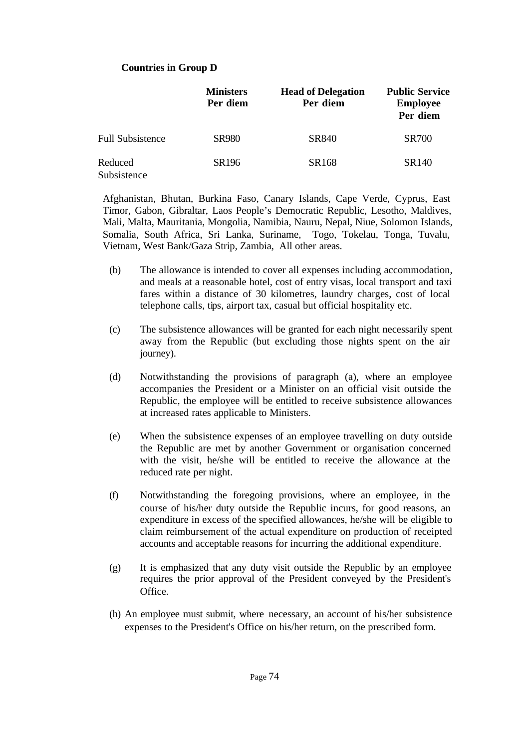## **Countries in Group D**

|                         | <b>Ministers</b><br>Per diem | <b>Head of Delegation</b><br>Per diem | <b>Public Service</b><br><b>Employee</b><br>Per diem |
|-------------------------|------------------------------|---------------------------------------|------------------------------------------------------|
| <b>Full Subsistence</b> | <b>SR980</b>                 | SR840                                 | <b>SR700</b>                                         |
| Reduced<br>Subsistence  | SR <sub>196</sub>            | SR168                                 | SR140                                                |

Afghanistan, Bhutan, Burkina Faso, Canary Islands, Cape Verde, Cyprus, East Timor, Gabon, Gibraltar, Laos People's Democratic Republic, Lesotho, Maldives, Mali, Malta, Mauritania, Mongolia, Namibia, Nauru, Nepal, Niue, Solomon Islands, Somalia, South Africa, Sri Lanka, Suriname, Togo, Tokelau, Tonga, Tuvalu, Vietnam, West Bank/Gaza Strip, Zambia, All other areas.

- (b) The allowance is intended to cover all expenses including accommodation, and meals at a reasonable hotel, cost of entry visas, local transport and taxi fares within a distance of 30 kilometres, laundry charges, cost of local telephone calls, tips, airport tax, casual but official hospitality etc.
- (c) The subsistence allowances will be granted for each night necessarily spent away from the Republic (but excluding those nights spent on the air journey).
- (d) Notwithstanding the provisions of paragraph (a), where an employee accompanies the President or a Minister on an official visit outside the Republic, the employee will be entitled to receive subsistence allowances at increased rates applicable to Ministers.
- (e) When the subsistence expenses of an employee travelling on duty outside the Republic are met by another Government or organisation concerned with the visit, he/she will be entitled to receive the allowance at the reduced rate per night.
- (f) Notwithstanding the foregoing provisions, where an employee, in the course of his/her duty outside the Republic incurs, for good reasons, an expenditure in excess of the specified allowances, he/she will be eligible to claim reimbursement of the actual expenditure on production of receipted accounts and acceptable reasons for incurring the additional expenditure.
- (g) It is emphasized that any duty visit outside the Republic by an employee requires the prior approval of the President conveyed by the President's Office.
- (h) An employee must submit, where necessary, an account of his/her subsistence expenses to the President's Office on his/her return, on the prescribed form.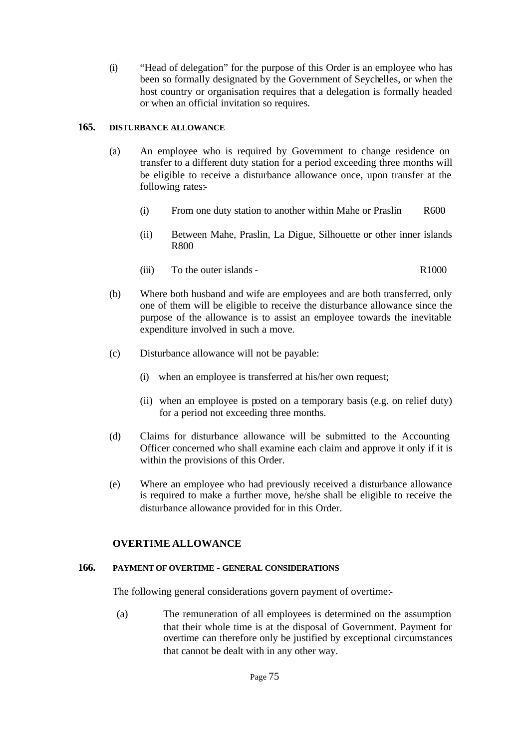(i) "Head of delegation" for the purpose of this Order is an employee who has been so formally designated by the Government of Seychelles, or when the host country or organisation requires that a delegation is formally headed or when an official invitation so requires.

## **165. DISTURBANCE ALLOWANCE**

- (a) An employee who is required by Government to change residence on transfer to a different duty station for a period exceeding three months will be eligible to receive a disturbance allowance once, upon transfer at the following rates:-
	- (i) From one duty station to another within Mahe or Praslin R600
	- (ii) Between Mahe, Praslin, La Digue, Silhouette or other inner islands R800
	- (iii) To the outer islands R1000
- (b) Where both husband and wife are employees and are both transferred, only one of them will be eligible to receive the disturbance allowance since the purpose of the allowance is to assist an employee towards the inevitable expenditure involved in such a move.
- (c) Disturbance allowance will not be payable:
	- (i) when an employee is transferred at his/her own request;
	- (ii) when an employee is posted on a temporary basis (e.g. on relief duty) for a period not exceeding three months.
- (d) Claims for disturbance allowance will be submitted to the Accounting Officer concerned who shall examine each claim and approve it only if it is within the provisions of this Order.
- (e) Where an employee who had previously received a disturbance allowance is required to make a further move, he/she shall be eligible to receive the disturbance allowance provided for in this Order.

# **OVERTIME ALLOWANCE**

# **166. PAYMENT OF OVERTIME - GENERAL CONSIDERATIONS**

The following general considerations govern payment of overtime:-

(a) The remuneration of all employees is determined on the assumption that their whole time is at the disposal of Government. Payment for overtime can therefore only be justified by exceptional circumstances that cannot be dealt with in any other way.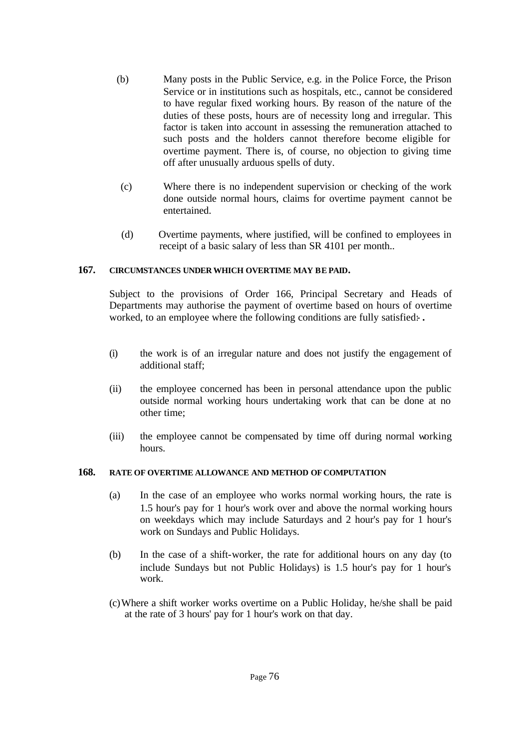- (b) Many posts in the Public Service, e.g. in the Police Force, the Prison Service or in institutions such as hospitals, etc., cannot be considered to have regular fixed working hours. By reason of the nature of the duties of these posts, hours are of necessity long and irregular. This factor is taken into account in assessing the remuneration attached to such posts and the holders cannot therefore become eligible for overtime payment. There is, of course, no objection to giving time off after unusually arduous spells of duty.
- (c) Where there is no independent supervision or checking of the work done outside normal hours, claims for overtime payment cannot be entertained.
- (d) Overtime payments, where justified, will be confined to employees in receipt of a basic salary of less than SR 4101 per month..

## **167. CIRCUMSTANCES UNDER WHICH OVERTIME MAY BE PAID.**

Subject to the provisions of Order 166, Principal Secretary and Heads of Departments may authorise the payment of overtime based on hours of overtime worked, to an employee where the following conditions are fully satisfied:- *.*

- (i) the work is of an irregular nature and does not justify the engagement of additional staff;
- (ii) the employee concerned has been in personal attendance upon the public outside normal working hours undertaking work that can be done at no other time;
- (iii) the employee cannot be compensated by time off during normal working hours.

## **168. RATE OF OVERTIME ALLOWANCE AND METHOD OF COMPUTATION**

- (a) In the case of an employee who works normal working hours, the rate is 1.5 hour's pay for 1 hour's work over and above the normal working hours on weekdays which may include Saturdays and 2 hour's pay for 1 hour's work on Sundays and Public Holidays.
- (b) In the case of a shift-worker, the rate for additional hours on any day (to include Sundays but not Public Holidays) is 1.5 hour's pay for 1 hour's work.
- (c)Where a shift worker works overtime on a Public Holiday, he/she shall be paid at the rate of 3 hours' pay for 1 hour's work on that day.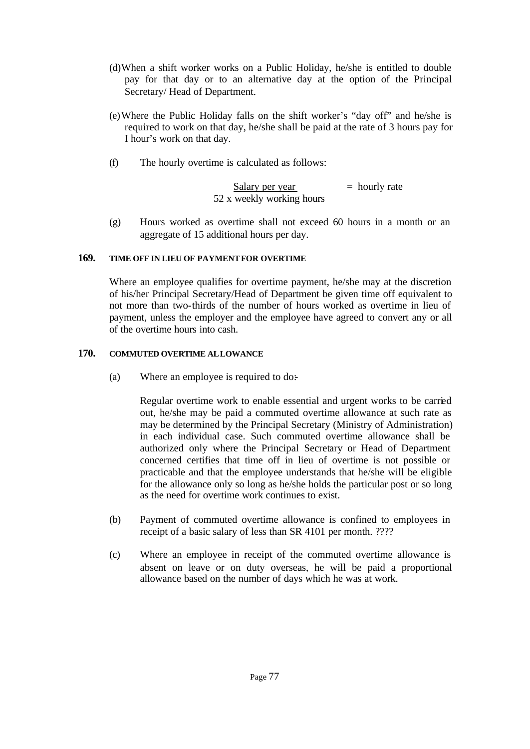- (d)When a shift worker works on a Public Holiday, he/she is entitled to double pay for that day or to an alternative day at the option of the Principal Secretary/ Head of Department.
- (e)Where the Public Holiday falls on the shift worker's "day off" and he/she is required to work on that day, he/she shall be paid at the rate of 3 hours pay for I hour's work on that day.
- (f) The hourly overtime is calculated as follows:

$$
\frac{\text{Salary per year}}{52 \text{ x weekly working hours}} = \text{hourly rate}
$$

(g) Hours worked as overtime shall not exceed 60 hours in a month or an aggregate of 15 additional hours per day.

## **169. TIME OFF IN LIEU OF PAYMENT FOR OVERTIME**

Where an employee qualifies for overtime payment, he/she may at the discretion of his/her Principal Secretary/Head of Department be given time off equivalent to not more than two-thirds of the number of hours worked as overtime in lieu of payment, unless the employer and the employee have agreed to convert any or all of the overtime hours into cash.

## **170. COMMUTED OVERTIME ALLOWANCE**

(a) Where an employee is required to do:

Regular overtime work to enable essential and urgent works to be carried out, he/she may be paid a commuted overtime allowance at such rate as may be determined by the Principal Secretary (Ministry of Administration) in each individual case. Such commuted overtime allowance shall be authorized only where the Principal Secretary or Head of Department concerned certifies that time off in lieu of overtime is not possible or practicable and that the employee understands that he/she will be eligible for the allowance only so long as he/she holds the particular post or so long as the need for overtime work continues to exist.

- (b) Payment of commuted overtime allowance is confined to employees in receipt of a basic salary of less than SR 4101 per month. ????
- (c) Where an employee in receipt of the commuted overtime allowance is absent on leave or on duty overseas, he will be paid a proportional allowance based on the number of days which he was at work.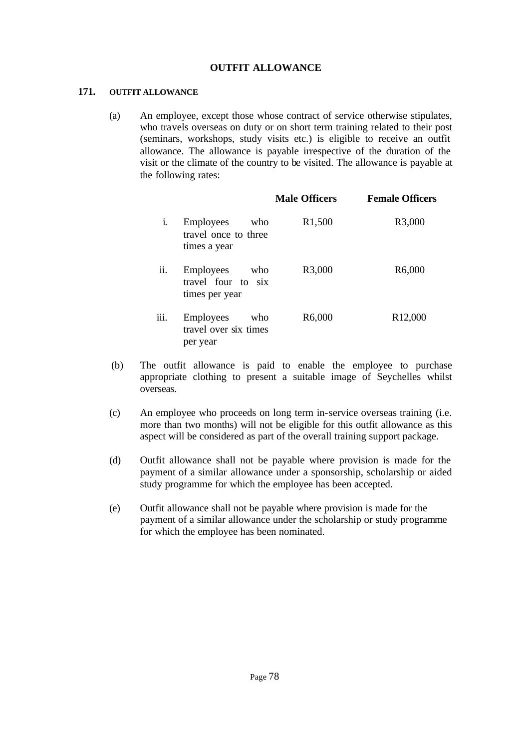## **OUTFIT ALLOWANCE**

#### **171. OUTFIT ALLOWANCE**

(a) An employee, except those whose contract of service otherwise stipulates, who travels overseas on duty or on short term training related to their post (seminars, workshops, study visits etc.) is eligible to receive an outfit allowance. The allowance is payable irrespective of the duration of the visit or the climate of the country to be visited. The allowance is payable at the following rates:

|      |                                                                 | <b>Male Officers</b> | <b>Female Officers</b> |
|------|-----------------------------------------------------------------|----------------------|------------------------|
| i.   | <b>Employees</b><br>who<br>travel once to three<br>times a year | R <sub>1</sub> ,500  | R3,000                 |
| ii.  | Employees<br>who<br>travel four to six<br>times per year        | R3,000               | R6,000                 |
| iii. | Employees<br>who<br>travel over six times<br>per year           | R6,000               | R <sub>12</sub> ,000   |

- (b) The outfit allowance is paid to enable the employee to purchase appropriate clothing to present a suitable image of Seychelles whilst overseas.
- (c) An employee who proceeds on long term in-service overseas training (i.e. more than two months) will not be eligible for this outfit allowance as this aspect will be considered as part of the overall training support package.
- (d) Outfit allowance shall not be payable where provision is made for the payment of a similar allowance under a sponsorship, scholarship or aided study programme for which the employee has been accepted.
- (e) Outfit allowance shall not be payable where provision is made for the payment of a similar allowance under the scholarship or study programme for which the employee has been nominated.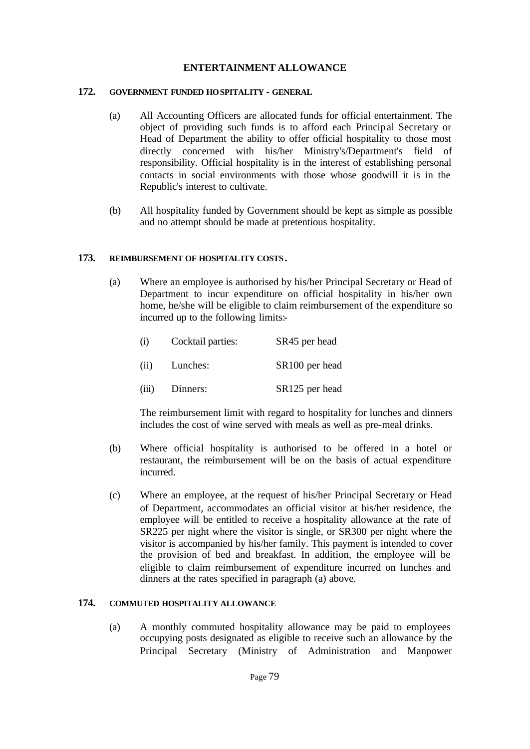## **ENTERTAINMENT ALLOWANCE**

#### **172. GOVERNMENT FUNDED HOSPITALITY - GENERAL**

- (a) All Accounting Officers are allocated funds for official entertainment. The object of providing such funds is to afford each Principal Secretary or Head of Department the ability to offer official hospitality to those most directly concerned with his/her Ministry's/Department's field of responsibility. Official hospitality is in the interest of establishing personal contacts in social environments with those whose goodwill it is in the Republic's interest to cultivate.
- (b) All hospitality funded by Government should be kept as simple as possible and no attempt should be made at pretentious hospitality.

#### **173. REIMBURSEMENT OF HOSPITALITY COSTS.**

(a) Where an employee is authorised by his/her Principal Secretary or Head of Department to incur expenditure on official hospitality in his/her own home, he/she will be eligible to claim reimbursement of the expenditure so incurred up to the following limits:-

| (i)   | Cocktail parties: | SR45 per head              |
|-------|-------------------|----------------------------|
| (ii)  | Lunches:          | SR <sub>100</sub> per head |
| (iii) | Dinners:          | SR <sub>125</sub> per head |

The reimbursement limit with regard to hospitality for lunches and dinners includes the cost of wine served with meals as well as pre-meal drinks.

- (b) Where official hospitality is authorised to be offered in a hotel or restaurant, the reimbursement will be on the basis of actual expenditure incurred.
- (c) Where an employee, at the request of his/her Principal Secretary or Head of Department, accommodates an official visitor at his/her residence, the employee will be entitled to receive a hospitality allowance at the rate of SR225 per night where the visitor is single, or SR300 per night where the visitor is accompanied by his/her family. This payment is intended to cover the provision of bed and breakfast. In addition, the employee will be eligible to claim reimbursement of expenditure incurred on lunches and dinners at the rates specified in paragraph (a) above.

## **174. COMMUTED HOSPITALITY ALLOWANCE**

(a) A monthly commuted hospitality allowance may be paid to employees occupying posts designated as eligible to receive such an allowance by the Principal Secretary (Ministry of Administration and Manpower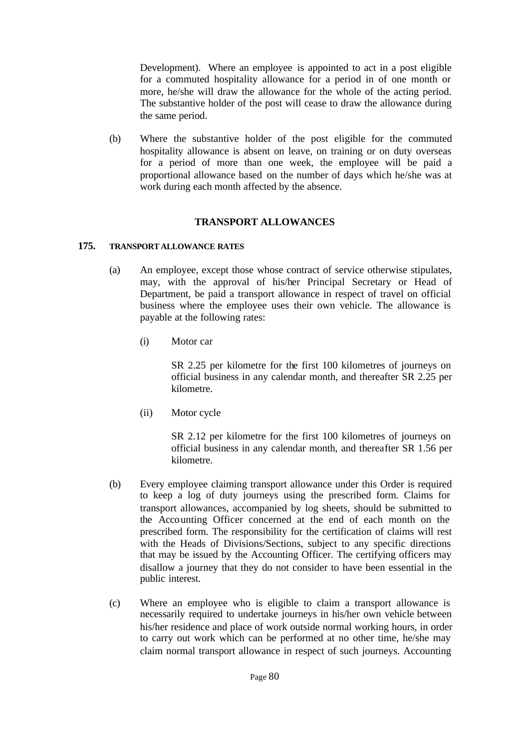Development). Where an employee is appointed to act in a post eligible for a commuted hospitality allowance for a period in of one month or more, he/she will draw the allowance for the whole of the acting period. The substantive holder of the post will cease to draw the allowance during the same period.

(b) Where the substantive holder of the post eligible for the commuted hospitality allowance is absent on leave, on training or on duty overseas for a period of more than one week, the employee will be paid a proportional allowance based on the number of days which he/she was at work during each month affected by the absence.

## **TRANSPORT ALLOWANCES**

## **175. TRANSPORT ALLOWANCE RATES**

- (a) An employee, except those whose contract of service otherwise stipulates, may, with the approval of his/her Principal Secretary or Head of Department, be paid a transport allowance in respect of travel on official business where the employee uses their own vehicle. The allowance is payable at the following rates:
	- (i) Motor car

SR 2.25 per kilometre for the first 100 kilometres of journeys on official business in any calendar month, and thereafter SR 2.25 per kilometre.

(ii) Motor cycle

SR 2.12 per kilometre for the first 100 kilometres of journeys on official business in any calendar month, and thereafter SR 1.56 per kilometre.

- (b) Every employee claiming transport allowance under this Order is required to keep a log of duty journeys using the prescribed form. Claims for transport allowances, accompanied by log sheets, should be submitted to the Accounting Officer concerned at the end of each month on the prescribed form. The responsibility for the certification of claims will rest with the Heads of Divisions/Sections, subject to any specific directions that may be issued by the Accounting Officer. The certifying officers may disallow a journey that they do not consider to have been essential in the public interest.
- (c) Where an employee who is eligible to claim a transport allowance is necessarily required to undertake journeys in his/her own vehicle between his/her residence and place of work outside normal working hours, in order to carry out work which can be performed at no other time, he/she may claim normal transport allowance in respect of such journeys. Accounting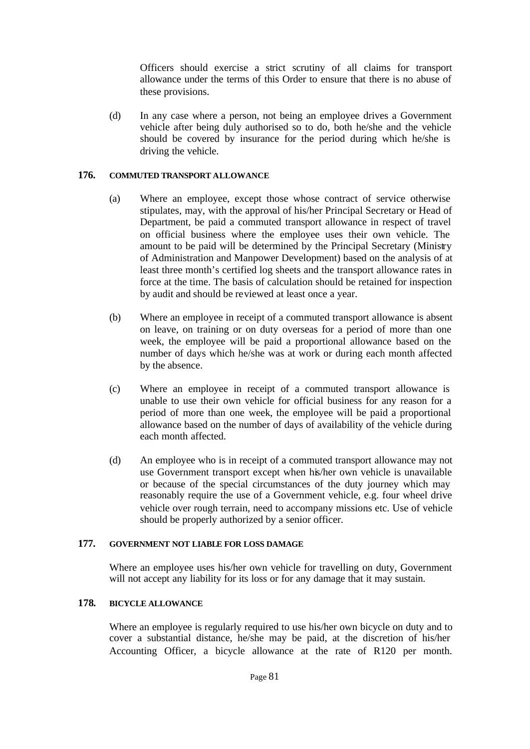Officers should exercise a strict scrutiny of all claims for transport allowance under the terms of this Order to ensure that there is no abuse of these provisions.

(d) In any case where a person, not being an employee drives a Government vehicle after being duly authorised so to do, both he/she and the vehicle should be covered by insurance for the period during which he/she is driving the vehicle.

#### **176. COMMUTED TRANSPORT ALLOWANCE**

- (a) Where an employee, except those whose contract of service otherwise stipulates, may, with the approval of his/her Principal Secretary or Head of Department, be paid a commuted transport allowance in respect of travel on official business where the employee uses their own vehicle. The amount to be paid will be determined by the Principal Secretary (Ministry of Administration and Manpower Development) based on the analysis of at least three month's certified log sheets and the transport allowance rates in force at the time. The basis of calculation should be retained for inspection by audit and should be reviewed at least once a year.
- (b) Where an employee in receipt of a commuted transport allowance is absent on leave, on training or on duty overseas for a period of more than one week, the employee will be paid a proportional allowance based on the number of days which he/she was at work or during each month affected by the absence.
- (c) Where an employee in receipt of a commuted transport allowance is unable to use their own vehicle for official business for any reason for a period of more than one week, the employee will be paid a proportional allowance based on the number of days of availability of the vehicle during each month affected.
- (d) An employee who is in receipt of a commuted transport allowance may not use Government transport except when his/her own vehicle is unavailable or because of the special circumstances of the duty journey which may reasonably require the use of a Government vehicle, e.g. four wheel drive vehicle over rough terrain, need to accompany missions etc. Use of vehicle should be properly authorized by a senior officer.

## **177. GOVERNMENT NOT LIABLE FOR LOSS DAMAGE**

Where an employee uses his/her own vehicle for travelling on duty, Government will not accept any liability for its loss or for any damage that it may sustain.

## **178. BICYCLE ALLOWANCE**

Where an employee is regularly required to use his/her own bicycle on duty and to cover a substantial distance, he/she may be paid, at the discretion of his/her Accounting Officer, a bicycle allowance at the rate of R120 per month.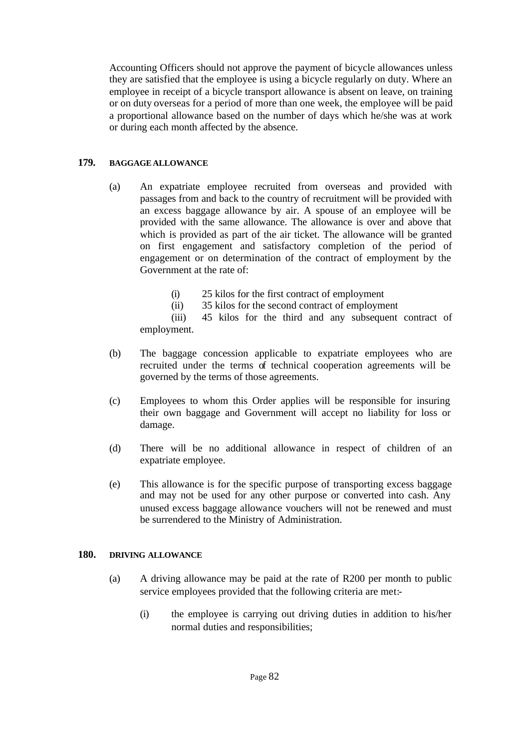Accounting Officers should not approve the payment of bicycle allowances unless they are satisfied that the employee is using a bicycle regularly on duty. Where an employee in receipt of a bicycle transport allowance is absent on leave, on training or on duty overseas for a period of more than one week, the employee will be paid a proportional allowance based on the number of days which he/she was at work or during each month affected by the absence.

## **179. BAGGAGE ALLOWANCE**

- (a) An expatriate employee recruited from overseas and provided with passages from and back to the country of recruitment will be provided with an excess baggage allowance by air. A spouse of an employee will be provided with the same allowance. The allowance is over and above that which is provided as part of the air ticket. The allowance will be granted on first engagement and satisfactory completion of the period of engagement or on determination of the contract of employment by the Government at the rate of:
	- (i) 25 kilos for the first contract of employment
	- (ii) 35 kilos for the second contract of employment

(iii) 45 kilos for the third and any subsequent contract of employment.

- (b) The baggage concession applicable to expatriate employees who are recruited under the terms of technical cooperation agreements will be governed by the terms of those agreements.
- (c) Employees to whom this Order applies will be responsible for insuring their own baggage and Government will accept no liability for loss or damage.
- (d) There will be no additional allowance in respect of children of an expatriate employee.
- (e) This allowance is for the specific purpose of transporting excess baggage and may not be used for any other purpose or converted into cash. Any unused excess baggage allowance vouchers will not be renewed and must be surrendered to the Ministry of Administration.

## **180. DRIVING ALLOWANCE**

- (a) A driving allowance may be paid at the rate of R200 per month to public service employees provided that the following criteria are met:-
	- (i) the employee is carrying out driving duties in addition to his/her normal duties and responsibilities;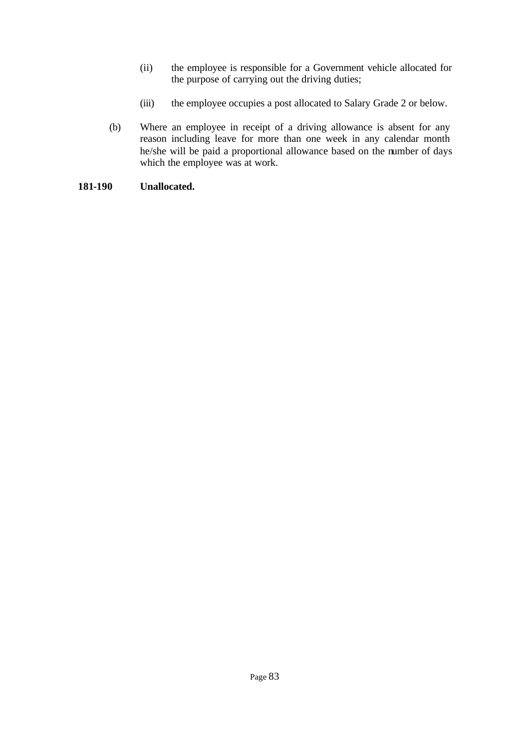- (ii) the employee is responsible for a Government vehicle allocated for the purpose of carrying out the driving duties;
- (iii) the employee occupies a post allocated to Salary Grade 2 or below.
- (b) Where an employee in receipt of a driving allowance is absent for any reason including leave for more than one week in any calendar month he/she will be paid a proportional allowance based on the number of days which the employee was at work.

## **181-190 Unallocated.**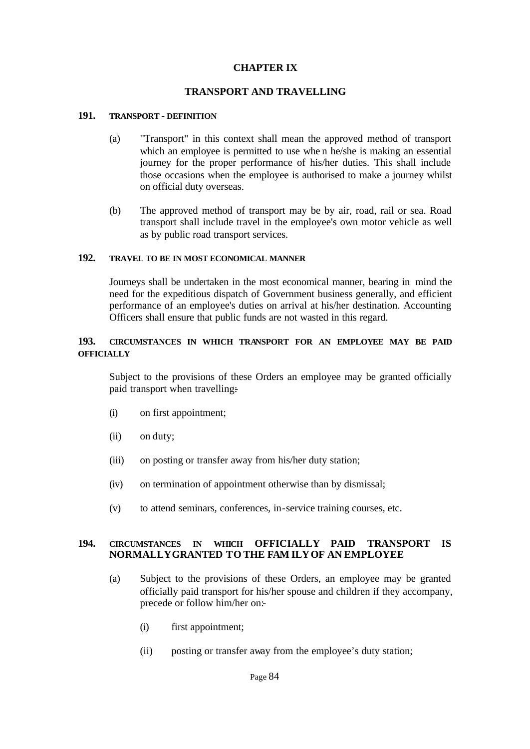## **CHAPTER IX**

## **TRANSPORT AND TRAVELLING**

#### **191. TRANSPORT - DEFINITION**

- (a) "Transport" in this context shall mean the approved method of transport which an employee is permitted to use when he/she is making an essential journey for the proper performance of his/her duties. This shall include those occasions when the employee is authorised to make a journey whilst on official duty overseas.
- (b) The approved method of transport may be by air, road, rail or sea. Road transport shall include travel in the employee's own motor vehicle as well as by public road transport services.

#### **192. TRAVEL TO BE IN MOST ECONOMICAL MANNER**

Journeys shall be undertaken in the most economical manner, bearing in mind the need for the expeditious dispatch of Government business generally, and efficient performance of an employee's duties on arrival at his/her destination. Accounting Officers shall ensure that public funds are not wasted in this regard.

## **193. CIRCUMSTANCES IN WHICH TRANSPORT FOR AN EMPLOYEE MAY BE PAID OFFICIALLY**

Subject to the provisions of these Orders an employee may be granted officially paid transport when travelling:-

- (i) on first appointment;
- (ii) on duty;
- (iii) on posting or transfer away from his/her duty station;
- (iv) on termination of appointment otherwise than by dismissal;
- (v) to attend seminars, conferences, in-service training courses, etc.

#### **194. CIRCUMSTANCES IN WHICH OFFICIALLY PAID TRANSPORT IS NORMALLYGRANTED TO THE FAM ILYOF AN EMPLOYEE**

- (a) Subject to the provisions of these Orders, an employee may be granted officially paid transport for his/her spouse and children if they accompany, precede or follow him/her on:-
	- (i) first appointment;
	- (ii) posting or transfer away from the employee's duty station;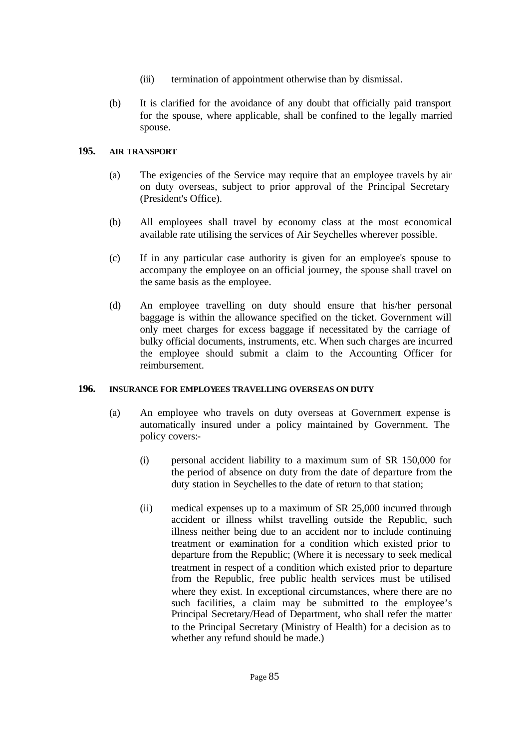- (iii) termination of appointment otherwise than by dismissal.
- (b) It is clarified for the avoidance of any doubt that officially paid transport for the spouse, where applicable, shall be confined to the legally married spouse.

## **195. AIR TRANSPORT**

- (a) The exigencies of the Service may require that an employee travels by air on duty overseas, subject to prior approval of the Principal Secretary (President's Office).
- (b) All employees shall travel by economy class at the most economical available rate utilising the services of Air Seychelles wherever possible.
- (c) If in any particular case authority is given for an employee's spouse to accompany the employee on an official journey, the spouse shall travel on the same basis as the employee.
- (d) An employee travelling on duty should ensure that his/her personal baggage is within the allowance specified on the ticket. Government will only meet charges for excess baggage if necessitated by the carriage of bulky official documents, instruments, etc. When such charges are incurred the employee should submit a claim to the Accounting Officer for reimbursement.

## **196. INSURANCE FOR EMPLOYEES TRAVELLING OVERSEAS ON DUTY**

- (a) An employee who travels on duty overseas at Government expense is automatically insured under a policy maintained by Government. The policy covers:-
	- (i) personal accident liability to a maximum sum of SR 150,000 for the period of absence on duty from the date of departure from the duty station in Seychelles to the date of return to that station;
	- (ii) medical expenses up to a maximum of SR 25,000 incurred through accident or illness whilst travelling outside the Republic, such illness neither being due to an accident nor to include continuing treatment or examination for a condition which existed prior to departure from the Republic; (Where it is necessary to seek medical treatment in respect of a condition which existed prior to departure from the Republic, free public health services must be utilised where they exist. In exceptional circumstances, where there are no such facilities, a claim may be submitted to the employee's Principal Secretary/Head of Department, who shall refer the matter to the Principal Secretary (Ministry of Health) for a decision as to whether any refund should be made.)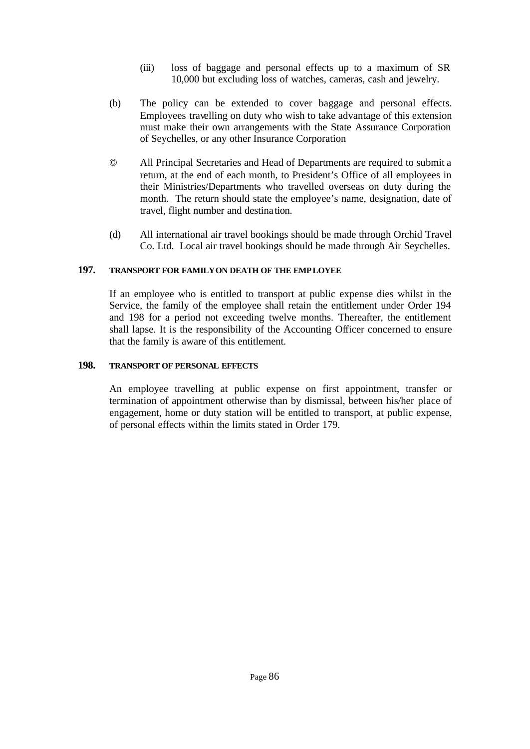- (iii) loss of baggage and personal effects up to a maximum of SR 10,000 but excluding loss of watches, cameras, cash and jewelry.
- (b) The policy can be extended to cover baggage and personal effects. Employees travelling on duty who wish to take advantage of this extension must make their own arrangements with the State Assurance Corporation of Seychelles, or any other Insurance Corporation
- © All Principal Secretaries and Head of Departments are required to submit a return, at the end of each month, to President's Office of all employees in their Ministries/Departments who travelled overseas on duty during the month. The return should state the employee's name, designation, date of travel, flight number and destina tion.
- (d) All international air travel bookings should be made through Orchid Travel Co. Ltd. Local air travel bookings should be made through Air Seychelles.

## **197. TRANSPORT FOR FAMILY ON DEATH OF THE EMPLOYEE**

If an employee who is entitled to transport at public expense dies whilst in the Service, the family of the employee shall retain the entitlement under Order 194 and 198 for a period not exceeding twelve months. Thereafter, the entitlement shall lapse. It is the responsibility of the Accounting Officer concerned to ensure that the family is aware of this entitlement.

## **198. TRANSPORT OF PERSONAL EFFECTS**

An employee travelling at public expense on first appointment, transfer or termination of appointment otherwise than by dismissal, between his/her place of engagement, home or duty station will be entitled to transport, at public expense, of personal effects within the limits stated in Order 179.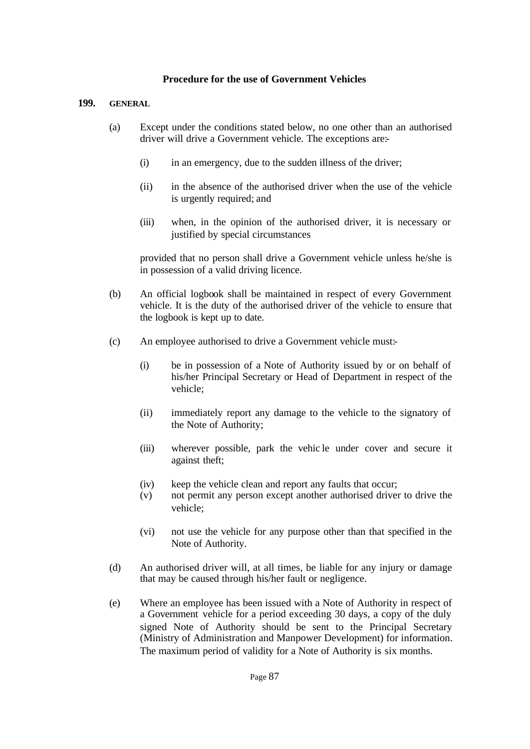## **Procedure for the use of Government Vehicles**

#### **199. GENERAL**

- (a) Except under the conditions stated below, no one other than an authorised driver will drive a Government vehicle. The exceptions are:-
	- (i) in an emergency, due to the sudden illness of the driver;
	- (ii) in the absence of the authorised driver when the use of the vehicle is urgently required; and
	- (iii) when, in the opinion of the authorised driver, it is necessary or justified by special circumstances

provided that no person shall drive a Government vehicle unless he/she is in possession of a valid driving licence.

- (b) An official logbook shall be maintained in respect of every Government vehicle. It is the duty of the authorised driver of the vehicle to ensure that the logbook is kept up to date.
- (c) An employee authorised to drive a Government vehicle must:-
	- (i) be in possession of a Note of Authority issued by or on behalf of his/her Principal Secretary or Head of Department in respect of the vehicle;
	- (ii) immediately report any damage to the vehicle to the signatory of the Note of Authority;
	- (iii) wherever possible, park the vehic le under cover and secure it against theft;
	- (iv) keep the vehicle clean and report any faults that occur;
	- (v) not permit any person except another authorised driver to drive the vehicle;
	- (vi) not use the vehicle for any purpose other than that specified in the Note of Authority.
- (d) An authorised driver will, at all times, be liable for any injury or damage that may be caused through his/her fault or negligence.
- (e) Where an employee has been issued with a Note of Authority in respect of a Government vehicle for a period exceeding 30 days, a copy of the duly signed Note of Authority should be sent to the Principal Secretary (Ministry of Administration and Manpower Development) for information. The maximum period of validity for a Note of Authority is six months.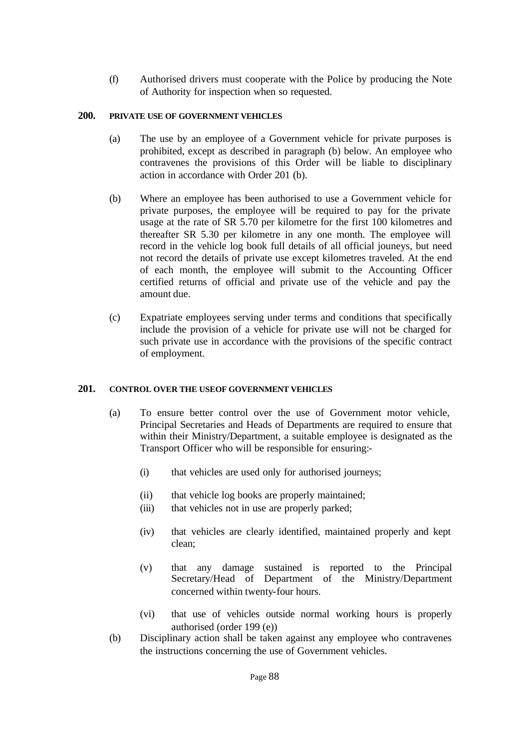(f) Authorised drivers must cooperate with the Police by producing the Note of Authority for inspection when so requested.

## **200. PRIVATE USE OF GOVERNMENT VEHICLES**

- (a) The use by an employee of a Government vehicle for private purposes is prohibited, except as described in paragraph (b) below. An employee who contravenes the provisions of this Order will be liable to disciplinary action in accordance with Order 201 (b).
- (b) Where an employee has been authorised to use a Government vehicle for private purposes, the employee will be required to pay for the private usage at the rate of SR 5.70 per kilometre for the first 100 kilometres and thereafter SR 5.30 per kilometre in any one month. The employee will record in the vehicle log book full details of all official jouneys, but need not record the details of private use except kilometres traveled. At the end of each month, the employee will submit to the Accounting Officer certified returns of official and private use of the vehicle and pay the amount due.
- (c) Expatriate employees serving under terms and conditions that specifically include the provision of a vehicle for private use will not be charged for such private use in accordance with the provisions of the specific contract of employment.

# **201. CONTROL OVER THE USE OF GOVERNMENT VEHICLES**

- (a) To ensure better control over the use of Government motor vehicle, Principal Secretaries and Heads of Departments are required to ensure that within their Ministry/Department, a suitable employee is designated as the Transport Officer who will be responsible for ensuring:-
	- (i) that vehicles are used only for authorised journeys;
	- (ii) that vehicle log books are properly maintained;
	- (iii) that vehicles not in use are properly parked;
	- (iv) that vehicles are clearly identified, maintained properly and kept clean;
	- (v) that any damage sustained is reported to the Principal Secretary/Head of Department of the Ministry/Department concerned within twenty-four hours.
	- (vi) that use of vehicles outside normal working hours is properly authorised (order 199 (e))
- (b) Disciplinary action shall be taken against any employee who contravenes the instructions concerning the use of Government vehicles.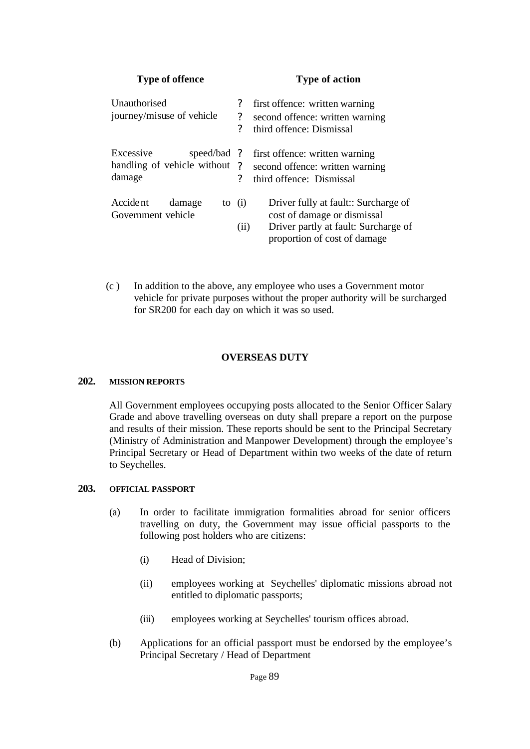| <b>Type of offence</b><br>Unauthorised<br>journey/misuse of vehicle |                                   | <b>Type of action</b>                                                                                                                       |  |  |
|---------------------------------------------------------------------|-----------------------------------|---------------------------------------------------------------------------------------------------------------------------------------------|--|--|
|                                                                     |                                   | first offence: written warning<br>second offence: written warning<br>third offence: Dismissal                                               |  |  |
| Excessive<br>speed/bad ?<br>handling of vehicle without<br>damage   | $\gamma$<br>$\boldsymbol{\gamma}$ | first offence: written warning<br>second offence: written warning<br>third offence: Dismissal                                               |  |  |
| Accident<br>damage<br>Government vehicle                            | to $(i)$<br>(ii)                  | Driver fully at fault:: Surcharge of<br>cost of damage or dismissal<br>Driver partly at fault: Surcharge of<br>proportion of cost of damage |  |  |

 (c ) In addition to the above, any employee who uses a Government motor vehicle for private purposes without the proper authority will be surcharged for SR200 for each day on which it was so used.

## **OVERSEAS DUTY**

#### **202. MISSION REPORTS**

All Government employees occupying posts allocated to the Senior Officer Salary Grade and above travelling overseas on duty shall prepare a report on the purpose and results of their mission. These reports should be sent to the Principal Secretary (Ministry of Administration and Manpower Development) through the employee's Principal Secretary or Head of Department within two weeks of the date of return to Seychelles.

## **203. OFFICIAL PASSPORT**

- (a) In order to facilitate immigration formalities abroad for senior officers travelling on duty, the Government may issue official passports to the following post holders who are citizens:
	- (i) Head of Division;
	- (ii) employees working at Seychelles' diplomatic missions abroad not entitled to diplomatic passports;
	- (iii) employees working at Seychelles' tourism offices abroad.
- (b) Applications for an official passport must be endorsed by the employee's Principal Secretary / Head of Department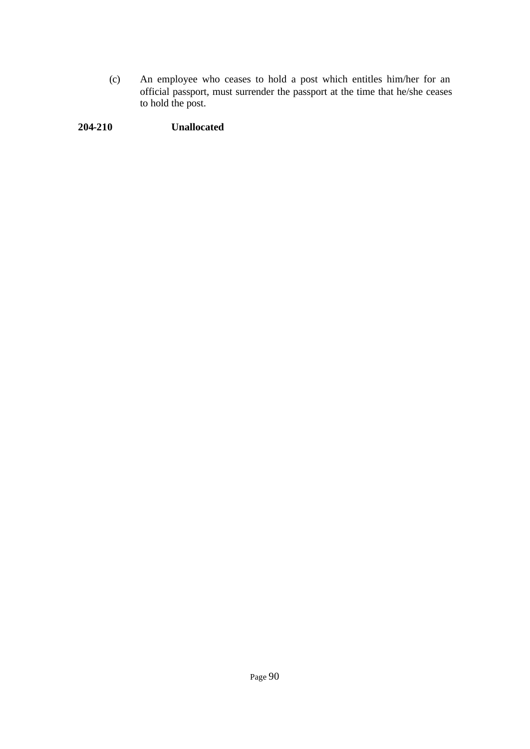(c) An employee who ceases to hold a post which entitles him/her for an official passport, must surrender the passport at the time that he/she ceases to hold the post.

# **204-210 Unallocated**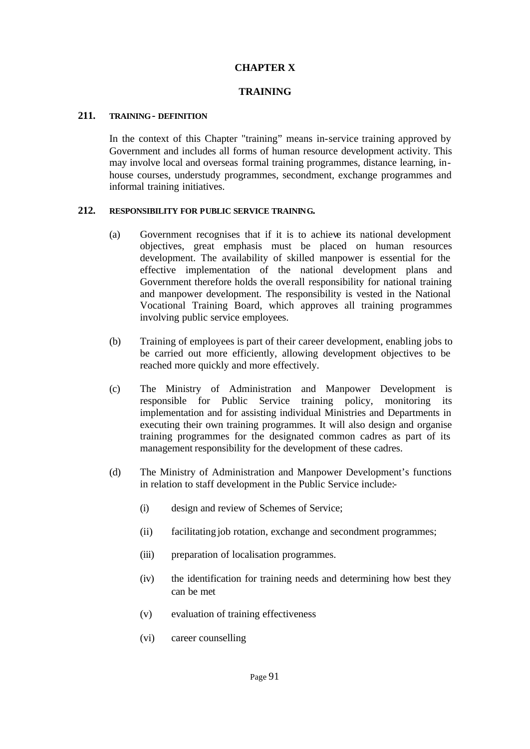## **CHAPTER X**

## **TRAINING**

#### **211. TRAINING - DEFINITION**

In the context of this Chapter "training" means in-service training approved by Government and includes all forms of human resource development activity. This may involve local and overseas formal training programmes, distance learning, inhouse courses, understudy programmes, secondment, exchange programmes and informal training initiatives.

#### **212. RESPONSIBILITY FOR PUBLIC SERVICE TRAINING.**

- (a) Government recognises that if it is to achieve its national development objectives, great emphasis must be placed on human resources development. The availability of skilled manpower is essential for the effective implementation of the national development plans and Government therefore holds the overall responsibility for national training and manpower development. The responsibility is vested in the National Vocational Training Board, which approves all training programmes involving public service employees.
- (b) Training of employees is part of their career development, enabling jobs to be carried out more efficiently, allowing development objectives to be reached more quickly and more effectively.
- (c) The Ministry of Administration and Manpower Development is responsible for Public Service training policy, monitoring its implementation and for assisting individual Ministries and Departments in executing their own training programmes. It will also design and organise training programmes for the designated common cadres as part of its management responsibility for the development of these cadres.
- (d) The Ministry of Administration and Manpower Development's functions in relation to staff development in the Public Service include:-
	- (i) design and review of Schemes of Service;
	- (ii) facilitating job rotation, exchange and secondment programmes;
	- (iii) preparation of localisation programmes.
	- (iv) the identification for training needs and determining how best they can be met
	- (v) evaluation of training effectiveness
	- (vi) career counselling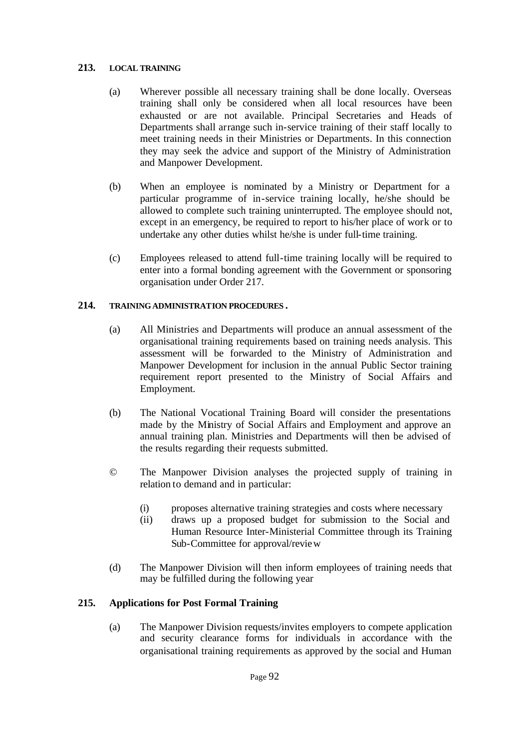#### **213. LOCAL TRAINING**

- (a) Wherever possible all necessary training shall be done locally. Overseas training shall only be considered when all local resources have been exhausted or are not available. Principal Secretaries and Heads of Departments shall arrange such in-service training of their staff locally to meet training needs in their Ministries or Departments. In this connection they may seek the advice and support of the Ministry of Administration and Manpower Development.
- (b) When an employee is nominated by a Ministry or Department for a particular programme of in-service training locally, he/she should be allowed to complete such training uninterrupted. The employee should not, except in an emergency, be required to report to his/her place of work or to undertake any other duties whilst he/she is under full-time training.
- (c) Employees released to attend full-time training locally will be required to enter into a formal bonding agreement with the Government or sponsoring organisation under Order 217.

## **214. TRAINING ADMINISTRATION PROCEDURES .**

- (a) All Ministries and Departments will produce an annual assessment of the organisational training requirements based on training needs analysis. This assessment will be forwarded to the Ministry of Administration and Manpower Development for inclusion in the annual Public Sector training requirement report presented to the Ministry of Social Affairs and Employment.
- (b) The National Vocational Training Board will consider the presentations made by the Ministry of Social Affairs and Employment and approve an annual training plan. Ministries and Departments will then be advised of the results regarding their requests submitted.
- © The Manpower Division analyses the projected supply of training in relation to demand and in particular:
	- (i) proposes alternative training strategies and costs where necessary
	- (ii) draws up a proposed budget for submission to the Social and Human Resource Inter-Ministerial Committee through its Training Sub-Committee for approval/review
- (d) The Manpower Division will then inform employees of training needs that may be fulfilled during the following year

# **215. Applications for Post Formal Training**

(a) The Manpower Division requests/invites employers to compete application and security clearance forms for individuals in accordance with the organisational training requirements as approved by the social and Human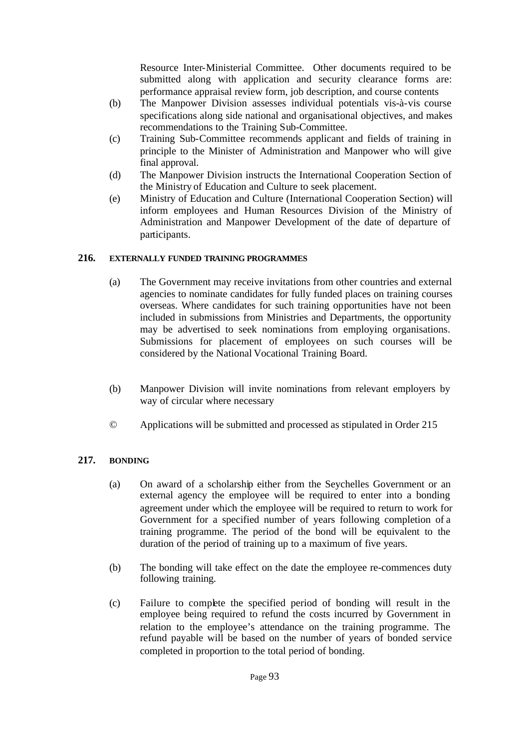Resource Inter-Ministerial Committee. Other documents required to be submitted along with application and security clearance forms are: performance appraisal review form, job description, and course contents

- (b) The Manpower Division assesses individual potentials vis-à-vis course specifications along side national and organisational objectives, and makes recommendations to the Training Sub-Committee.
- (c) Training Sub-Committee recommends applicant and fields of training in principle to the Minister of Administration and Manpower who will give final approval.
- (d) The Manpower Division instructs the International Cooperation Section of the Ministry of Education and Culture to seek placement.
- (e) Ministry of Education and Culture (International Cooperation Section) will inform employees and Human Resources Division of the Ministry of Administration and Manpower Development of the date of departure of participants.

## **216. EXTERNALLY FUNDED TRAINING PROGRAMMES**

- (a) The Government may receive invitations from other countries and external agencies to nominate candidates for fully funded places on training courses overseas. Where candidates for such training opportunities have not been included in submissions from Ministries and Departments, the opportunity may be advertised to seek nominations from employing organisations. Submissions for placement of employees on such courses will be considered by the National Vocational Training Board.
- (b) Manpower Division will invite nominations from relevant employers by way of circular where necessary
- © Applications will be submitted and processed as stipulated in Order 215

# **217. BONDING**

- (a) On award of a scholarship either from the Seychelles Government or an external agency the employee will be required to enter into a bonding agreement under which the employee will be required to return to work for Government for a specified number of years following completion of a training programme. The period of the bond will be equivalent to the duration of the period of training up to a maximum of five years.
- (b) The bonding will take effect on the date the employee re-commences duty following training.
- (c) Failure to complete the specified period of bonding will result in the employee being required to refund the costs incurred by Government in relation to the employee's attendance on the training programme. The refund payable will be based on the number of years of bonded service completed in proportion to the total period of bonding.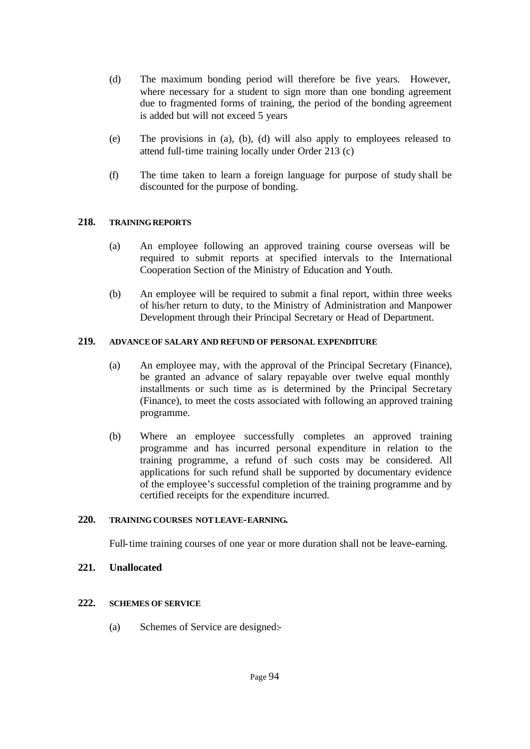- (d) The maximum bonding period will therefore be five years. However, where necessary for a student to sign more than one bonding agreement due to fragmented forms of training, the period of the bonding agreement is added but will not exceed 5 years
- (e) The provisions in (a), (b), (d) will also apply to employees released to attend full-time training locally under Order 213 (c)
- (f) The time taken to learn a foreign language for purpose of study shall be discounted for the purpose of bonding.

## **218. TRAINING REPORTS**

- (a) An employee following an approved training course overseas will be required to submit reports at specified intervals to the International Cooperation Section of the Ministry of Education and Youth.
- (b) An employee will be required to submit a final report, within three weeks of his/her return to duty, to the Ministry of Administration and Manpower Development through their Principal Secretary or Head of Department.

## **219. ADVANCE OF SALARY AND REFUND OF PERSONAL EXPENDITURE**

- (a) An employee may, with the approval of the Principal Secretary (Finance), be granted an advance of salary repayable over twelve equal monthly installments or such time as is determined by the Principal Secretary (Finance), to meet the costs associated with following an approved training programme.
- (b) Where an employee successfully completes an approved training programme and has incurred personal expenditure in relation to the training programme, a refund of such costs may be considered. All applications for such refund shall be supported by documentary evidence of the employee's successful completion of the training programme and by certified receipts for the expenditure incurred.

#### **220. TRAINING COURSES NOT LEAVE-EARNING.**

Full-time training courses of one year or more duration shall not be leave-earning.

## **221. Unallocated**

## **222. SCHEMES OF SERVICE**

(a) Schemes of Service are designed:-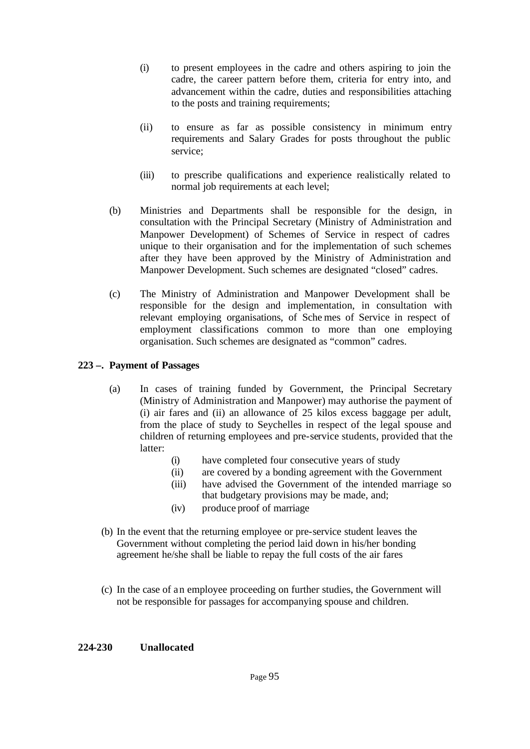- (i) to present employees in the cadre and others aspiring to join the cadre, the career pattern before them, criteria for entry into, and advancement within the cadre, duties and responsibilities attaching to the posts and training requirements;
- (ii) to ensure as far as possible consistency in minimum entry requirements and Salary Grades for posts throughout the public service;
- (iii) to prescribe qualifications and experience realistically related to normal job requirements at each level;
- (b) Ministries and Departments shall be responsible for the design, in consultation with the Principal Secretary (Ministry of Administration and Manpower Development) of Schemes of Service in respect of cadres unique to their organisation and for the implementation of such schemes after they have been approved by the Ministry of Administration and Manpower Development. Such schemes are designated "closed" cadres.
- (c) The Ministry of Administration and Manpower Development shall be responsible for the design and implementation, in consultation with relevant employing organisations, of Sche mes of Service in respect of employment classifications common to more than one employing organisation. Such schemes are designated as "common" cadres.

## **223 –. Payment of Passages**

- (a) In cases of training funded by Government, the Principal Secretary (Ministry of Administration and Manpower) may authorise the payment of (i) air fares and (ii) an allowance of 25 kilos excess baggage per adult, from the place of study to Seychelles in respect of the legal spouse and children of returning employees and pre-service students, provided that the latter:
	- (i) have completed four consecutive years of study
	- (ii) are covered by a bonding agreement with the Government
	- (iii) have advised the Government of the intended marriage so that budgetary provisions may be made, and;
	- (iv) produce proof of marriage
- (b) In the event that the returning employee or pre-service student leaves the Government without completing the period laid down in his/her bonding agreement he/she shall be liable to repay the full costs of the air fares
- (c) In the case of an employee proceeding on further studies, the Government will not be responsible for passages for accompanying spouse and children.

## **224-230 Unallocated**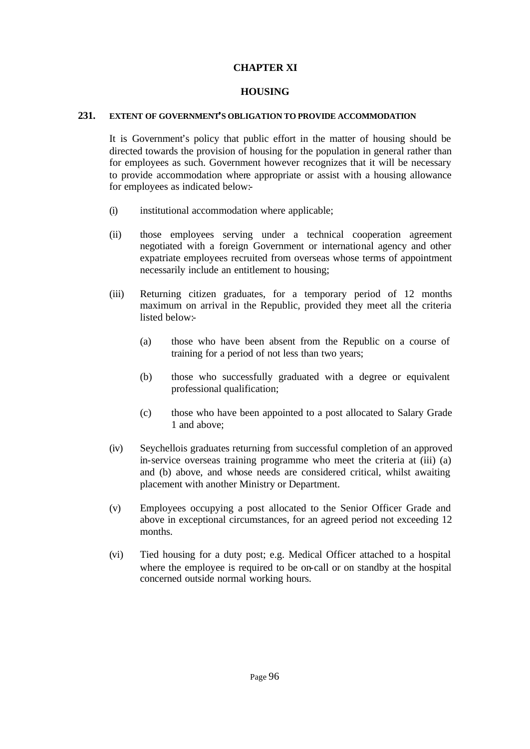## **CHAPTER XI**

## **HOUSING**

#### **231. EXTENT OF GOVERNMENT'S OBLIGATION TO PROVIDE ACCOMMODATION**

It is Government's policy that public effort in the matter of housing should be directed towards the provision of housing for the population in general rather than for employees as such. Government however recognizes that it will be necessary to provide accommodation where appropriate or assist with a housing allowance for employees as indicated below:-

- (i) institutional accommodation where applicable;
- (ii) those employees serving under a technical cooperation agreement negotiated with a foreign Government or international agency and other expatriate employees recruited from overseas whose terms of appointment necessarily include an entitlement to housing;
- (iii) Returning citizen graduates, for a temporary period of 12 months maximum on arrival in the Republic, provided they meet all the criteria listed below:-
	- (a) those who have been absent from the Republic on a course of training for a period of not less than two years;
	- (b) those who successfully graduated with a degree or equivalent professional qualification;
	- (c) those who have been appointed to a post allocated to Salary Grade 1 and above;
- (iv) Seychellois graduates returning from successful completion of an approved in-service overseas training programme who meet the criteria at (iii) (a) and (b) above, and whose needs are considered critical, whilst awaiting placement with another Ministry or Department.
- (v) Employees occupying a post allocated to the Senior Officer Grade and above in exceptional circumstances, for an agreed period not exceeding 12 months.
- (vi) Tied housing for a duty post; e.g. Medical Officer attached to a hospital where the employee is required to be on-call or on standby at the hospital concerned outside normal working hours.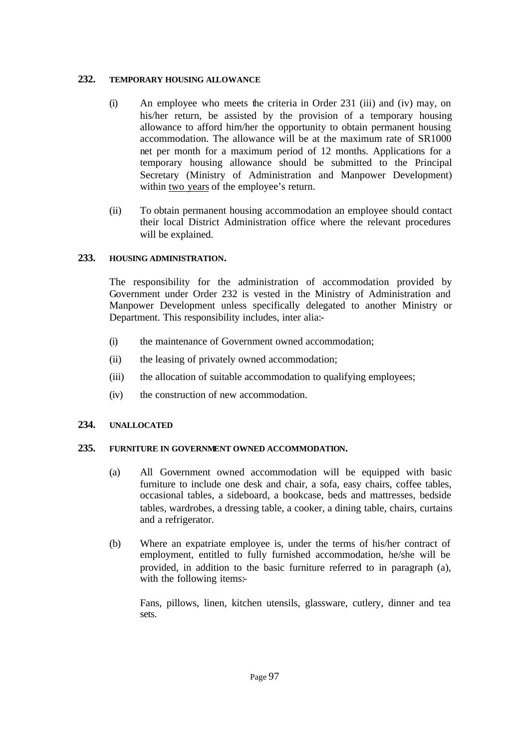## **232. TEMPORARY HOUSING ALLOWANCE**

- (i) An employee who meets the criteria in Order 231 (iii) and (iv) may, on his/her return, be assisted by the provision of a temporary housing allowance to afford him/her the opportunity to obtain permanent housing accommodation. The allowance will be at the maximum rate of SR1000 net per month for a maximum period of 12 months. Applications for a temporary housing allowance should be submitted to the Principal Secretary (Ministry of Administration and Manpower Development) within two years of the employee's return.
- (ii) To obtain permanent housing accommodation an employee should contact their local District Administration office where the relevant procedures will be explained.

## **233. HOUSING ADMINISTRATION.**

The responsibility for the administration of accommodation provided by Government under Order 232 is vested in the Ministry of Administration and Manpower Development unless specifically delegated to another Ministry or Department. This responsibility includes, inter alia:-

- (i) the maintenance of Government owned accommodation;
- (ii) the leasing of privately owned accommodation;
- (iii) the allocation of suitable accommodation to qualifying employees;
- (iv) the construction of new accommodation.

## **234. UNALLOCATED**

## **235. FURNITURE IN GOVERNMENT OWNED ACCOMMODATION.**

- (a) All Government owned accommodation will be equipped with basic furniture to include one desk and chair, a sofa, easy chairs, coffee tables, occasional tables, a sideboard, a bookcase, beds and mattresses, bedside tables, wardrobes, a dressing table, a cooker, a dining table, chairs, curtains and a refrigerator.
- (b) Where an expatriate employee is, under the terms of his/her contract of employment, entitled to fully furnished accommodation, he/she will be provided, in addition to the basic furniture referred to in paragraph (a), with the following items:-

Fans, pillows, linen, kitchen utensils, glassware, cutlery, dinner and tea sets.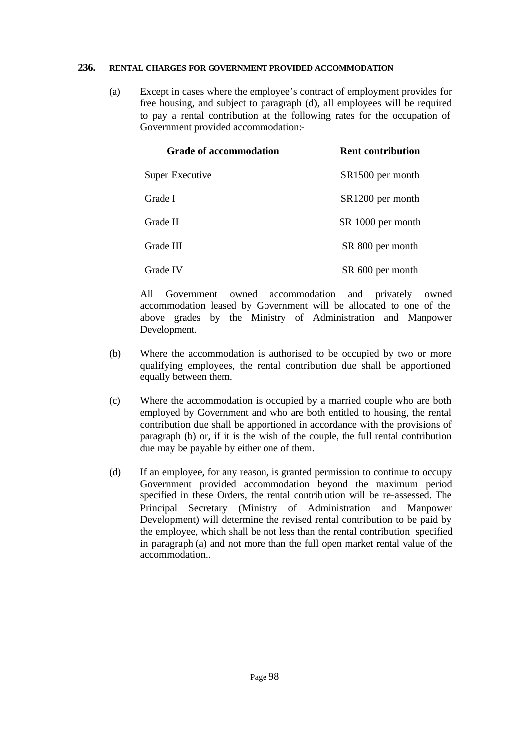#### **236. RENTAL CHARGES FOR GOVERNMENT PROVIDED ACCOMMODATION**

(a) Except in cases where the employee's contract of employment provides for free housing, and subject to paragraph (d), all employees will be required to pay a rental contribution at the following rates for the occupation of Government provided accommodation:-

| <b>Grade of accommodation</b> | <b>Rent contribution</b> |
|-------------------------------|--------------------------|
| <b>Super Executive</b>        | SR1500 per month         |
| Grade I                       | SR1200 per month         |
| Grade II                      | SR 1000 per month        |
| Grade III                     | SR 800 per month         |
| Grade IV                      | SR 600 per month         |

All Government owned accommodation and privately owned accommodation leased by Government will be allocated to one of the above grades by the Ministry of Administration and Manpower Development.

- (b) Where the accommodation is authorised to be occupied by two or more qualifying employees, the rental contribution due shall be apportioned equally between them.
- (c) Where the accommodation is occupied by a married couple who are both employed by Government and who are both entitled to housing, the rental contribution due shall be apportioned in accordance with the provisions of paragraph (b) or, if it is the wish of the couple, the full rental contribution due may be payable by either one of them.
- (d) If an employee, for any reason, is granted permission to continue to occupy Government provided accommodation beyond the maximum period specified in these Orders, the rental contrib ution will be re-assessed. The Principal Secretary (Ministry of Administration and Manpower Development) will determine the revised rental contribution to be paid by the employee, which shall be not less than the rental contribution specified in paragraph (a) and not more than the full open market rental value of the accommodation..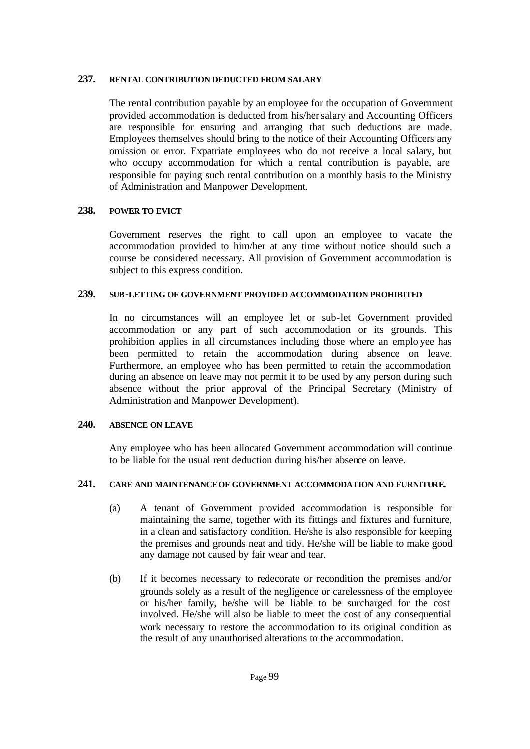## **237. RENTAL CONTRIBUTION DEDUCTED FROM SALARY**

The rental contribution payable by an employee for the occupation of Government provided accommodation is deducted from his/her salary and Accounting Officers are responsible for ensuring and arranging that such deductions are made. Employees themselves should bring to the notice of their Accounting Officers any omission or error. Expatriate employees who do not receive a local salary, but who occupy accommodation for which a rental contribution is payable, are responsible for paying such rental contribution on a monthly basis to the Ministry of Administration and Manpower Development.

## **238. POWER TO EVICT**

Government reserves the right to call upon an employee to vacate the accommodation provided to him/her at any time without notice should such a course be considered necessary. All provision of Government accommodation is subject to this express condition.

#### **239. SUB-LETTING OF GOVERNMENT PROVIDED ACCOMMODATION PROHIBITED**

In no circumstances will an employee let or sub-let Government provided accommodation or any part of such accommodation or its grounds. This prohibition applies in all circumstances including those where an emplo yee has been permitted to retain the accommodation during absence on leave. Furthermore, an employee who has been permitted to retain the accommodation during an absence on leave may not permit it to be used by any person during such absence without the prior approval of the Principal Secretary (Ministry of Administration and Manpower Development).

#### **240. ABSENCE ON LEAVE**

Any employee who has been allocated Government accommodation will continue to be liable for the usual rent deduction during his/her absence on leave.

#### **241. CARE AND MAINTENANCE OF GOVERNMENT ACCOMMODATION AND FURNITURE.**

- (a) A tenant of Government provided accommodation is responsible for maintaining the same, together with its fittings and fixtures and furniture, in a clean and satisfactory condition. He/she is also responsible for keeping the premises and grounds neat and tidy. He/she will be liable to make good any damage not caused by fair wear and tear.
- (b) If it becomes necessary to redecorate or recondition the premises and/or grounds solely as a result of the negligence or carelessness of the employee or his/her family, he/she will be liable to be surcharged for the cost involved. He/she will also be liable to meet the cost of any consequential work necessary to restore the accommodation to its original condition as the result of any unauthorised alterations to the accommodation.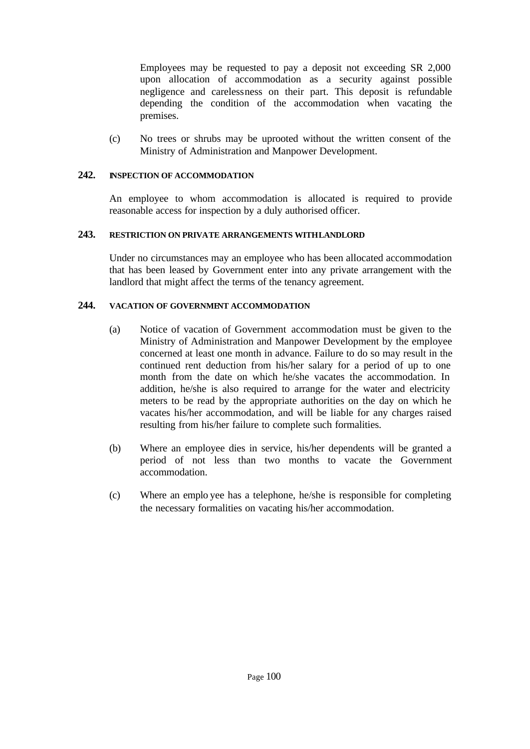Employees may be requested to pay a deposit not exceeding SR 2,000 upon allocation of accommodation as a security against possible negligence and carelessness on their part. This deposit is refundable depending the condition of the accommodation when vacating the premises.

(c) No trees or shrubs may be uprooted without the written consent of the Ministry of Administration and Manpower Development.

## **242. INSPECTION OF ACCOMMODATION**

An employee to whom accommodation is allocated is required to provide reasonable access for inspection by a duly authorised officer.

## **243. RESTRICTION ON PRIVATE ARRANGEMENTS WITH LANDLORD**

Under no circumstances may an employee who has been allocated accommodation that has been leased by Government enter into any private arrangement with the landlord that might affect the terms of the tenancy agreement.

## **244. VACATION OF GOVERNMENT ACCOMMODATION**

- (a) Notice of vacation of Government accommodation must be given to the Ministry of Administration and Manpower Development by the employee concerned at least one month in advance. Failure to do so may result in the continued rent deduction from his/her salary for a period of up to one month from the date on which he/she vacates the accommodation. In addition, he/she is also required to arrange for the water and electricity meters to be read by the appropriate authorities on the day on which he vacates his/her accommodation, and will be liable for any charges raised resulting from his/her failure to complete such formalities.
- (b) Where an employee dies in service, his/her dependents will be granted a period of not less than two months to vacate the Government accommodation.
- (c) Where an emplo yee has a telephone, he/she is responsible for completing the necessary formalities on vacating his/her accommodation.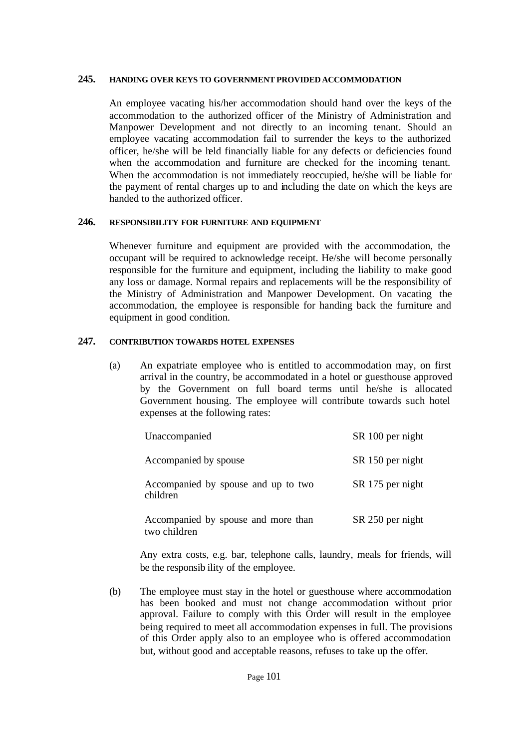#### **245. HANDING OVER KEYS TO GOVERNMENT PROVIDED ACCOMMODATION**

An employee vacating his/her accommodation should hand over the keys of the accommodation to the authorized officer of the Ministry of Administration and Manpower Development and not directly to an incoming tenant. Should an employee vacating accommodation fail to surrender the keys to the authorized officer, he/she will be held financially liable for any defects or deficiencies found when the accommodation and furniture are checked for the incoming tenant. When the accommodation is not immediately reoccupied, he/she will be liable for the payment of rental charges up to and including the date on which the keys are handed to the authorized officer.

#### **246. RESPONSIBILITY FOR FURNITURE AND EQUIPMENT**

Whenever furniture and equipment are provided with the accommodation, the occupant will be required to acknowledge receipt. He/she will become personally responsible for the furniture and equipment, including the liability to make good any loss or damage. Normal repairs and replacements will be the responsibility of the Ministry of Administration and Manpower Development. On vacating the accommodation, the employee is responsible for handing back the furniture and equipment in good condition.

## **247. CONTRIBUTION TOWARDS HOTEL EXPENSES**

(a) An expatriate employee who is entitled to accommodation may, on first arrival in the country, be accommodated in a hotel or guesthouse approved by the Government on full board terms until he/she is allocated Government housing. The employee will contribute towards such hotel expenses at the following rates:

| Unaccompanied                                       | SR 100 per night |
|-----------------------------------------------------|------------------|
| Accompanied by spouse                               | SR 150 per night |
| Accompanied by spouse and up to two<br>children     | SR 175 per night |
| Accompanied by spouse and more than<br>two children | SR 250 per night |

Any extra costs, e.g. bar, telephone calls, laundry, meals for friends, will be the responsib ility of the employee.

(b) The employee must stay in the hotel or guesthouse where accommodation has been booked and must not change accommodation without prior approval. Failure to comply with this Order will result in the employee being required to meet all accommodation expenses in full. The provisions of this Order apply also to an employee who is offered accommodation but, without good and acceptable reasons, refuses to take up the offer.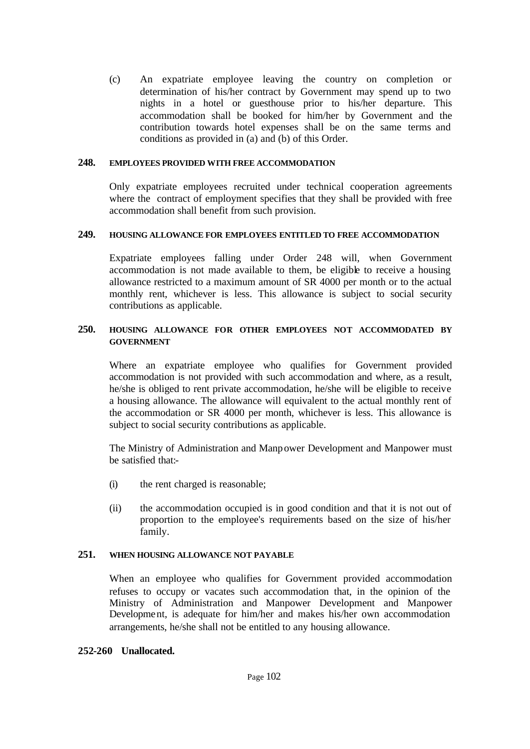(c) An expatriate employee leaving the country on completion or determination of his/her contract by Government may spend up to two nights in a hotel or guesthouse prior to his/her departure. This accommodation shall be booked for him/her by Government and the contribution towards hotel expenses shall be on the same terms and conditions as provided in (a) and (b) of this Order.

#### **248. EMPLOYEES PROVIDED WITH FREE ACCOMMODATION**

Only expatriate employees recruited under technical cooperation agreements where the contract of employment specifies that they shall be provided with free accommodation shall benefit from such provision.

#### **249. HOUSING ALLOWANCE FOR EMPLOYEES ENTITLED TO FREE ACCOMMODATION**

Expatriate employees falling under Order 248 will, when Government accommodation is not made available to them, be eligible to receive a housing allowance restricted to a maximum amount of SR 4000 per month or to the actual monthly rent, whichever is less. This allowance is subject to social security contributions as applicable.

## **250. HOUSING ALLOWANCE FOR OTHER EMPLOYEES NOT ACCOMMODATED BY GOVERNMENT**

Where an expatriate employee who qualifies for Government provided accommodation is not provided with such accommodation and where, as a result, he/she is obliged to rent private accommodation, he/she will be eligible to receive a housing allowance. The allowance will equivalent to the actual monthly rent of the accommodation or SR 4000 per month, whichever is less. This allowance is subject to social security contributions as applicable.

The Ministry of Administration and Manpower Development and Manpower must be satisfied that:-

- (i) the rent charged is reasonable;
- (ii) the accommodation occupied is in good condition and that it is not out of proportion to the employee's requirements based on the size of his/her family.

## **251. WHEN HOUSING ALLOWANCE NOT PAYABLE**

When an employee who qualifies for Government provided accommodation refuses to occupy or vacates such accommodation that, in the opinion of the Ministry of Administration and Manpower Development and Manpower Development, is adequate for him/her and makes his/her own accommodation arrangements, he/she shall not be entitled to any housing allowance.

#### **252-260 Unallocated.**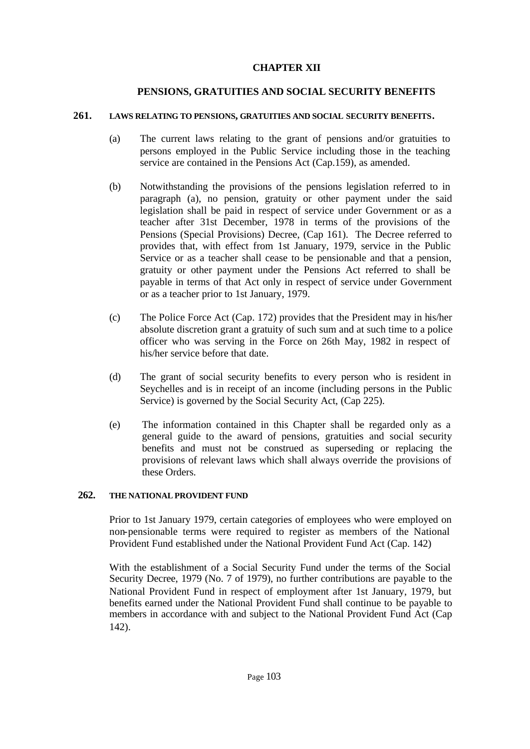## **CHAPTER XII**

# **PENSIONS, GRATUITIES AND SOCIAL SECURITY BENEFITS**

#### **261. LAWS RELATING TO PENSIONS, GRATUITIES AND SOCIAL SECURITY BENEFITS.**

- (a) The current laws relating to the grant of pensions and/or gratuities to persons employed in the Public Service including those in the teaching service are contained in the Pensions Act (Cap.159), as amended.
- (b) Notwithstanding the provisions of the pensions legislation referred to in paragraph (a), no pension, gratuity or other payment under the said legislation shall be paid in respect of service under Government or as a teacher after 31st December, 1978 in terms of the provisions of the Pensions (Special Provisions) Decree, (Cap 161). The Decree referred to provides that, with effect from 1st January, 1979, service in the Public Service or as a teacher shall cease to be pensionable and that a pension, gratuity or other payment under the Pensions Act referred to shall be payable in terms of that Act only in respect of service under Government or as a teacher prior to 1st January, 1979.
- (c) The Police Force Act (Cap. 172) provides that the President may in his/her absolute discretion grant a gratuity of such sum and at such time to a police officer who was serving in the Force on 26th May, 1982 in respect of his/her service before that date.
- (d) The grant of social security benefits to every person who is resident in Seychelles and is in receipt of an income (including persons in the Public Service) is governed by the Social Security Act, (Cap 225).
- (e) The information contained in this Chapter shall be regarded only as a general guide to the award of pensions, gratuities and social security benefits and must not be construed as superseding or replacing the provisions of relevant laws which shall always override the provisions of these Orders.

## **262. THE NATIONAL PROVIDENT FUND**

Prior to 1st January 1979, certain categories of employees who were employed on non-pensionable terms were required to register as members of the National Provident Fund established under the National Provident Fund Act (Cap. 142)

With the establishment of a Social Security Fund under the terms of the Social Security Decree, 1979 (No. 7 of 1979), no further contributions are payable to the National Provident Fund in respect of employment after 1st January, 1979, but benefits earned under the National Provident Fund shall continue to be payable to members in accordance with and subject to the National Provident Fund Act (Cap 142).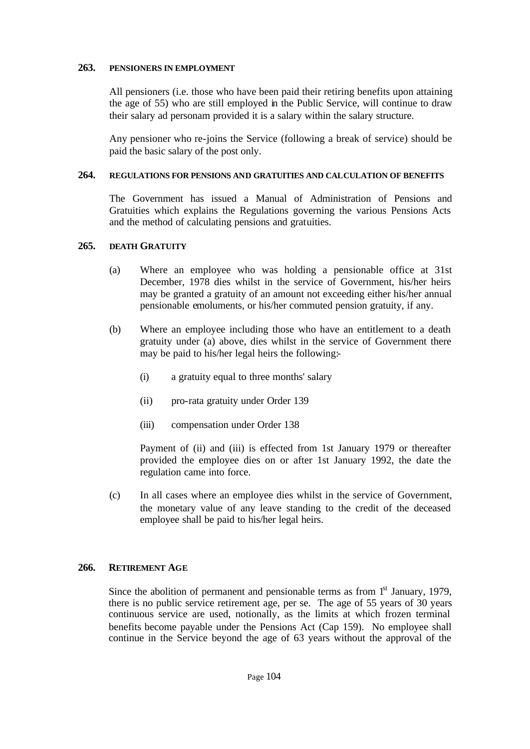#### **263. PENSIONERS IN EMPLOYMENT**

All pensioners (i.e. those who have been paid their retiring benefits upon attaining the age of 55) who are still employed in the Public Service, will continue to draw their salary ad personam provided it is a salary within the salary structure.

Any pensioner who re-joins the Service (following a break of service) should be paid the basic salary of the post only.

#### **264. REGULATIONS FOR PENSIONS AND GRATUITIES AND CALCULATION OF BENEFITS**

The Government has issued a Manual of Administration of Pensions and Gratuities which explains the Regulations governing the various Pensions Acts and the method of calculating pensions and gratuities.

## **265. DEATH GRATUITY**

- (a) Where an employee who was holding a pensionable office at 31st December, 1978 dies whilst in the service of Government, his/her heirs may be granted a gratuity of an amount not exceeding either his/her annual pensionable emoluments, or his/her commuted pension gratuity, if any.
- (b) Where an employee including those who have an entitlement to a death gratuity under (a) above, dies whilst in the service of Government there may be paid to his/her legal heirs the following:-
	- (i) a gratuity equal to three months' salary
	- (ii) pro-rata gratuity under Order 139
	- (iii) compensation under Order 138

Payment of (ii) and (iii) is effected from 1st January 1979 or thereafter provided the employee dies on or after 1st January 1992, the date the regulation came into force.

(c) In all cases where an employee dies whilst in the service of Government, the monetary value of any leave standing to the credit of the deceased employee shall be paid to his/her legal heirs.

## **266. RETIREMENT AGE**

Since the abolition of permanent and pensionable terms as from  $1<sup>st</sup>$  January, 1979, there is no public service retirement age, per se. The age of 55 years of 30 years continuous service are used, notionally, as the limits at which frozen terminal benefits become payable under the Pensions Act (Cap 159). No employee shall continue in the Service beyond the age of 63 years without the approval of the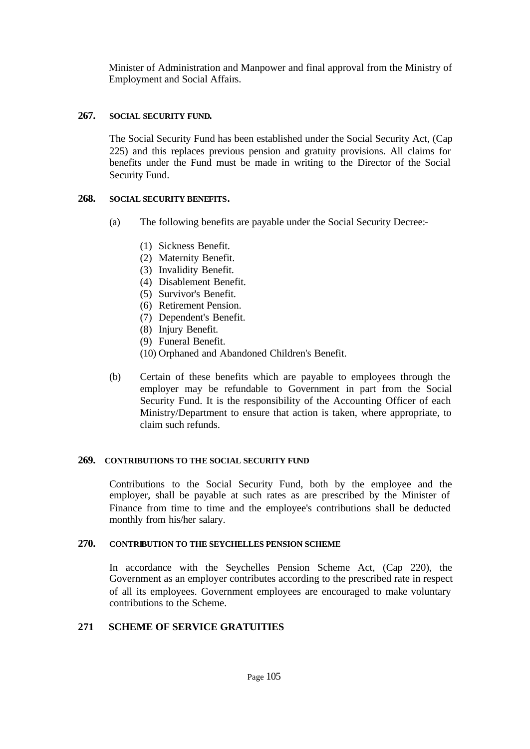Minister of Administration and Manpower and final approval from the Ministry of Employment and Social Affairs.

## **267. SOCIAL SECURITY FUND.**

The Social Security Fund has been established under the Social Security Act, (Cap 225) and this replaces previous pension and gratuity provisions. All claims for benefits under the Fund must be made in writing to the Director of the Social Security Fund.

## **268. SOCIAL SECURITY BENEFITS.**

- (a) The following benefits are payable under the Social Security Decree:-
	- (1) Sickness Benefit.
	- (2) Maternity Benefit.
	- (3) Invalidity Benefit.
	- (4) Disablement Benefit.
	- (5) Survivor's Benefit.
	- (6) Retirement Pension.
	- (7) Dependent's Benefit.
	- (8) Injury Benefit.
	- (9) Funeral Benefit.
	- (10) Orphaned and Abandoned Children's Benefit.
- (b) Certain of these benefits which are payable to employees through the employer may be refundable to Government in part from the Social Security Fund. It is the responsibility of the Accounting Officer of each Ministry/Department to ensure that action is taken, where appropriate, to claim such refunds.

## **269. CONTRIBUTIONS TO THE SOCIAL SECURITY FUND**

Contributions to the Social Security Fund, both by the employee and the employer, shall be payable at such rates as are prescribed by the Minister of Finance from time to time and the employee's contributions shall be deducted monthly from his/her salary.

## **270. CONTRIBUTION TO THE SEYCHELLES PENSION SCHEME**

In accordance with the Seychelles Pension Scheme Act, (Cap 220), the Government as an employer contributes according to the prescribed rate in respect of all its employees. Government employees are encouraged to make voluntary contributions to the Scheme.

## **271 SCHEME OF SERVICE GRATUITIES**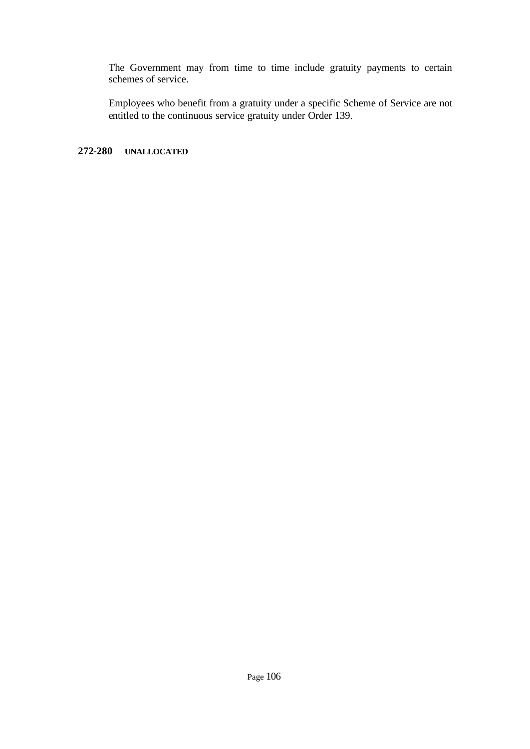The Government may from time to time include gratuity payments to certain schemes of service.

Employees who benefit from a gratuity under a specific Scheme of Service are not entitled to the continuous service gratuity under Order 139.

# **272-280 UNALLOCATED**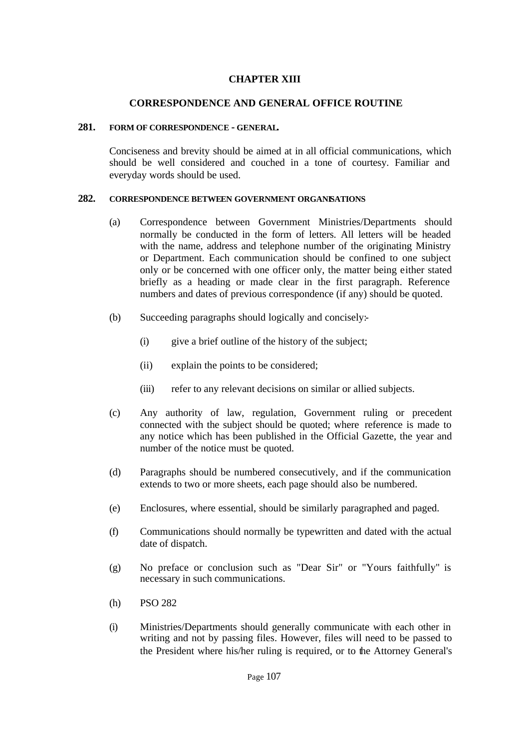# **CHAPTER XIII**

# **CORRESPONDENCE AND GENERAL OFFICE ROUTINE**

#### **281. FORM OF CORRESPONDENCE - GENERAL.**

Conciseness and brevity should be aimed at in all official communications, which should be well considered and couched in a tone of courtesy. Familiar and everyday words should be used.

### **282. CORRESPONDENCE BETWEEN GOVERNMENT ORGANISATIONS**

- (a) Correspondence between Government Ministries/Departments should normally be conducted in the form of letters. All letters will be headed with the name, address and telephone number of the originating Ministry or Department. Each communication should be confined to one subject only or be concerned with one officer only, the matter being either stated briefly as a heading or made clear in the first paragraph. Reference numbers and dates of previous correspondence (if any) should be quoted.
- (b) Succeeding paragraphs should logically and concisely:-
	- (i) give a brief outline of the history of the subject;
	- (ii) explain the points to be considered;
	- (iii) refer to any relevant decisions on similar or allied subjects.
- (c) Any authority of law, regulation, Government ruling or precedent connected with the subject should be quoted; where reference is made to any notice which has been published in the Official Gazette, the year and number of the notice must be quoted.
- (d) Paragraphs should be numbered consecutively, and if the communication extends to two or more sheets, each page should also be numbered.
- (e) Enclosures, where essential, should be similarly paragraphed and paged.
- (f) Communications should normally be typewritten and dated with the actual date of dispatch.
- (g) No preface or conclusion such as "Dear Sir" or "Yours faithfully" is necessary in such communications.
- (h) PSO 282
- (i) Ministries/Departments should generally communicate with each other in writing and not by passing files. However, files will need to be passed to the President where his/her ruling is required, or to the Attorney General's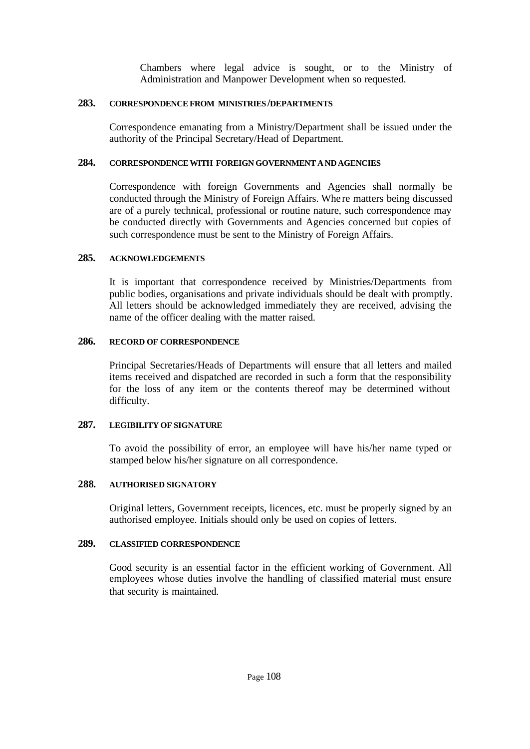Chambers where legal advice is sought, or to the Ministry of Administration and Manpower Development when so requested.

#### **283. CORRESPONDENCE FROM MINISTRIES/DEPARTMENTS**

Correspondence emanating from a Ministry/Department shall be issued under the authority of the Principal Secretary/Head of Department.

#### **284. CORRESPONDENCE WITH FOREIGN GOVERNMENT AND AGENCIES**

Correspondence with foreign Governments and Agencies shall normally be conducted through the Ministry of Foreign Affairs. Whe re matters being discussed are of a purely technical, professional or routine nature, such correspondence may be conducted directly with Governments and Agencies concerned but copies of such correspondence must be sent to the Ministry of Foreign Affairs.

### **285. ACKNOWLEDGEMENTS**

It is important that correspondence received by Ministries/Departments from public bodies, organisations and private individuals should be dealt with promptly. All letters should be acknowledged immediately they are received, advising the name of the officer dealing with the matter raised.

#### **286. RECORD OF CORRESPONDENCE**

Principal Secretaries/Heads of Departments will ensure that all letters and mailed items received and dispatched are recorded in such a form that the responsibility for the loss of any item or the contents thereof may be determined without difficulty.

#### **287. LEGIBILITY OF SIGNATURE**

To avoid the possibility of error, an employee will have his/her name typed or stamped below his/her signature on all correspondence.

#### **288. AUTHORISED SIGNATORY**

Original letters, Government receipts, licences, etc. must be properly signed by an authorised employee. Initials should only be used on copies of letters.

# **289. CLASSIFIED CORRESPONDENCE**

Good security is an essential factor in the efficient working of Government. All employees whose duties involve the handling of classified material must ensure that security is maintained.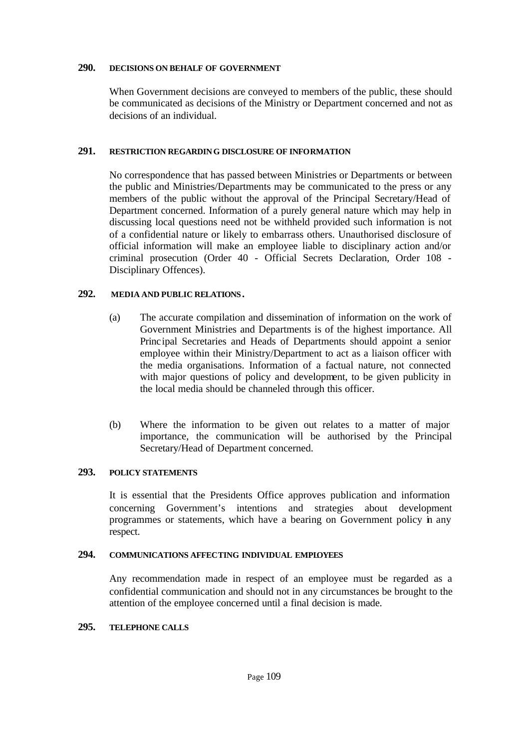#### **290. DECISIONS ON BEHALF OF GOVERNMENT**

When Government decisions are conveyed to members of the public, these should be communicated as decisions of the Ministry or Department concerned and not as decisions of an individual.

### **291. RESTRICTION REGARDING DISCLOSURE OF INFORMATION**

No correspondence that has passed between Ministries or Departments or between the public and Ministries/Departments may be communicated to the press or any members of the public without the approval of the Principal Secretary/Head of Department concerned. Information of a purely general nature which may help in discussing local questions need not be withheld provided such information is not of a confidential nature or likely to embarrass others. Unauthorised disclosure of official information will make an employee liable to disciplinary action and/or criminal prosecution (Order 40 - Official Secrets Declaration, Order 108 - Disciplinary Offences).

# **292. MEDIA AND PUBLIC RELATIONS.**

- (a) The accurate compilation and dissemination of information on the work of Government Ministries and Departments is of the highest importance. All Principal Secretaries and Heads of Departments should appoint a senior employee within their Ministry/Department to act as a liaison officer with the media organisations. Information of a factual nature, not connected with major questions of policy and development, to be given publicity in the local media should be channeled through this officer.
- (b) Where the information to be given out relates to a matter of major importance, the communication will be authorised by the Principal Secretary/Head of Department concerned.

# **293. POLICY STATEMENTS**

It is essential that the Presidents Office approves publication and information concerning Government's intentions and strategies about development programmes or statements, which have a bearing on Government policy in any respect.

### **294. COMMUNICATIONS AFFECTING INDIVIDUAL EMPLOYEES**

Any recommendation made in respect of an employee must be regarded as a confidential communication and should not in any circumstances be brought to the attention of the employee concerned until a final decision is made.

# **295. TELEPHONE CALLS**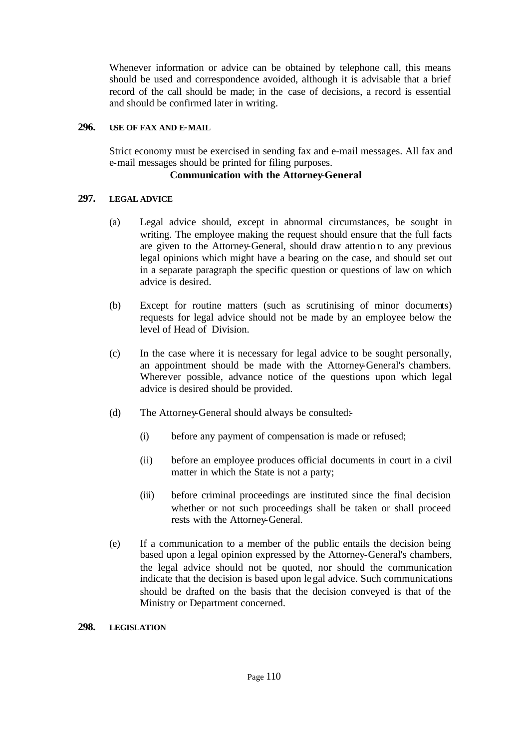Whenever information or advice can be obtained by telephone call, this means should be used and correspondence avoided, although it is advisable that a brief record of the call should be made; in the case of decisions, a record is essential and should be confirmed later in writing.

### **296. USE OF FAX AND E-MAIL**

Strict economy must be exercised in sending fax and e-mail messages. All fax and e-mail messages should be printed for filing purposes.

### **Communication with the Attorney-General**

# **297. LEGAL ADVICE**

- (a) Legal advice should, except in abnormal circumstances, be sought in writing. The employee making the request should ensure that the full facts are given to the Attorney-General, should draw attentio n to any previous legal opinions which might have a bearing on the case, and should set out in a separate paragraph the specific question or questions of law on which advice is desired.
- (b) Except for routine matters (such as scrutinising of minor documents) requests for legal advice should not be made by an employee below the level of Head of Division.
- (c) In the case where it is necessary for legal advice to be sought personally, an appointment should be made with the Attorney-General's chambers. Wherever possible, advance notice of the questions upon which legal advice is desired should be provided.
- (d) The Attorney-General should always be consulted:-
	- (i) before any payment of compensation is made or refused;
	- (ii) before an employee produces official documents in court in a civil matter in which the State is not a party;
	- (iii) before criminal proceedings are instituted since the final decision whether or not such proceedings shall be taken or shall proceed rests with the Attorney-General.
- (e) If a communication to a member of the public entails the decision being based upon a legal opinion expressed by the Attorney-General's chambers, the legal advice should not be quoted, nor should the communication indicate that the decision is based upon legal advice. Such communications should be drafted on the basis that the decision conveyed is that of the Ministry or Department concerned.

### **298. LEGISLATION**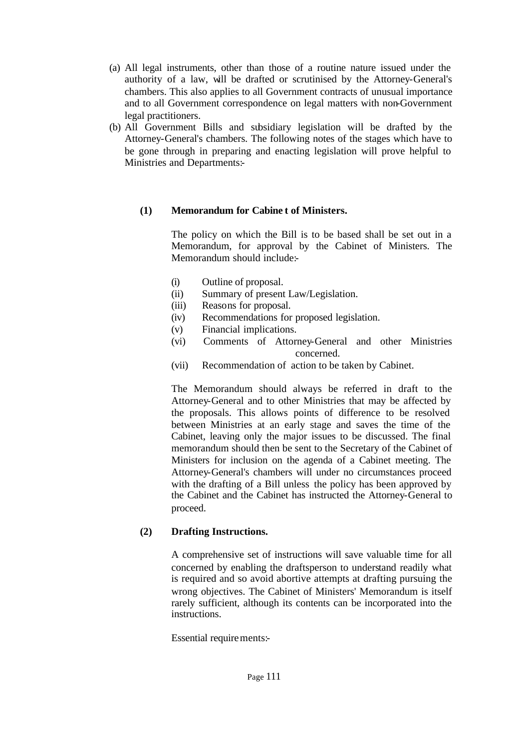- (a) All legal instruments, other than those of a routine nature issued under the authority of a law, will be drafted or scrutinised by the Attorney-General's chambers. This also applies to all Government contracts of unusual importance and to all Government correspondence on legal matters with non-Government legal practitioners.
- (b) All Government Bills and subsidiary legislation will be drafted by the Attorney-General's chambers. The following notes of the stages which have to be gone through in preparing and enacting legislation will prove helpful to Ministries and Departments:-

# **(1) Memorandum for Cabine t of Ministers.**

The policy on which the Bill is to be based shall be set out in a Memorandum, for approval by the Cabinet of Ministers. The Memorandum should include:-

- (i) Outline of proposal.
- (ii) Summary of present Law/Legislation.
- (iii) Reasons for proposal.
- (iv) Recommendations for proposed legislation.
- (v) Financial implications.
- (vi) Comments of Attorney-General and other Ministries concerned.
- (vii) Recommendation of action to be taken by Cabinet.

The Memorandum should always be referred in draft to the Attorney-General and to other Ministries that may be affected by the proposals. This allows points of difference to be resolved between Ministries at an early stage and saves the time of the Cabinet, leaving only the major issues to be discussed. The final memorandum should then be sent to the Secretary of the Cabinet of Ministers for inclusion on the agenda of a Cabinet meeting. The Attorney-General's chambers will under no circumstances proceed with the drafting of a Bill unless the policy has been approved by the Cabinet and the Cabinet has instructed the Attorney-General to proceed.

# **(2) Drafting Instructions.**

A comprehensive set of instructions will save valuable time for all concerned by enabling the draftsperson to understand readily what is required and so avoid abortive attempts at drafting pursuing the wrong objectives. The Cabinet of Ministers' Memorandum is itself rarely sufficient, although its contents can be incorporated into the instructions.

Essential requirements:-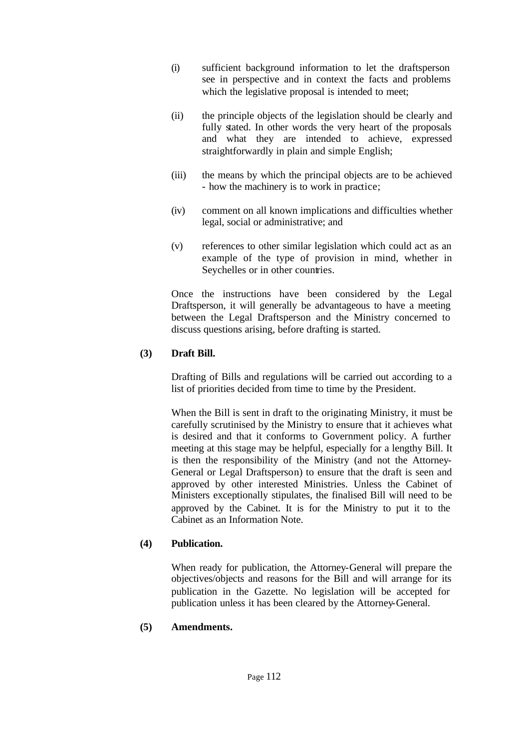- (i) sufficient background information to let the draftsperson see in perspective and in context the facts and problems which the legislative proposal is intended to meet;
- (ii) the principle objects of the legislation should be clearly and fully stated. In other words the very heart of the proposals and what they are intended to achieve, expressed straightforwardly in plain and simple English;
- (iii) the means by which the principal objects are to be achieved - how the machinery is to work in practice;
- (iv) comment on all known implications and difficulties whether legal, social or administrative; and
- (v) references to other similar legislation which could act as an example of the type of provision in mind, whether in Seychelles or in other countries.

Once the instructions have been considered by the Legal Draftsperson, it will generally be advantageous to have a meeting between the Legal Draftsperson and the Ministry concerned to discuss questions arising, before drafting is started.

# **(3) Draft Bill.**

Drafting of Bills and regulations will be carried out according to a list of priorities decided from time to time by the President.

When the Bill is sent in draft to the originating Ministry, it must be carefully scrutinised by the Ministry to ensure that it achieves what is desired and that it conforms to Government policy. A further meeting at this stage may be helpful, especially for a lengthy Bill. It is then the responsibility of the Ministry (and not the Attorney-General or Legal Draftsperson) to ensure that the draft is seen and approved by other interested Ministries. Unless the Cabinet of Ministers exceptionally stipulates, the finalised Bill will need to be approved by the Cabinet. It is for the Ministry to put it to the Cabinet as an Information Note.

# **(4) Publication.**

When ready for publication, the Attorney-General will prepare the objectives/objects and reasons for the Bill and will arrange for its publication in the Gazette. No legislation will be accepted for publication unless it has been cleared by the Attorney-General.

# **(5) Amendments.**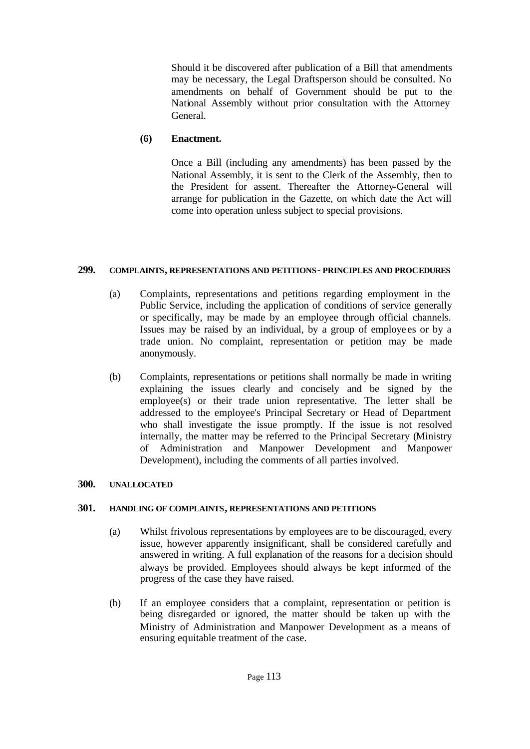Should it be discovered after publication of a Bill that amendments may be necessary, the Legal Draftsperson should be consulted. No amendments on behalf of Government should be put to the National Assembly without prior consultation with the Attorney General.

# **(6) Enactment.**

Once a Bill (including any amendments) has been passed by the National Assembly, it is sent to the Clerk of the Assembly, then to the President for assent. Thereafter the Attorney-General will arrange for publication in the Gazette, on which date the Act will come into operation unless subject to special provisions.

# **299. COMPLAINTS, REPRESENTATIONS AND PETITIONS - PRINCIPLES AND PROCEDURES**

- (a) Complaints, representations and petitions regarding employment in the Public Service, including the application of conditions of service generally or specifically, may be made by an employee through official channels. Issues may be raised by an individual, by a group of employe es or by a trade union. No complaint, representation or petition may be made anonymously.
- (b) Complaints, representations or petitions shall normally be made in writing explaining the issues clearly and concisely and be signed by the employee(s) or their trade union representative. The letter shall be addressed to the employee's Principal Secretary or Head of Department who shall investigate the issue promptly. If the issue is not resolved internally, the matter may be referred to the Principal Secretary (Ministry of Administration and Manpower Development and Manpower Development), including the comments of all parties involved.

# **300. UNALLOCATED**

# **301. HANDLING OF COMPLAINTS, REPRESENTATIONS AND PETITIONS**

- (a) Whilst frivolous representations by employees are to be discouraged, every issue, however apparently insignificant, shall be considered carefully and answered in writing. A full explanation of the reasons for a decision should always be provided. Employees should always be kept informed of the progress of the case they have raised.
- (b) If an employee considers that a complaint, representation or petition is being disregarded or ignored, the matter should be taken up with the Ministry of Administration and Manpower Development as a means of ensuring equitable treatment of the case.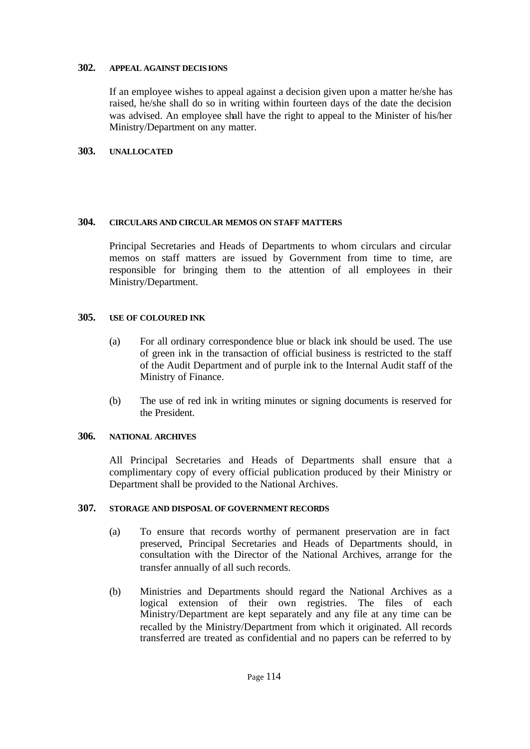#### **302. APPEAL AGAINST DECISIONS**

If an employee wishes to appeal against a decision given upon a matter he/she has raised, he/she shall do so in writing within fourteen days of the date the decision was advised. An employee shall have the right to appeal to the Minister of his/her Ministry/Department on any matter.

# **303. UNALLOCATED**

#### **304. CIRCULARS AND CIRCULAR MEMOS ON STAFF MATTERS**

Principal Secretaries and Heads of Departments to whom circulars and circular memos on staff matters are issued by Government from time to time, are responsible for bringing them to the attention of all employees in their Ministry/Department.

### **305. USE OF COLOURED INK**

- (a) For all ordinary correspondence blue or black ink should be used. The use of green ink in the transaction of official business is restricted to the staff of the Audit Department and of purple ink to the Internal Audit staff of the Ministry of Finance.
- (b) The use of red ink in writing minutes or signing documents is reserved for the President.

# **306. NATIONAL ARCHIVES**

All Principal Secretaries and Heads of Departments shall ensure that a complimentary copy of every official publication produced by their Ministry or Department shall be provided to the National Archives.

#### **307. STORAGE AND DISPOSAL OF GOVERNMENT RECORDS**

- (a) To ensure that records worthy of permanent preservation are in fact preserved, Principal Secretaries and Heads of Departments should, in consultation with the Director of the National Archives, arrange for the transfer annually of all such records.
- (b) Ministries and Departments should regard the National Archives as a logical extension of their own registries. The files of each Ministry/Department are kept separately and any file at any time can be recalled by the Ministry/Department from which it originated. All records transferred are treated as confidential and no papers can be referred to by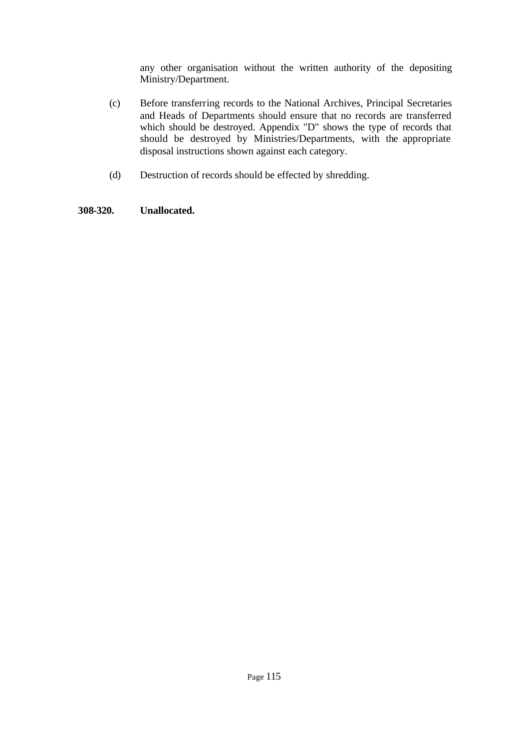any other organisation without the written authority of the depositing Ministry/Department.

- (c) Before transferring records to the National Archives, Principal Secretaries and Heads of Departments should ensure that no records are transferred which should be destroyed. Appendix "D" shows the type of records that should be destroyed by Ministries/Departments, with the appropriate disposal instructions shown against each category.
- (d) Destruction of records should be effected by shredding.

# **308-320. Unallocated.**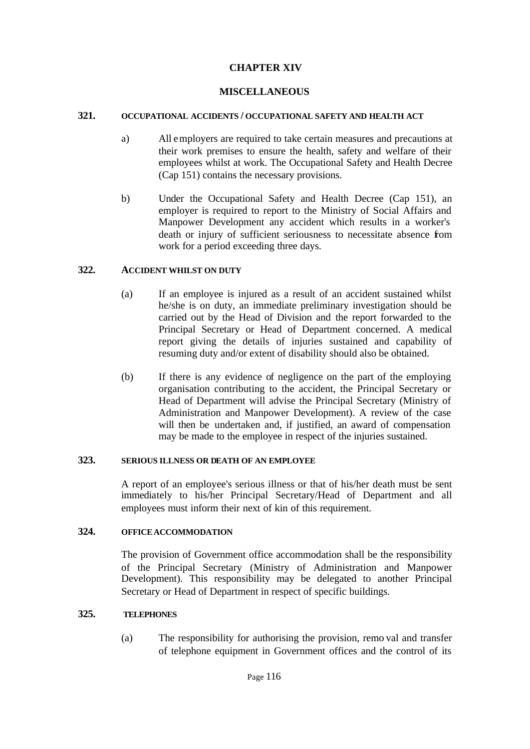# **CHAPTER XIV**

## **MISCELLANEOUS**

### **321. OCCUPATIONAL ACCIDENTS / OCCUPATIONAL SAFETY AND HEALTH ACT**

- a) All employers are required to take certain measures and precautions at their work premises to ensure the health, safety and welfare of their employees whilst at work. The Occupational Safety and Health Decree (Cap 151) contains the necessary provisions.
- b) Under the Occupational Safety and Health Decree (Cap 151), an employer is required to report to the Ministry of Social Affairs and Manpower Development any accident which results in a worker's death or injury of sufficient seriousness to necessitate absence from work for a period exceeding three days.

### **322. ACCIDENT WHILST ON DUTY**

- (a) If an employee is injured as a result of an accident sustained whilst he/she is on duty, an immediate preliminary investigation should be carried out by the Head of Division and the report forwarded to the Principal Secretary or Head of Department concerned. A medical report giving the details of injuries sustained and capability of resuming duty and/or extent of disability should also be obtained.
- (b) If there is any evidence of negligence on the part of the employing organisation contributing to the accident, the Principal Secretary or Head of Department will advise the Principal Secretary (Ministry of Administration and Manpower Development). A review of the case will then be undertaken and, if justified, an award of compensation may be made to the employee in respect of the injuries sustained.

### **323. SERIOUS ILLNESS OR DEATH OF AN EMPLOYEE**

A report of an employee's serious illness or that of his/her death must be sent immediately to his/her Principal Secretary/Head of Department and all employees must inform their next of kin of this requirement.

# **324. OFFICE ACCOMMODATION**

The provision of Government office accommodation shall be the responsibility of the Principal Secretary (Ministry of Administration and Manpower Development). This responsibility may be delegated to another Principal Secretary or Head of Department in respect of specific buildings.

### **325. TELEPHONES**

(a) The responsibility for authorising the provision, remo val and transfer of telephone equipment in Government offices and the control of its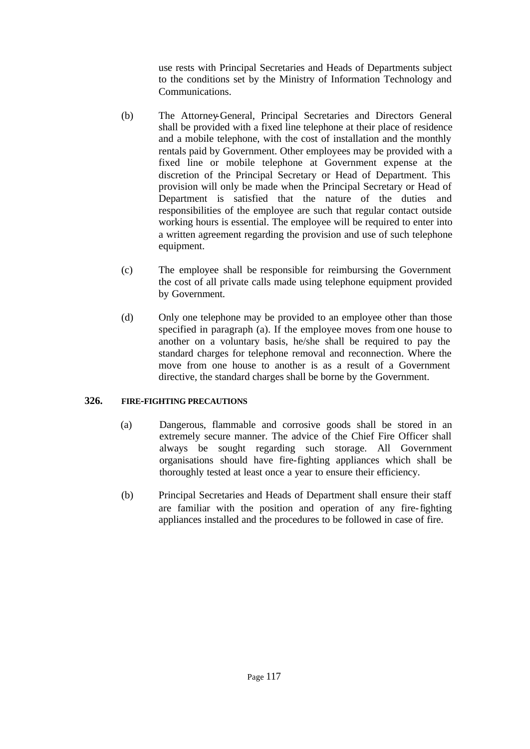use rests with Principal Secretaries and Heads of Departments subject to the conditions set by the Ministry of Information Technology and Communications.

- (b) The Attorney-General, Principal Secretaries and Directors General shall be provided with a fixed line telephone at their place of residence and a mobile telephone, with the cost of installation and the monthly rentals paid by Government. Other employees may be provided with a fixed line or mobile telephone at Government expense at the discretion of the Principal Secretary or Head of Department. This provision will only be made when the Principal Secretary or Head of Department is satisfied that the nature of the duties and responsibilities of the employee are such that regular contact outside working hours is essential. The employee will be required to enter into a written agreement regarding the provision and use of such telephone equipment.
- (c) The employee shall be responsible for reimbursing the Government the cost of all private calls made using telephone equipment provided by Government.
- (d) Only one telephone may be provided to an employee other than those specified in paragraph (a). If the employee moves from one house to another on a voluntary basis, he/she shall be required to pay the standard charges for telephone removal and reconnection. Where the move from one house to another is as a result of a Government directive, the standard charges shall be borne by the Government.

# **326. FIRE-FIGHTING PRECAUTIONS**

- (a) Dangerous, flammable and corrosive goods shall be stored in an extremely secure manner. The advice of the Chief Fire Officer shall always be sought regarding such storage. All Government organisations should have fire-fighting appliances which shall be thoroughly tested at least once a year to ensure their efficiency.
- (b) Principal Secretaries and Heads of Department shall ensure their staff are familiar with the position and operation of any fire-fighting appliances installed and the procedures to be followed in case of fire.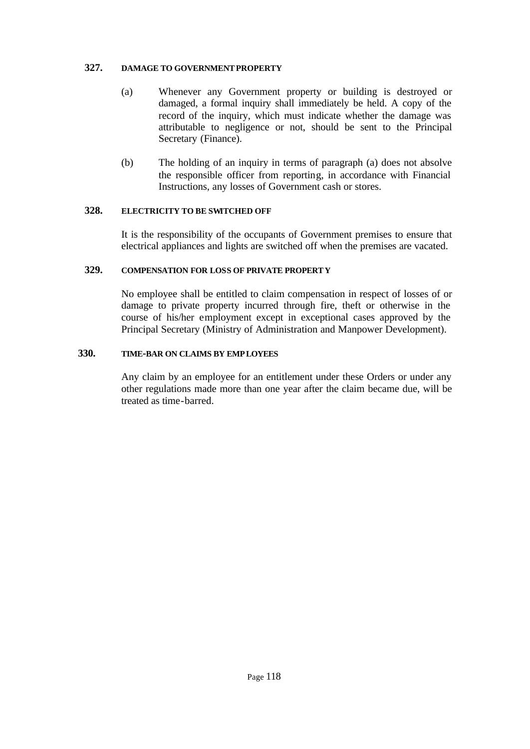### **327. DAMAGE TO GOVERNMENT PROPERTY**

- (a) Whenever any Government property or building is destroyed or damaged, a formal inquiry shall immediately be held. A copy of the record of the inquiry, which must indicate whether the damage was attributable to negligence or not, should be sent to the Principal Secretary (Finance).
- (b) The holding of an inquiry in terms of paragraph (a) does not absolve the responsible officer from reporting, in accordance with Financial Instructions, any losses of Government cash or stores.

# **328. ELECTRICITY TO BE SWITCHED OFF**

It is the responsibility of the occupants of Government premises to ensure that electrical appliances and lights are switched off when the premises are vacated.

### **329. COMPENSATION FOR LOSS OF PRIVATE PROPERTY**

No employee shall be entitled to claim compensation in respect of losses of or damage to private property incurred through fire, theft or otherwise in the course of his/her employment except in exceptional cases approved by the Principal Secretary (Ministry of Administration and Manpower Development).

#### **330. TIME-BAR ON CLAIMS BY EMPLOYEES**

Any claim by an employee for an entitlement under these Orders or under any other regulations made more than one year after the claim became due, will be treated as time-barred.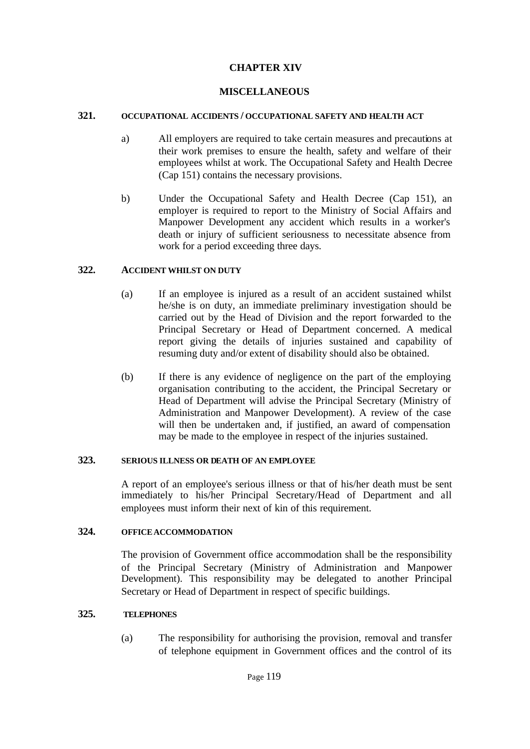# **CHAPTER XIV**

## **MISCELLANEOUS**

### **321. OCCUPATIONAL ACCIDENTS / OCCUPATIONAL SAFETY AND HEALTH ACT**

- a) All employers are required to take certain measures and precautions at their work premises to ensure the health, safety and welfare of their employees whilst at work. The Occupational Safety and Health Decree (Cap 151) contains the necessary provisions.
- b) Under the Occupational Safety and Health Decree (Cap 151), an employer is required to report to the Ministry of Social Affairs and Manpower Development any accident which results in a worker's death or injury of sufficient seriousness to necessitate absence from work for a period exceeding three days.

### **322. ACCIDENT WHILST ON DUTY**

- (a) If an employee is injured as a result of an accident sustained whilst he/she is on duty, an immediate preliminary investigation should be carried out by the Head of Division and the report forwarded to the Principal Secretary or Head of Department concerned. A medical report giving the details of injuries sustained and capability of resuming duty and/or extent of disability should also be obtained.
- (b) If there is any evidence of negligence on the part of the employing organisation contributing to the accident, the Principal Secretary or Head of Department will advise the Principal Secretary (Ministry of Administration and Manpower Development). A review of the case will then be undertaken and, if justified, an award of compensation may be made to the employee in respect of the injuries sustained.

#### **323. SERIOUS ILLNESS OR DEATH OF AN EMPLOYEE**

A report of an employee's serious illness or that of his/her death must be sent immediately to his/her Principal Secretary/Head of Department and all employees must inform their next of kin of this requirement.

# **324. OFFICE ACCOMMODATION**

The provision of Government office accommodation shall be the responsibility of the Principal Secretary (Ministry of Administration and Manpower Development). This responsibility may be delegated to another Principal Secretary or Head of Department in respect of specific buildings.

### **325. TELEPHONES**

(a) The responsibility for authorising the provision, removal and transfer of telephone equipment in Government offices and the control of its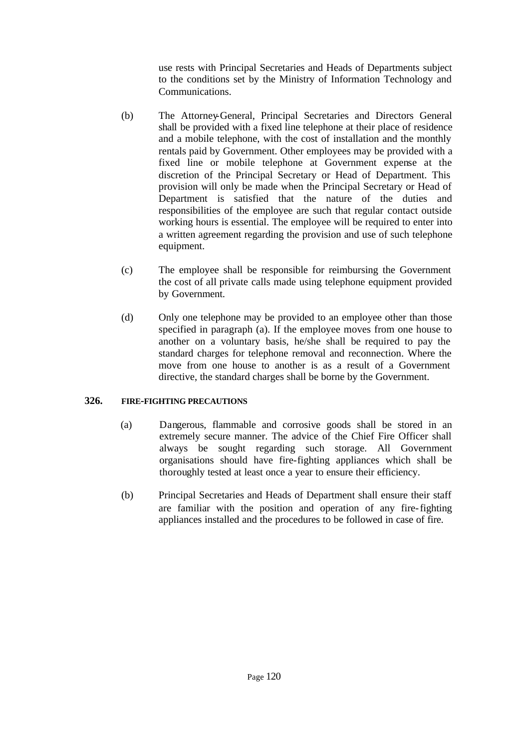use rests with Principal Secretaries and Heads of Departments subject to the conditions set by the Ministry of Information Technology and Communications.

- (b) The Attorney-General, Principal Secretaries and Directors General shall be provided with a fixed line telephone at their place of residence and a mobile telephone, with the cost of installation and the monthly rentals paid by Government. Other employees may be provided with a fixed line or mobile telephone at Government expense at the discretion of the Principal Secretary or Head of Department. This provision will only be made when the Principal Secretary or Head of Department is satisfied that the nature of the duties and responsibilities of the employee are such that regular contact outside working hours is essential. The employee will be required to enter into a written agreement regarding the provision and use of such telephone equipment.
- (c) The employee shall be responsible for reimbursing the Government the cost of all private calls made using telephone equipment provided by Government.
- (d) Only one telephone may be provided to an employee other than those specified in paragraph (a). If the employee moves from one house to another on a voluntary basis, he/she shall be required to pay the standard charges for telephone removal and reconnection. Where the move from one house to another is as a result of a Government directive, the standard charges shall be borne by the Government.

# **326. FIRE-FIGHTING PRECAUTIONS**

- (a) Dangerous, flammable and corrosive goods shall be stored in an extremely secure manner. The advice of the Chief Fire Officer shall always be sought regarding such storage. All Government organisations should have fire-fighting appliances which shall be thoroughly tested at least once a year to ensure their efficiency.
- (b) Principal Secretaries and Heads of Department shall ensure their staff are familiar with the position and operation of any fire-fighting appliances installed and the procedures to be followed in case of fire.